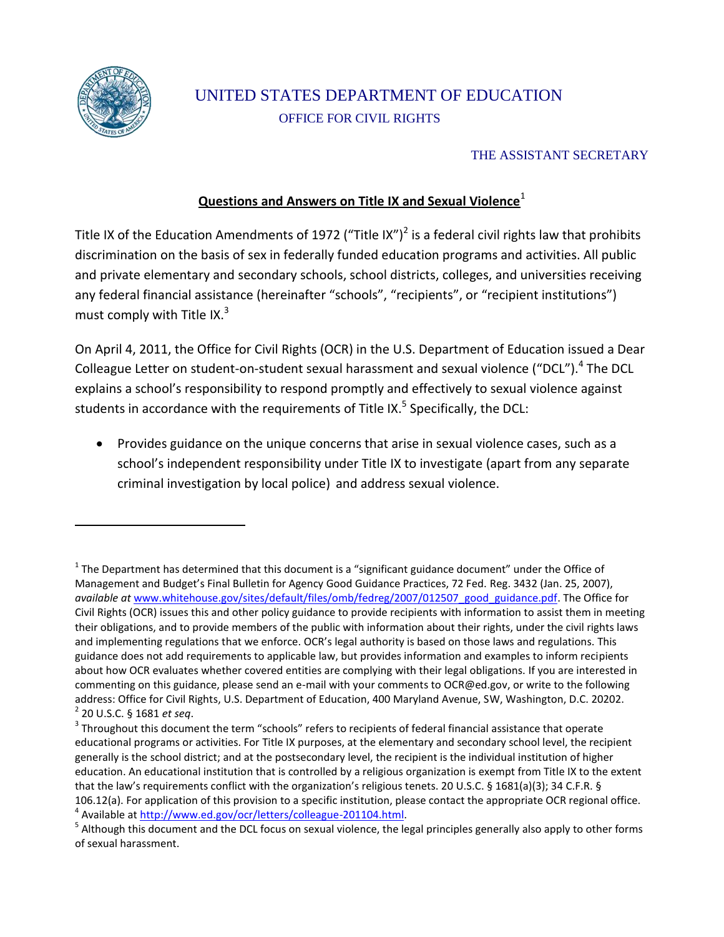

 $\overline{\phantom{a}}$ 

# UNITED STATES DEPARTMENT OF EDUCATION OFFICE FOR CIVIL RIGHTS

### THE ASSISTANT SECRETARY

## **Questions and Answers on Title IX and Sexual Violence**<sup>1</sup>

Title IX of the Education Amendments of 1972 ("Title IX")<sup>2</sup> is a federal civil rights law that prohibits discrimination on the basis of sex in federally funded education programs and activities. All public and private elementary and secondary schools, school districts, colleges, and universities receiving any federal financial assistance (hereinafter "schools", "recipients", or "recipient institutions") must comply with Title IX. $3$ 

On April 4, 2011, the Office for Civil Rights (OCR) in the U.S. Department of Education issued a Dear Colleague Letter on student-on-student sexual harassment and sexual violence ("DCL").<sup>4</sup> The DCL explains a school's responsibility to respond promptly and effectively to sexual violence against students in accordance with the requirements of Title IX.<sup>5</sup> Specifically, the DCL:

 Provides guidance on the unique concerns that arise in sexual violence cases, such as a school's independent responsibility under Title IX to investigate (apart from any separate criminal investigation by local police) and address sexual violence.

 $^1$  The Department has determined that this document is a "significant guidance document" under the Office of Management and Budget's Final Bulletin for Agency Good Guidance Practices, 72 Fed. Reg. 3432 (Jan. 25, 2007), *available at* [www.whitehouse.gov/sites/default/files/omb/fedreg/2007/012507\\_good\\_guidance.pdf.](http://www.whitehouse.gov/sites/default/files/omb/fedreg/2007/012507_good_guidance.pdf) The Office for Civil Rights (OCR) issues this and other policy guidance to provide recipients with information to assist them in meeting their obligations, and to provide members of the public with information about their rights, under the civil rights laws and implementing regulations that we enforce. OCR's legal authority is based on those laws and regulations. This guidance does not add requirements to applicable law, but provides information and examples to inform recipients about how OCR evaluates whether covered entities are complying with their legal obligations. If you are interested in commenting on this guidance, please send an e-mail with your comments t[o OCR@ed.gov,](mailto:OCR@ed.gov) or write to the following address: Office for Civil Rights, U.S. Department of Education, 400 Maryland Avenue, SW, Washington, D.C. 20202. 2 20 U.S.C. § 1681 *et seq*.

 $3$  Throughout this document the term "schools" refers to recipients of federal financial assistance that operate educational programs or activities. For Title IX purposes, at the elementary and secondary school level, the recipient generally is the school district; and at the postsecondary level, the recipient is the individual institution of higher education. An educational institution that is controlled by a religious organization is exempt from Title IX to the extent that the law's requirements conflict with the organization's religious tenets. 20 U.S.C. § 1681(a)(3); 34 C.F.R. § 106.12(a). For application of this provision to a specific institution, please contact the appropriate OCR regional office. <sup>4</sup> Available a[t http://www.ed.gov/ocr/letters/colleague-201104.html.](http://www.ed.gov/ocr/letters/colleague-201104.html)

<sup>&</sup>lt;sup>5</sup> Although this document and the DCL focus on sexual violence, the legal principles generally also apply to other forms of sexual harassment.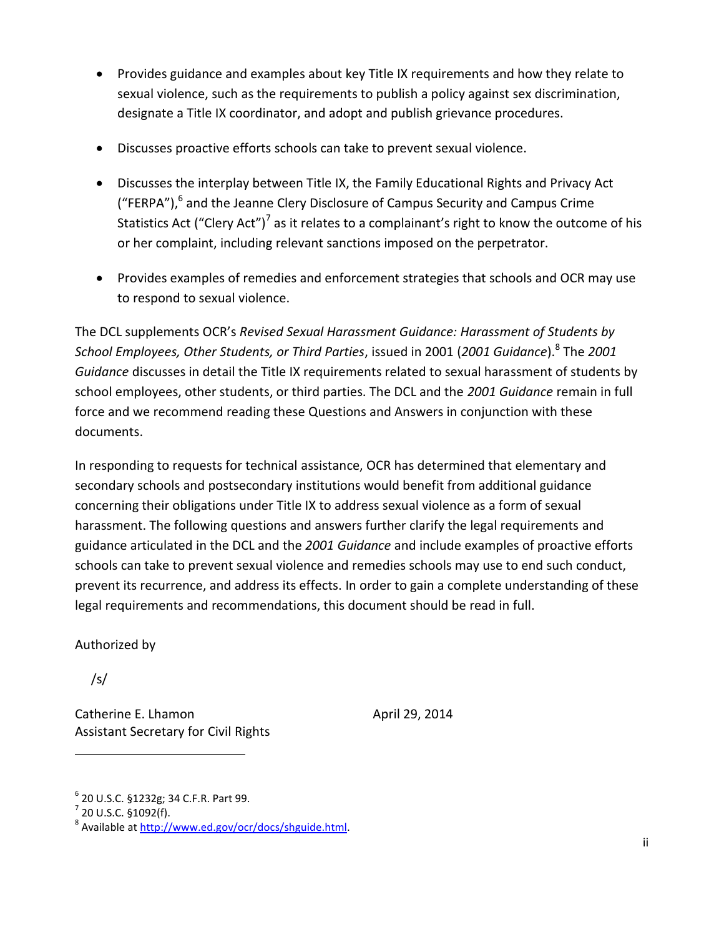- Provides guidance and examples about key Title IX requirements and how they relate to sexual violence, such as the requirements to publish a policy against sex discrimination, designate a Title IX coordinator, and adopt and publish grievance procedures.
- Discusses proactive efforts schools can take to prevent sexual violence.
- Discusses the interplay between Title IX, the Family Educational Rights and Privacy Act ("FERPA"),<sup>6</sup> and the Jeanne Clery Disclosure of Campus Security and Campus Crime Statistics Act ("Clery Act")<sup>7</sup> as it relates to a complainant's right to know the outcome of his or her complaint, including relevant sanctions imposed on the perpetrator.
- Provides examples of remedies and enforcement strategies that schools and OCR may use to respond to sexual violence.

The DCL supplements OCR's *Revised Sexual Harassment Guidance: Harassment of Students by School Employees, Other Students, or Third Parties*, issued in 2001 (*2001 Guidance*).<sup>8</sup> The *2001 Guidance* discusses in detail the Title IX requirements related to sexual harassment of students by school employees, other students, or third parties. The DCL and the *2001 Guidance* remain in full force and we recommend reading these Questions and Answers in conjunction with these documents.

In responding to requests for technical assistance, OCR has determined that elementary and secondary schools and postsecondary institutions would benefit from additional guidance concerning their obligations under Title IX to address sexual violence as a form of sexual harassment. The following questions and answers further clarify the legal requirements and guidance articulated in the DCL and the *2001 Guidance* and include examples of proactive efforts schools can take to prevent sexual violence and remedies schools may use to end such conduct, prevent its recurrence, and address its effects. In order to gain a complete understanding of these legal requirements and recommendations, this document should be read in full.

Authorized by

/s/

 $\overline{a}$ 

Catherine E. Lhamon April 29, 2014 Assistant Secretary for Civil Rights

<sup>6</sup> 20 U.S.C. §1232g; 34 C.F.R. Part 99.

 $7$  20 U.S.C. §1092(f).

<sup>&</sup>lt;sup>8</sup> Available at [http://www.ed.gov/ocr/docs/shguide.html.](http://www.ed.gov/ocr/docs/shguide.html)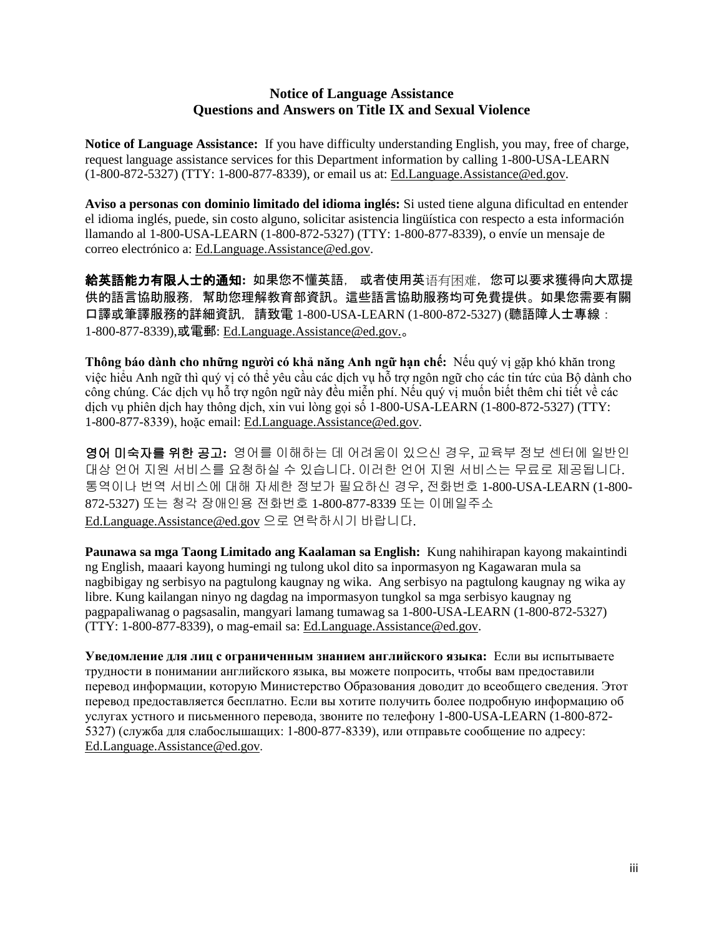#### **Notice of Language Assistance Questions and Answers on Title IX and Sexual Violence**

<span id="page-2-0"></span>**Notice of Language Assistance:** If you have difficulty understanding English, you may, free of charge, request language assistance services for this Department information by calling 1-800-USA-LEARN (1-800-872-5327) (TTY: 1-800-877-8339), or email us at: [Ed.Language.Assistance@ed.gov.](mailto:Ed.Language.Assistance@ed.gov)

**Aviso a personas con dominio limitado del idioma inglés:** Si usted tiene alguna dificultad en entender el idioma inglés, puede, sin costo alguno, solicitar asistencia lingüística con respecto a esta información llamando al 1-800-USA-LEARN (1-800-872-5327) (TTY: 1-800-877-8339), o envíe un mensaje de correo electrónico a: [Ed.Language.Assistance@ed.gov.](mailto:Ed.Language.Assistance@ed.gov)

給英語能力有限人士的通知**:** 如果您不懂英語, 或者使用英语有困难,您可以要求獲得向大眾提 供的語言協助服務,幫助您理解教育部資訊。這些語言協助服務均可免費提供。如果您需要有關 口譯或筆譯服務的詳細資訊,請致電 1-800-USA-LEARN (1-800-872-5327) (聽語障人士專線: 1-800-877-8339),或電郵: [Ed.Language.Assistance@ed.gov.](mailto:Ed.Language.Assistance@ed.gov)。

**Thông báo dành cho những người có khả năng Anh ngữ hạn chế:** Nếu quý vị gặp khó khăn trong việc hiểu Anh ngữ thì quý vi có thể yêu cầu các dịch vu hỗ trợ ngôn ngữ cho các tin tức của Bộ dành cho công chúng. Các dịch vụ hỗ trợ ngôn ngữ này đều miễn phí. Nếu quý vị muốn biết thêm chi tiết về các dich vu phiên dich hay thông dich, xin vui lòng goi số  $1-800-USA-LEARN$   $(1-800-872-5327)$  (TTY: 1-800-877-8339), hoặc email: Ed.Language.Assistance@ed.gov.

영어 미숙자를 위한 공고**:** 영어를 이해하는 데 어려움이 있으신 경우, 교육부 정보 센터에 일반인 대상 언어 지원 서비스를 요청하실 수 있습니다. 이러한 언어 지원 서비스는 무료로 제공됩니다. 통역이나 번역 서비스에 대해 자세한 정보가 필요하신 경우, 전화번호 1-800-USA-LEARN (1-800- 872-5327) 또는 청각 장애인용 전화번호 1-800-877-8339 또는 이메일주소 [Ed.Language.Assistance@ed.gov](mailto:Ed.Language.Assistance@ed.gov) 으로 연락하시기 바랍니다.

**Paunawa sa mga Taong Limitado ang Kaalaman sa English:** Kung nahihirapan kayong makaintindi ng English, maaari kayong humingi ng tulong ukol dito sa inpormasyon ng Kagawaran mula sa nagbibigay ng serbisyo na pagtulong kaugnay ng wika. Ang serbisyo na pagtulong kaugnay ng wika ay libre. Kung kailangan ninyo ng dagdag na impormasyon tungkol sa mga serbisyo kaugnay ng pagpapaliwanag o pagsasalin, mangyari lamang tumawag sa 1-800-USA-LEARN (1-800-872-5327) (TTY: 1-800-877-8339), o mag-email sa: [Ed.Language.Assistance@ed.gov.](mailto:Ed.Language.Assistance@ed.gov)

**Уведомление для лиц с ограниченным знанием английского языка:** Если вы испытываете трудности в понимании английского языка, вы можете попросить, чтобы вам предоставили перевод информации, которую Министерство Образования доводит до всеобщего сведения. Этот перевод предоставляется бесплатно. Если вы хотите получить более подробную информацию об услугах устного и письменного перевода, звоните по телефону 1-800-USA-LEARN (1-800-872- 5327) (служба для слабослышащих: 1-800-877-8339), или отправьте сообщение по адресу: [Ed.Language.Assistance@ed.gov](mailto:Ed.Language.Assistance@ed.gov).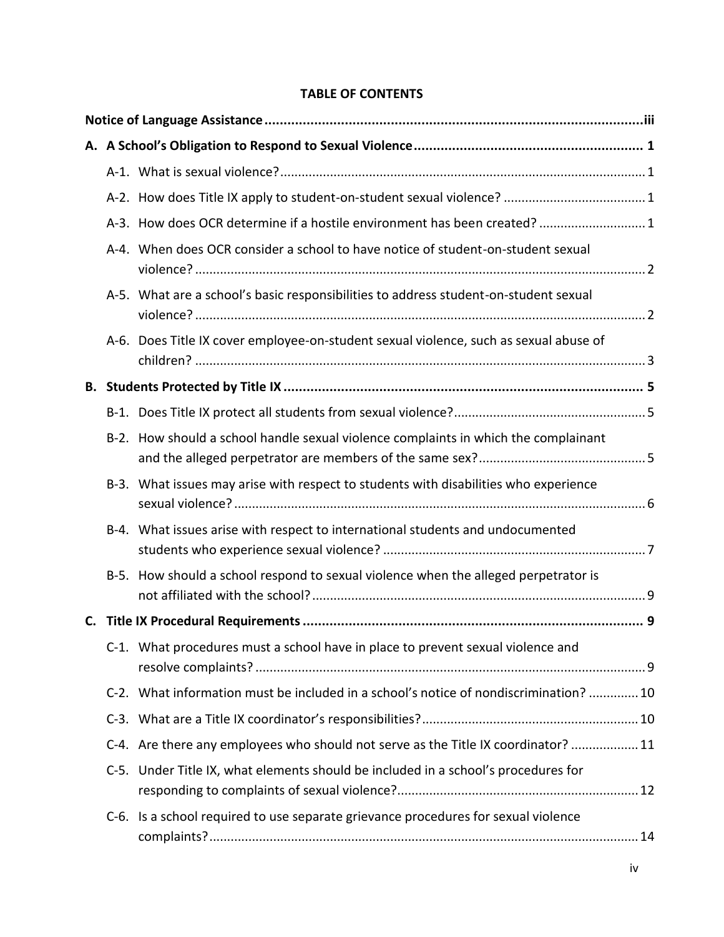## **TABLE OF CONTENTS**

|    | A-3. How does OCR determine if a hostile environment has been created?  1             |  |
|----|---------------------------------------------------------------------------------------|--|
|    | A-4. When does OCR consider a school to have notice of student-on-student sexual      |  |
|    | A-5. What are a school's basic responsibilities to address student-on-student sexual  |  |
|    | A-6. Does Title IX cover employee-on-student sexual violence, such as sexual abuse of |  |
|    |                                                                                       |  |
|    |                                                                                       |  |
|    | B-2. How should a school handle sexual violence complaints in which the complainant   |  |
|    | B-3. What issues may arise with respect to students with disabilities who experience  |  |
|    | B-4. What issues arise with respect to international students and undocumented        |  |
|    | B-5. How should a school respond to sexual violence when the alleged perpetrator is   |  |
| C. |                                                                                       |  |
|    | C-1. What procedures must a school have in place to prevent sexual violence and       |  |
|    | C-2. What information must be included in a school's notice of nondiscrimination?  10 |  |
|    |                                                                                       |  |
|    | C-4. Are there any employees who should not serve as the Title IX coordinator?  11    |  |
|    | C-5. Under Title IX, what elements should be included in a school's procedures for    |  |
|    | C-6. Is a school required to use separate grievance procedures for sexual violence    |  |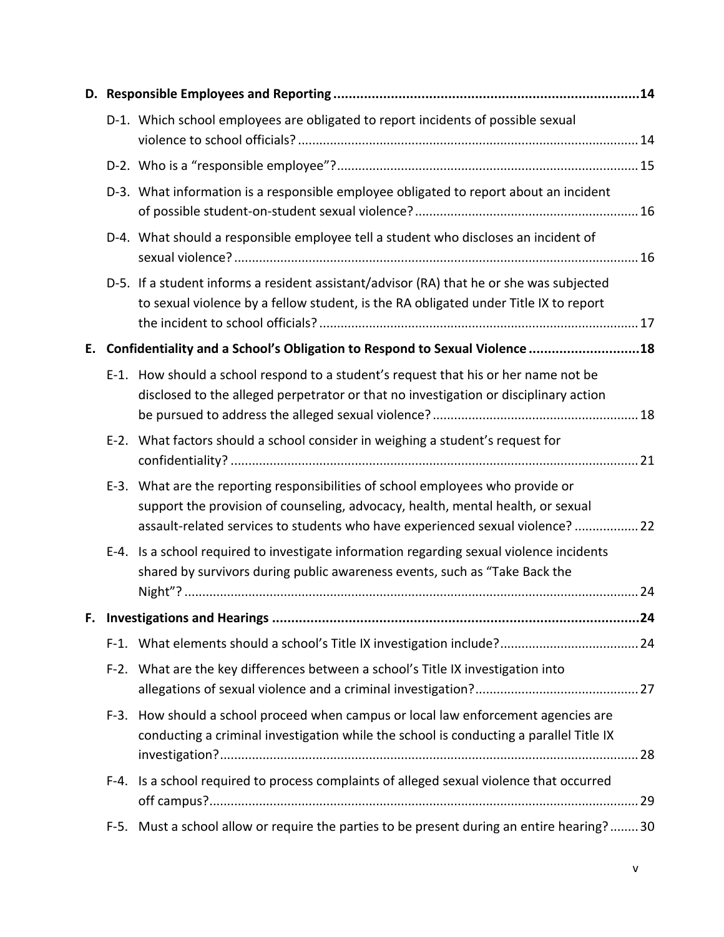|    |      | D-1. Which school employees are obligated to report incidents of possible sexual                                                                                                                                                                     |
|----|------|------------------------------------------------------------------------------------------------------------------------------------------------------------------------------------------------------------------------------------------------------|
|    |      |                                                                                                                                                                                                                                                      |
|    |      | D-3. What information is a responsible employee obligated to report about an incident                                                                                                                                                                |
|    |      | D-4. What should a responsible employee tell a student who discloses an incident of                                                                                                                                                                  |
|    |      | D-5. If a student informs a resident assistant/advisor (RA) that he or she was subjected<br>to sexual violence by a fellow student, is the RA obligated under Title IX to report                                                                     |
| Е. |      | Confidentiality and a School's Obligation to Respond to Sexual Violence 18                                                                                                                                                                           |
|    |      | E-1. How should a school respond to a student's request that his or her name not be<br>disclosed to the alleged perpetrator or that no investigation or disciplinary action                                                                          |
|    |      | E-2. What factors should a school consider in weighing a student's request for                                                                                                                                                                       |
|    |      | E-3. What are the reporting responsibilities of school employees who provide or<br>support the provision of counseling, advocacy, health, mental health, or sexual<br>assault-related services to students who have experienced sexual violence?  22 |
|    |      | E-4. Is a school required to investigate information regarding sexual violence incidents<br>shared by survivors during public awareness events, such as "Take Back the                                                                               |
|    |      |                                                                                                                                                                                                                                                      |
|    |      |                                                                                                                                                                                                                                                      |
|    |      | F-2. What are the key differences between a school's Title IX investigation into                                                                                                                                                                     |
|    |      | F-3. How should a school proceed when campus or local law enforcement agencies are<br>conducting a criminal investigation while the school is conducting a parallel Title IX                                                                         |
|    |      | F-4. Is a school required to process complaints of alleged sexual violence that occurred                                                                                                                                                             |
|    | F-5. | Must a school allow or require the parties to be present during an entire hearing?30                                                                                                                                                                 |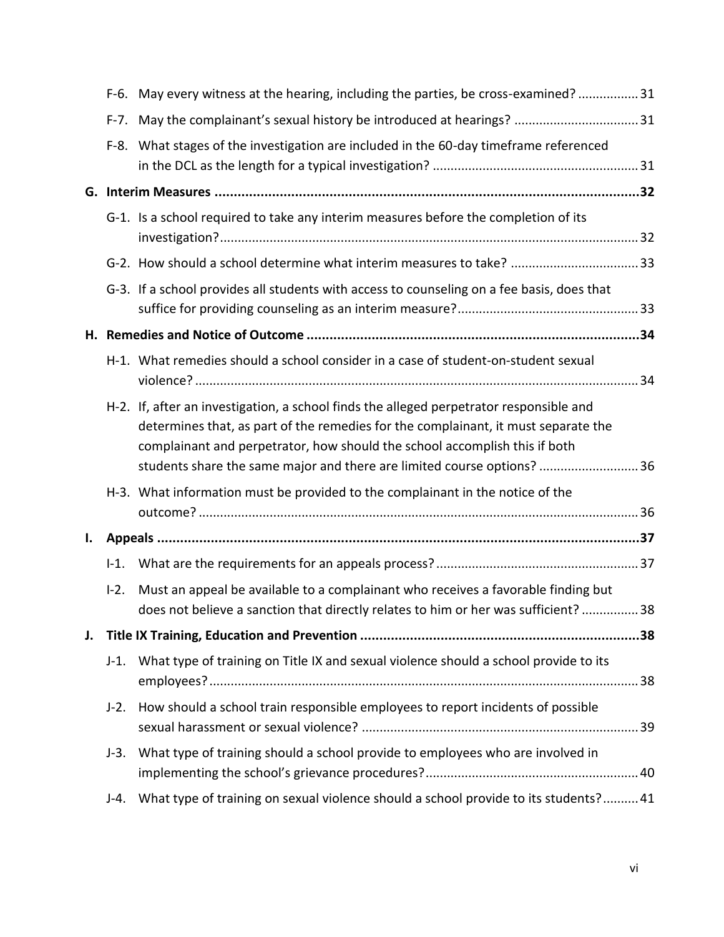|    |        | F-6. May every witness at the hearing, including the parties, be cross-examined? 31                                                                                                                                                                                                                                                    |    |
|----|--------|----------------------------------------------------------------------------------------------------------------------------------------------------------------------------------------------------------------------------------------------------------------------------------------------------------------------------------------|----|
|    |        |                                                                                                                                                                                                                                                                                                                                        |    |
|    |        | F-8. What stages of the investigation are included in the 60-day timeframe referenced                                                                                                                                                                                                                                                  |    |
| G. |        |                                                                                                                                                                                                                                                                                                                                        |    |
|    |        | G-1. Is a school required to take any interim measures before the completion of its                                                                                                                                                                                                                                                    |    |
|    |        |                                                                                                                                                                                                                                                                                                                                        |    |
|    |        | G-3. If a school provides all students with access to counseling on a fee basis, does that                                                                                                                                                                                                                                             |    |
|    |        |                                                                                                                                                                                                                                                                                                                                        |    |
|    |        | H-1. What remedies should a school consider in a case of student-on-student sexual                                                                                                                                                                                                                                                     |    |
|    |        | H-2. If, after an investigation, a school finds the alleged perpetrator responsible and<br>determines that, as part of the remedies for the complainant, it must separate the<br>complainant and perpetrator, how should the school accomplish this if both<br>students share the same major and there are limited course options?  36 |    |
|    |        | H-3. What information must be provided to the complainant in the notice of the                                                                                                                                                                                                                                                         |    |
| I. |        |                                                                                                                                                                                                                                                                                                                                        |    |
|    | $-1.$  |                                                                                                                                                                                                                                                                                                                                        |    |
|    | $I-2.$ | Must an appeal be available to a complainant who receives a favorable finding but<br>does not believe a sanction that directly relates to him or her was sufficient?                                                                                                                                                                   | 38 |
| J. |        |                                                                                                                                                                                                                                                                                                                                        |    |
|    | $J-1.$ | What type of training on Title IX and sexual violence should a school provide to its                                                                                                                                                                                                                                                   |    |
|    | $J-2.$ | How should a school train responsible employees to report incidents of possible                                                                                                                                                                                                                                                        |    |
|    | $J-3.$ | What type of training should a school provide to employees who are involved in                                                                                                                                                                                                                                                         |    |
|    | $J-4.$ | What type of training on sexual violence should a school provide to its students? 41                                                                                                                                                                                                                                                   |    |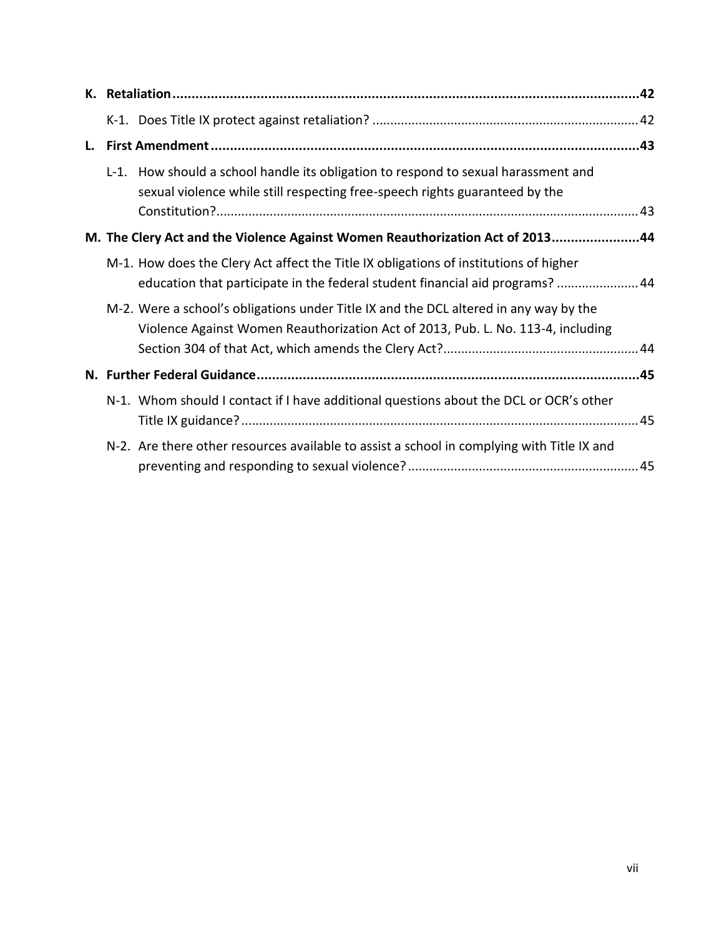| L. |                                                                                                                                                                           |  |
|----|---------------------------------------------------------------------------------------------------------------------------------------------------------------------------|--|
|    | L-1. How should a school handle its obligation to respond to sexual harassment and<br>sexual violence while still respecting free-speech rights guaranteed by the         |  |
|    |                                                                                                                                                                           |  |
|    | M. The Clery Act and the Violence Against Women Reauthorization Act of 201344                                                                                             |  |
|    | M-1. How does the Clery Act affect the Title IX obligations of institutions of higher<br>education that participate in the federal student financial aid programs?  44    |  |
|    | M-2. Were a school's obligations under Title IX and the DCL altered in any way by the<br>Violence Against Women Reauthorization Act of 2013, Pub. L. No. 113-4, including |  |
|    |                                                                                                                                                                           |  |
|    | N-1. Whom should I contact if I have additional questions about the DCL or OCR's other                                                                                    |  |
|    | N-2. Are there other resources available to assist a school in complying with Title IX and                                                                                |  |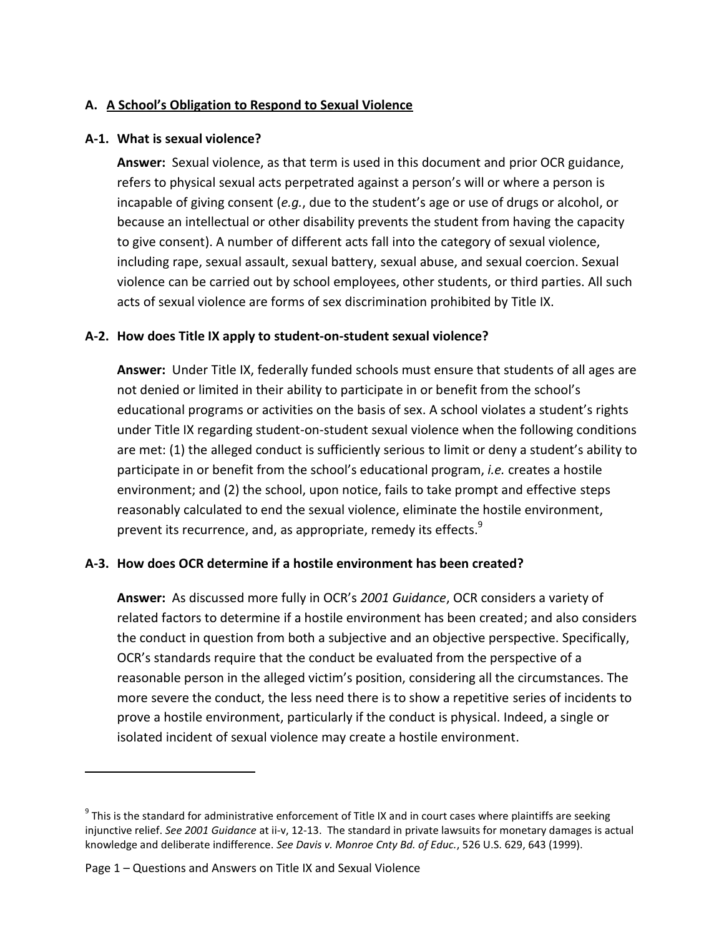### <span id="page-7-0"></span>**A. A School's Obligation to Respond to Sexual Violence**

### <span id="page-7-1"></span>**A-1. What is sexual violence?**

**Answer:** Sexual violence, as that term is used in this document and prior OCR guidance, refers to physical sexual acts perpetrated against a person's will or where a person is incapable of giving consent (*e.g.*, due to the student's age or use of drugs or alcohol, or because an intellectual or other disability prevents the student from having the capacity to give consent). A number of different acts fall into the category of sexual violence, including rape, sexual assault, sexual battery, sexual abuse, and sexual coercion. Sexual violence can be carried out by school employees, other students, or third parties. All such acts of sexual violence are forms of sex discrimination prohibited by Title IX.

### <span id="page-7-2"></span>**A-2. How does Title IX apply to student-on-student sexual violence?**

**Answer:** Under Title IX, federally funded schools must ensure that students of all ages are not denied or limited in their ability to participate in or benefit from the school's educational programs or activities on the basis of sex. A school violates a student's rights under Title IX regarding student-on-student sexual violence when the following conditions are met: (1) the alleged conduct is sufficiently serious to limit or deny a student's ability to participate in or benefit from the school's educational program, *i.e.* creates a hostile environment; and (2) the school, upon notice, fails to take prompt and effective steps reasonably calculated to end the sexual violence, eliminate the hostile environment, prevent its recurrence, and, as appropriate, remedy its effects.<sup>9</sup>

### <span id="page-7-3"></span>**A-3. How does OCR determine if a hostile environment has been created?**

**Answer:** As discussed more fully in OCR's *2001 Guidance*, OCR considers a variety of related factors to determine if a hostile environment has been created; and also considers the conduct in question from both a subjective and an objective perspective. Specifically, OCR's standards require that the conduct be evaluated from the perspective of a reasonable person in the alleged victim's position, considering all the circumstances. The more severe the conduct, the less need there is to show a repetitive series of incidents to prove a hostile environment, particularly if the conduct is physical. Indeed, a single or isolated incident of sexual violence may create a hostile environment.

 $^9$  This is the standard for administrative enforcement of Title IX and in court cases where plaintiffs are seeking injunctive relief. *See 2001 Guidance* at ii-v, 12-13. The standard in private lawsuits for monetary damages is actual knowledge and deliberate indifference. *See Davis v. Monroe Cnty Bd. of Educ.*, 526 U.S. 629, 643 (1999).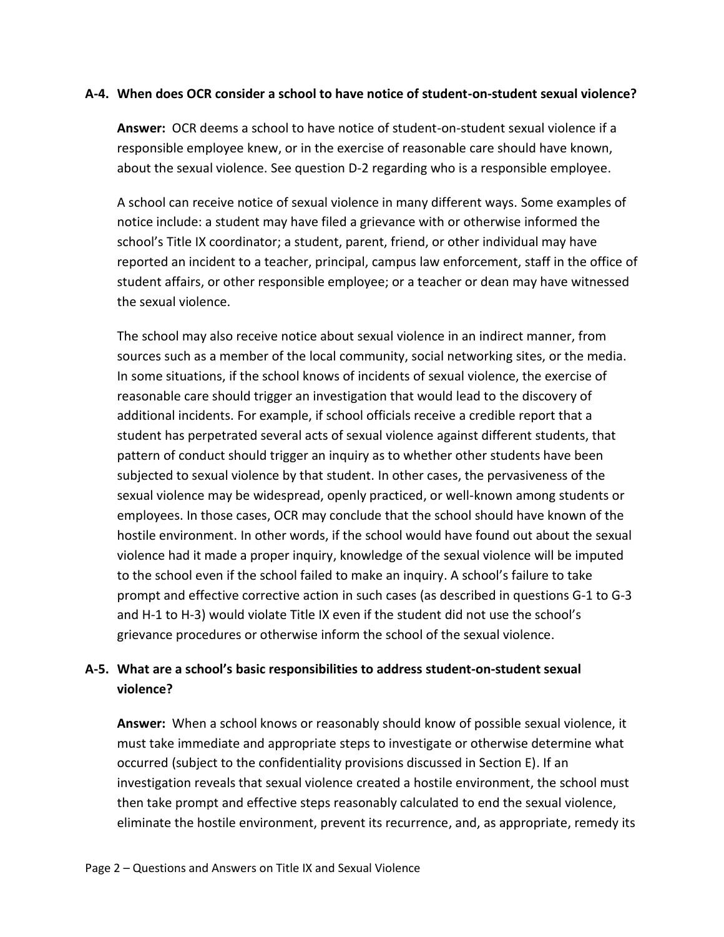#### <span id="page-8-0"></span>**A-4. When does OCR consider a school to have notice of student-on-student sexual violence?**

**Answer:** OCR deems a school to have notice of student-on-student sexual violence if a responsible employee knew, or in the exercise of reasonable care should have known, about the sexual violence. See question D-2 regarding who is a responsible employee.

A school can receive notice of sexual violence in many different ways. Some examples of notice include: a student may have filed a grievance with or otherwise informed the school's Title IX coordinator; a student, parent, friend, or other individual may have reported an incident to a teacher, principal, campus law enforcement, staff in the office of student affairs, or other responsible employee; or a teacher or dean may have witnessed the sexual violence.

The school may also receive notice about sexual violence in an indirect manner, from sources such as a member of the local community, social networking sites, or the media. In some situations, if the school knows of incidents of sexual violence, the exercise of reasonable care should trigger an investigation that would lead to the discovery of additional incidents. For example, if school officials receive a credible report that a student has perpetrated several acts of sexual violence against different students, that pattern of conduct should trigger an inquiry as to whether other students have been subjected to sexual violence by that student. In other cases, the pervasiveness of the sexual violence may be widespread, openly practiced, or well-known among students or employees. In those cases, OCR may conclude that the school should have known of the hostile environment. In other words, if the school would have found out about the sexual violence had it made a proper inquiry, knowledge of the sexual violence will be imputed to the school even if the school failed to make an inquiry. A school's failure to take prompt and effective corrective action in such cases (as described in questions G-1 to G-3 and H-1 to H-3) would violate Title IX even if the student did not use the school's grievance procedures or otherwise inform the school of the sexual violence.

### <span id="page-8-1"></span>**A-5. What are a school's basic responsibilities to address student-on-student sexual violence?**

**Answer:** When a school knows or reasonably should know of possible sexual violence, it must take immediate and appropriate steps to investigate or otherwise determine what occurred (subject to the confidentiality provisions discussed in Section E). If an investigation reveals that sexual violence created a hostile environment, the school must then take prompt and effective steps reasonably calculated to end the sexual violence, eliminate the hostile environment, prevent its recurrence, and, as appropriate, remedy its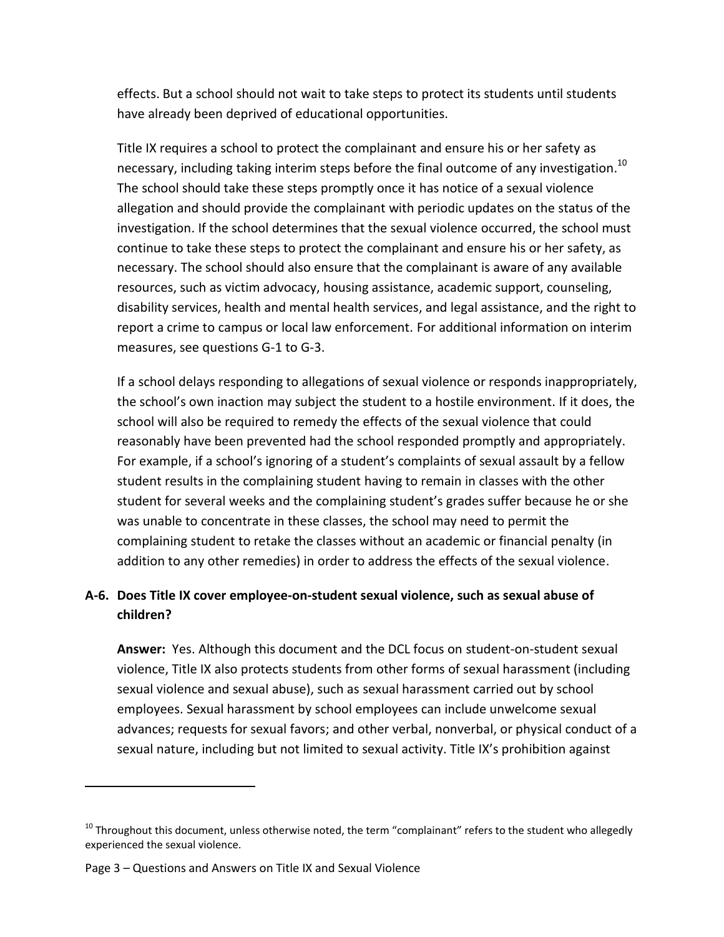effects. But a school should not wait to take steps to protect its students until students have already been deprived of educational opportunities.

Title IX requires a school to protect the complainant and ensure his or her safety as necessary, including taking interim steps before the final outcome of any investigation.<sup>10</sup> The school should take these steps promptly once it has notice of a sexual violence allegation and should provide the complainant with periodic updates on the status of the investigation. If the school determines that the sexual violence occurred, the school must continue to take these steps to protect the complainant and ensure his or her safety, as necessary. The school should also ensure that the complainant is aware of any available resources, such as victim advocacy, housing assistance, academic support, counseling, disability services, health and mental health services, and legal assistance, and the right to report a crime to campus or local law enforcement. For additional information on interim measures, see questions G-1 to G-3.

If a school delays responding to allegations of sexual violence or responds inappropriately, the school's own inaction may subject the student to a hostile environment. If it does, the school will also be required to remedy the effects of the sexual violence that could reasonably have been prevented had the school responded promptly and appropriately. For example, if a school's ignoring of a student's complaints of sexual assault by a fellow student results in the complaining student having to remain in classes with the other student for several weeks and the complaining student's grades suffer because he or she was unable to concentrate in these classes, the school may need to permit the complaining student to retake the classes without an academic or financial penalty (in addition to any other remedies) in order to address the effects of the sexual violence.

## <span id="page-9-0"></span>**A-6. Does Title IX cover employee-on-student sexual violence, such as sexual abuse of children?**

**Answer:** Yes. Although this document and the DCL focus on student-on-student sexual violence, Title IX also protects students from other forms of sexual harassment (including sexual violence and sexual abuse), such as sexual harassment carried out by school employees. Sexual harassment by school employees can include unwelcome sexual advances; requests for sexual favors; and other verbal, nonverbal, or physical conduct of a sexual nature, including but not limited to sexual activity. Title IX's prohibition against

 $10$  Throughout this document, unless otherwise noted, the term "complainant" refers to the student who allegedly experienced the sexual violence.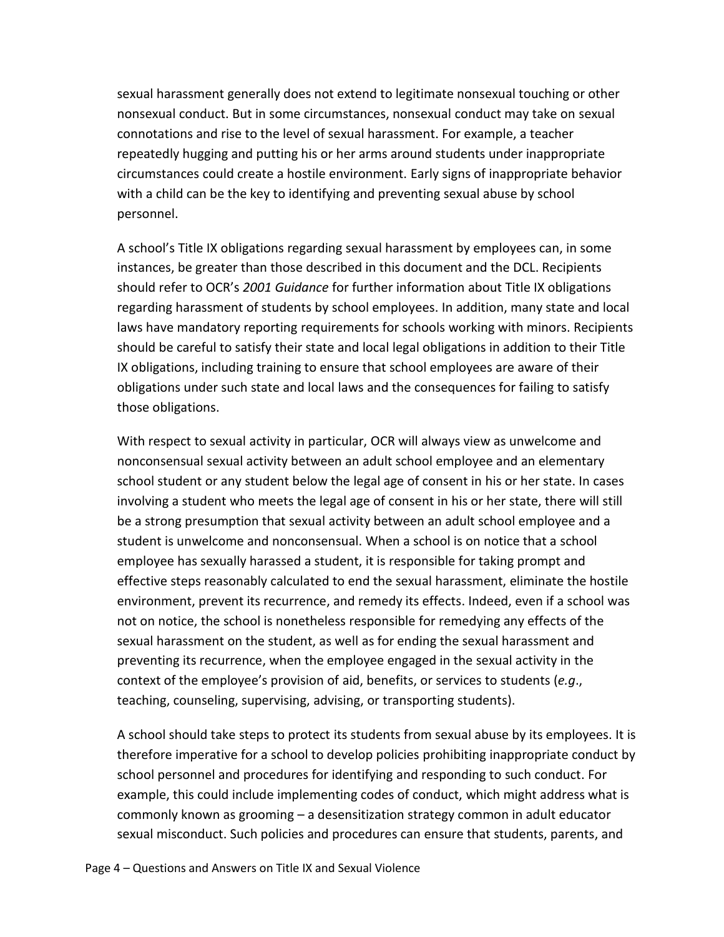sexual harassment generally does not extend to legitimate nonsexual touching or other nonsexual conduct. But in some circumstances, nonsexual conduct may take on sexual connotations and rise to the level of sexual harassment. For example, a teacher repeatedly hugging and putting his or her arms around students under inappropriate circumstances could create a hostile environment. Early signs of inappropriate behavior with a child can be the key to identifying and preventing sexual abuse by school personnel.

A school's Title IX obligations regarding sexual harassment by employees can, in some instances, be greater than those described in this document and the DCL. Recipients should refer to OCR's *2001 Guidance* for further information about Title IX obligations regarding harassment of students by school employees. In addition, many state and local laws have mandatory reporting requirements for schools working with minors. Recipients should be careful to satisfy their state and local legal obligations in addition to their Title IX obligations, including training to ensure that school employees are aware of their obligations under such state and local laws and the consequences for failing to satisfy those obligations.

With respect to sexual activity in particular, OCR will always view as unwelcome and nonconsensual sexual activity between an adult school employee and an elementary school student or any student below the legal age of consent in his or her state. In cases involving a student who meets the legal age of consent in his or her state, there will still be a strong presumption that sexual activity between an adult school employee and a student is unwelcome and nonconsensual. When a school is on notice that a school employee has sexually harassed a student, it is responsible for taking prompt and effective steps reasonably calculated to end the sexual harassment, eliminate the hostile environment, prevent its recurrence, and remedy its effects. Indeed, even if a school was not on notice, the school is nonetheless responsible for remedying any effects of the sexual harassment on the student, as well as for ending the sexual harassment and preventing its recurrence, when the employee engaged in the sexual activity in the context of the employee's provision of aid, benefits, or services to students (*e.g*., teaching, counseling, supervising, advising, or transporting students).

A school should take steps to protect its students from sexual abuse by its employees. It is therefore imperative for a school to develop policies prohibiting inappropriate conduct by school personnel and procedures for identifying and responding to such conduct. For example, this could include implementing codes of conduct, which might address what is commonly known as grooming – a desensitization strategy common in adult educator sexual misconduct. Such policies and procedures can ensure that students, parents, and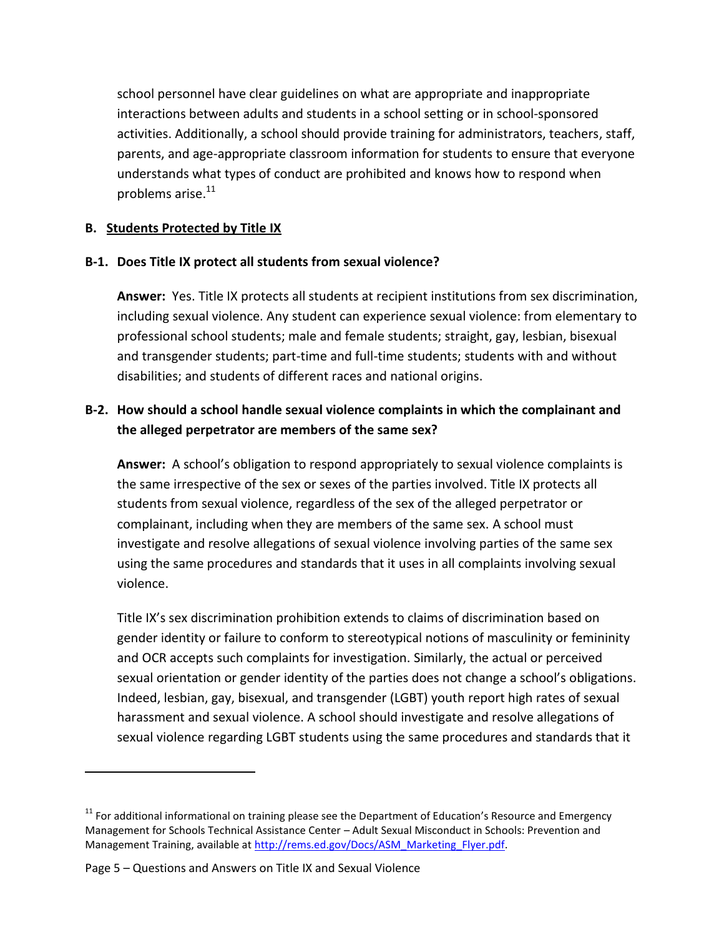school personnel have clear guidelines on what are appropriate and inappropriate interactions between adults and students in a school setting or in school-sponsored activities. Additionally, a school should provide training for administrators, teachers, staff, parents, and age-appropriate classroom information for students to ensure that everyone understands what types of conduct are prohibited and knows how to respond when problems arise.<sup>11</sup>

### <span id="page-11-0"></span>**B. Students Protected by Title IX**

### <span id="page-11-1"></span>**B-1. Does Title IX protect all students from sexual violence?**

**Answer:** Yes. Title IX protects all students at recipient institutions from sex discrimination, including sexual violence. Any student can experience sexual violence: from elementary to professional school students; male and female students; straight, gay, lesbian, bisexual and transgender students; part-time and full-time students; students with and without disabilities; and students of different races and national origins.

## <span id="page-11-2"></span>**B-2. How should a school handle sexual violence complaints in which the complainant and the alleged perpetrator are members of the same sex?**

**Answer:** A school's obligation to respond appropriately to sexual violence complaints is the same irrespective of the sex or sexes of the parties involved. Title IX protects all students from sexual violence, regardless of the sex of the alleged perpetrator or complainant, including when they are members of the same sex. A school must investigate and resolve allegations of sexual violence involving parties of the same sex using the same procedures and standards that it uses in all complaints involving sexual violence.

Title IX's sex discrimination prohibition extends to claims of discrimination based on gender identity or failure to conform to stereotypical notions of masculinity or femininity and OCR accepts such complaints for investigation. Similarly, the actual or perceived sexual orientation or gender identity of the parties does not change a school's obligations. Indeed, lesbian, gay, bisexual, and transgender (LGBT) youth report high rates of sexual harassment and sexual violence. A school should investigate and resolve allegations of sexual violence regarding LGBT students using the same procedures and standards that it

 $11$  For additional informational on training please see the Department of Education's Resource and Emergency Management for Schools Technical Assistance Center – Adult Sexual Misconduct in Schools: Prevention and Management Training, available at [http://rems.ed.gov/Docs/ASM\\_Marketing\\_Flyer.pdf.](http://rems.ed.gov/Docs/ASM_Marketing_Flyer.pdf)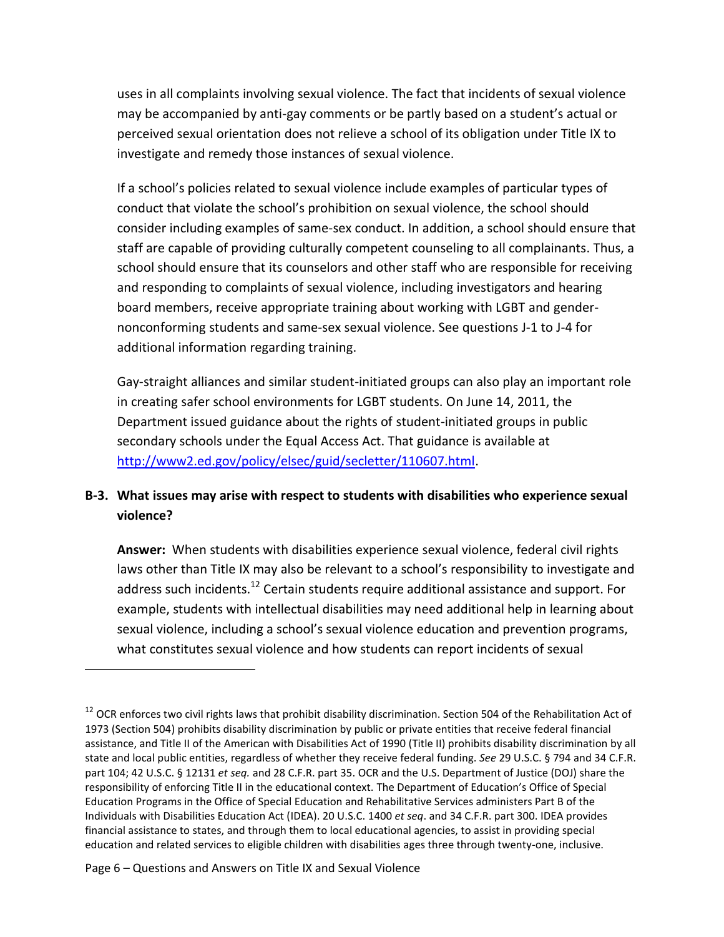uses in all complaints involving sexual violence. The fact that incidents of sexual violence may be accompanied by anti-gay comments or be partly based on a student's actual or perceived sexual orientation does not relieve a school of its obligation under Title IX to investigate and remedy those instances of sexual violence.

If a school's policies related to sexual violence include examples of particular types of conduct that violate the school's prohibition on sexual violence, the school should consider including examples of same-sex conduct. In addition, a school should ensure that staff are capable of providing culturally competent counseling to all complainants. Thus, a school should ensure that its counselors and other staff who are responsible for receiving and responding to complaints of sexual violence, including investigators and hearing board members, receive appropriate training about working with LGBT and gendernonconforming students and same-sex sexual violence. See questions J-1 to J-4 for additional information regarding training.

Gay-straight alliances and similar student-initiated groups can also play an important role in creating safer school environments for LGBT students. On June 14, 2011, the Department issued guidance about the rights of student-initiated groups in public secondary schools under the Equal Access Act. That guidance is available at [http://www2.ed.gov/policy/elsec/guid/secletter/110607.html.](http://www2.ed.gov/policy/elsec/guid/secletter/110607.html)

### <span id="page-12-0"></span>**B-3. What issues may arise with respect to students with disabilities who experience sexual violence?**

**Answer:** When students with disabilities experience sexual violence, federal civil rights laws other than Title IX may also be relevant to a school's responsibility to investigate and address such incidents.<sup>12</sup> Certain students require additional assistance and support. For example, students with intellectual disabilities may need additional help in learning about sexual violence, including a school's sexual violence education and prevention programs, what constitutes sexual violence and how students can report incidents of sexual

 $12$  OCR enforces two civil rights laws that prohibit disability discrimination. Section 504 of the Rehabilitation Act of 1973 (Section 504) prohibits disability discrimination by public or private entities that receive federal financial assistance, and Title II of the American with Disabilities Act of 1990 (Title II) prohibits disability discrimination by all state and local public entities, regardless of whether they receive federal funding. *See* 29 U.S.C. § 794 and 34 C.F.R. part 104; 42 U.S.C. § 12131 *et seq.* and 28 C.F.R. part 35. OCR and the U.S. Department of Justice (DOJ) share the responsibility of enforcing Title II in the educational context. The Department of Education's Office of Special Education Programs in the Office of Special Education and Rehabilitative Services administers Part B of the Individuals with Disabilities Education Act (IDEA). 20 U.S.C. 1400 *et seq*. and 34 C.F.R. part 300. IDEA provides financial assistance to states, and through them to local educational agencies, to assist in providing special education and related services to eligible children with disabilities ages three through twenty-one, inclusive.

Page 6 – Questions and Answers on Title IX and Sexual Violence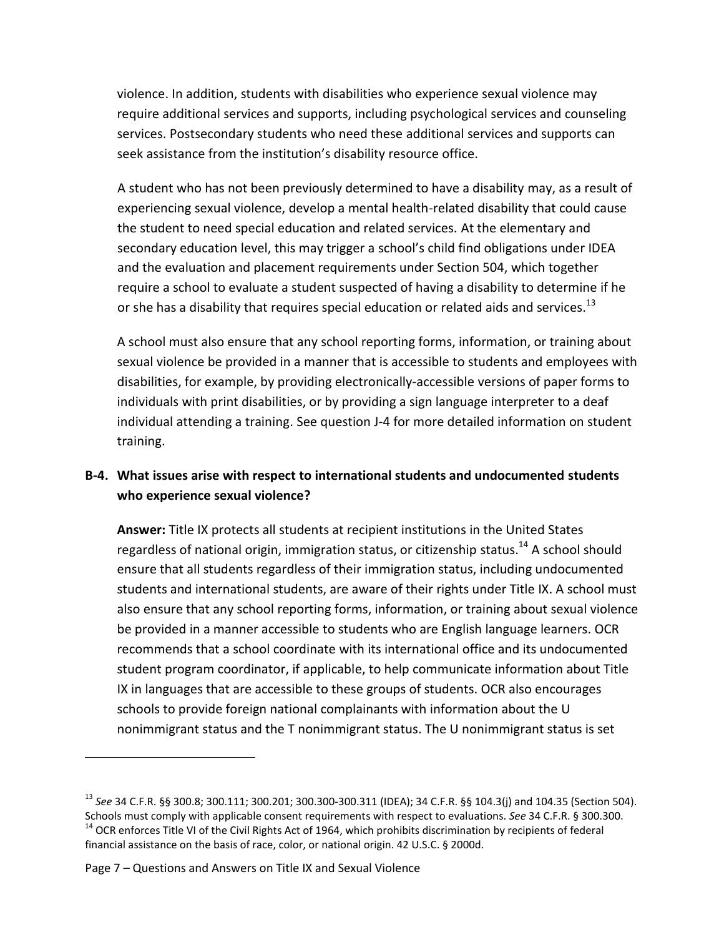violence. In addition, students with disabilities who experience sexual violence may require additional services and supports, including psychological services and counseling services. Postsecondary students who need these additional services and supports can seek assistance from the institution's disability resource office.

A student who has not been previously determined to have a disability may, as a result of experiencing sexual violence, develop a mental health-related disability that could cause the student to need special education and related services. At the elementary and secondary education level, this may trigger a school's child find obligations under IDEA and the evaluation and placement requirements under Section 504, which together require a school to evaluate a student suspected of having a disability to determine if he or she has a disability that requires special education or related aids and services.<sup>13</sup>

A school must also ensure that any school reporting forms, information, or training about sexual violence be provided in a manner that is accessible to students and employees with disabilities, for example, by providing electronically-accessible versions of paper forms to individuals with print disabilities, or by providing a sign language interpreter to a deaf individual attending a training. See question J-4 for more detailed information on student training.

## <span id="page-13-0"></span>**B-4. What issues arise with respect to international students and undocumented students who experience sexual violence?**

**Answer:** Title IX protects all students at recipient institutions in the United States regardless of national origin, immigration status, or citizenship status.<sup>14</sup> A school should ensure that all students regardless of their immigration status, including undocumented students and international students, are aware of their rights under Title IX. A school must also ensure that any school reporting forms, information, or training about sexual violence be provided in a manner accessible to students who are English language learners. OCR recommends that a school coordinate with its international office and its undocumented student program coordinator, if applicable, to help communicate information about Title IX in languages that are accessible to these groups of students. OCR also encourages schools to provide foreign national complainants with information about the U nonimmigrant status and the T nonimmigrant status. The U nonimmigrant status is set

 $\overline{a}$ 

<sup>13</sup> *See* 34 C.F.R. §§ 300.8; 300.111; 300.201; 300.300-300.311 (IDEA); 34 C.F.R. §§ 104.3(j) and 104.35 (Section 504). Schools must comply with applicable consent requirements with respect to evaluations. *See* 34 C.F.R. § 300.300.  $14$  OCR enforces Title VI of the Civil Rights Act of 1964, which prohibits discrimination by recipients of federal financial assistance on the basis of race, color, or national origin. 42 U.S.C. § 2000d.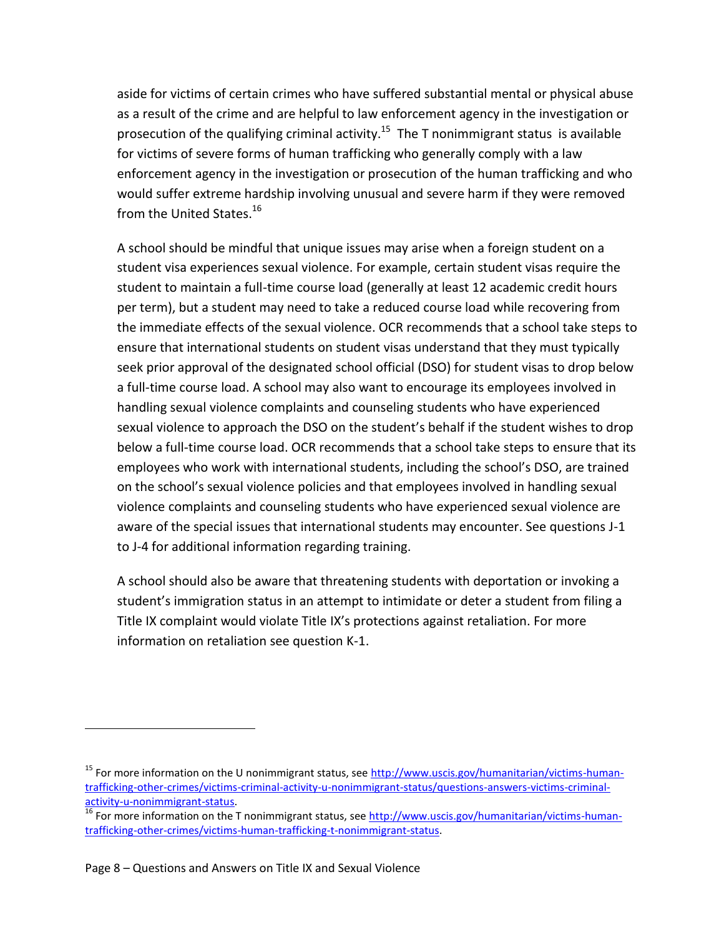aside for victims of certain crimes who have suffered substantial mental or physical abuse as a result of the crime and are helpful to law enforcement agency in the investigation or prosecution of the qualifying criminal activity.<sup>15</sup> The T nonimmigrant status is available for victims of severe forms of human trafficking who generally comply with a law enforcement agency in the investigation or prosecution of the human trafficking and who would suffer extreme hardship involving unusual and severe harm if they were removed from the United States.<sup>16</sup>

A school should be mindful that unique issues may arise when a foreign student on a student visa experiences sexual violence. For example, certain student visas require the student to maintain a full-time course load (generally at least 12 academic credit hours per term), but a student may need to take a reduced course load while recovering from the immediate effects of the sexual violence. OCR recommends that a school take steps to ensure that international students on student visas understand that they must typically seek prior approval of the designated school official (DSO) for student visas to drop below a full-time course load. A school may also want to encourage its employees involved in handling sexual violence complaints and counseling students who have experienced sexual violence to approach the DSO on the student's behalf if the student wishes to drop below a full-time course load. OCR recommends that a school take steps to ensure that its employees who work with international students, including the school's DSO, are trained on the school's sexual violence policies and that employees involved in handling sexual violence complaints and counseling students who have experienced sexual violence are aware of the special issues that international students may encounter. See questions J-1 to J-4 for additional information regarding training.

A school should also be aware that threatening students with deportation or invoking a student's immigration status in an attempt to intimidate or deter a student from filing a Title IX complaint would violate Title IX's protections against retaliation. For more information on retaliation see question K-1.

l

<sup>&</sup>lt;sup>15</sup> For more information on the U nonimmigrant status, see [http://www.uscis.gov/humanitarian/victims-human](http://www.uscis.gov/humanitarian/victims-human-trafficking-other-crimes/victims-criminal-activity-u-nonimmigrant-status/questions-answers-victims-criminal-activity-u-nonimmigrant-status)[trafficking-other-crimes/victims-criminal-activity-u-nonimmigrant-status/questions-answers-victims-criminal](http://www.uscis.gov/humanitarian/victims-human-trafficking-other-crimes/victims-criminal-activity-u-nonimmigrant-status/questions-answers-victims-criminal-activity-u-nonimmigrant-status)[activity-u-nonimmigrant-status.](http://www.uscis.gov/humanitarian/victims-human-trafficking-other-crimes/victims-criminal-activity-u-nonimmigrant-status/questions-answers-victims-criminal-activity-u-nonimmigrant-status)

<sup>&</sup>lt;sup>16</sup> For more information on the T nonimmigrant status, see [http://www.uscis.gov/humanitarian/victims-human](http://www.uscis.gov/humanitarian/victims-human-trafficking-other-crimes/victims-human-trafficking-t-nonimmigrant-status)[trafficking-other-crimes/victims-human-trafficking-t-nonimmigrant-status.](http://www.uscis.gov/humanitarian/victims-human-trafficking-other-crimes/victims-human-trafficking-t-nonimmigrant-status)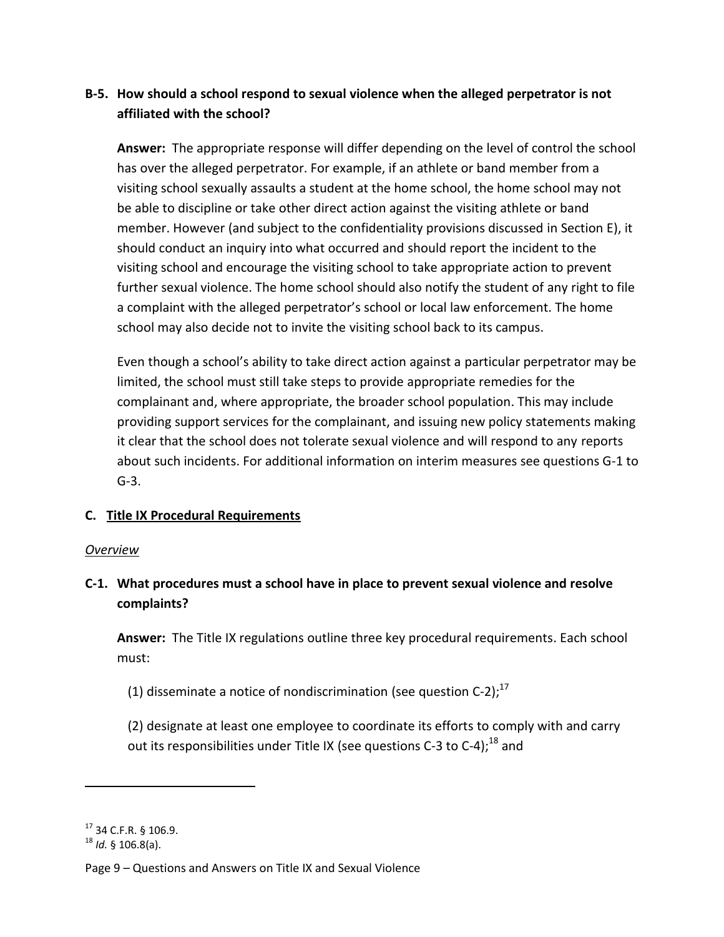## <span id="page-15-0"></span>**B-5. How should a school respond to sexual violence when the alleged perpetrator is not affiliated with the school?**

**Answer:** The appropriate response will differ depending on the level of control the school has over the alleged perpetrator. For example, if an athlete or band member from a visiting school sexually assaults a student at the home school, the home school may not be able to discipline or take other direct action against the visiting athlete or band member. However (and subject to the confidentiality provisions discussed in Section E), it should conduct an inquiry into what occurred and should report the incident to the visiting school and encourage the visiting school to take appropriate action to prevent further sexual violence. The home school should also notify the student of any right to file a complaint with the alleged perpetrator's school or local law enforcement. The home school may also decide not to invite the visiting school back to its campus.

Even though a school's ability to take direct action against a particular perpetrator may be limited, the school must still take steps to provide appropriate remedies for the complainant and, where appropriate, the broader school population. This may include providing support services for the complainant, and issuing new policy statements making it clear that the school does not tolerate sexual violence and will respond to any reports about such incidents. For additional information on interim measures see questions G-1 to G-3.

### <span id="page-15-1"></span>**C. Title IX Procedural Requirements**

### *Overview*

## <span id="page-15-2"></span>**C-1. What procedures must a school have in place to prevent sexual violence and resolve complaints?**

**Answer:** The Title IX regulations outline three key procedural requirements. Each school must:

(1) disseminate a notice of nondiscrimination (see question C-2);<sup>17</sup>

(2) designate at least one employee to coordinate its efforts to comply with and carry out its responsibilities under Title IX (see questions C-3 to C-4);<sup>18</sup> and

 $17$  34 C.F.R. § 106.9.

<sup>18</sup> *Id.* § 106.8(a).

Page 9 – Questions and Answers on Title IX and Sexual Violence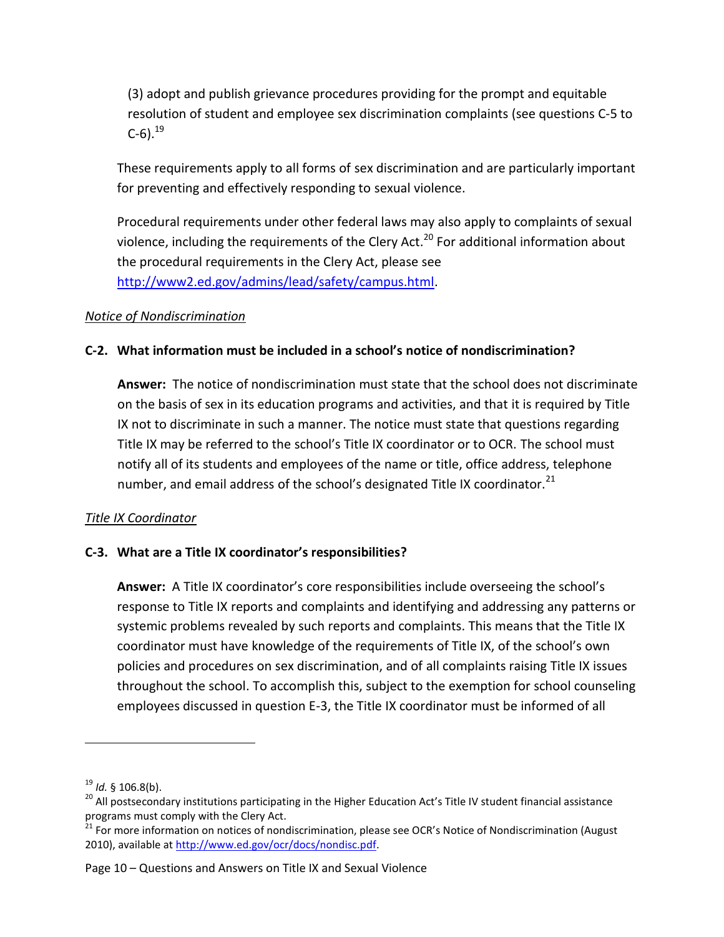(3) adopt and publish grievance procedures providing for the prompt and equitable resolution of student and employee sex discrimination complaints (see questions C-5 to C-6). $^{19}$ 

These requirements apply to all forms of sex discrimination and are particularly important for preventing and effectively responding to sexual violence.

Procedural requirements under other federal laws may also apply to complaints of sexual violence, including the requirements of the Clery Act.<sup>20</sup> For additional information about the procedural requirements in the Clery Act, please see [http://www2.ed.gov/admins/lead/safety/campus.html.](http://www2.ed.gov/admins/lead/safety/campus.html)

### *Notice of Nondiscrimination*

### <span id="page-16-0"></span>**C-2. What information must be included in a school's notice of nondiscrimination?**

**Answer:** The notice of nondiscrimination must state that the school does not discriminate on the basis of sex in its education programs and activities, and that it is required by Title IX not to discriminate in such a manner. The notice must state that questions regarding Title IX may be referred to the school's Title IX coordinator or to OCR. The school must notify all of its students and employees of the name or title, office address, telephone number, and email address of the school's designated Title IX coordinator.<sup>21</sup>

### *Title IX Coordinator*

### <span id="page-16-1"></span>**C-3. What are a Title IX coordinator's responsibilities?**

**Answer:** A Title IX coordinator's core responsibilities include overseeing the school's response to Title IX reports and complaints and identifying and addressing any patterns or systemic problems revealed by such reports and complaints. This means that the Title IX coordinator must have knowledge of the requirements of Title IX, of the school's own policies and procedures on sex discrimination, and of all complaints raising Title IX issues throughout the school. To accomplish this, subject to the exemption for school counseling employees discussed in question E-3, the Title IX coordinator must be informed of all

Page 10 – Questions and Answers on Title IX and Sexual Violence

<sup>19</sup> *Id.* § 106.8(b).

<sup>&</sup>lt;sup>20</sup> All postsecondary institutions participating in the Higher Education Act's Title IV student financial assistance programs must comply with the Clery Act.

<sup>&</sup>lt;sup>21</sup> For more information on notices of nondiscrimination, please see OCR's Notice of Nondiscrimination (August 2010), available a[t http://www.ed.gov/ocr/docs/nondisc.pdf.](http://www.ed.gov/ocr/docs/nondisc.pdf)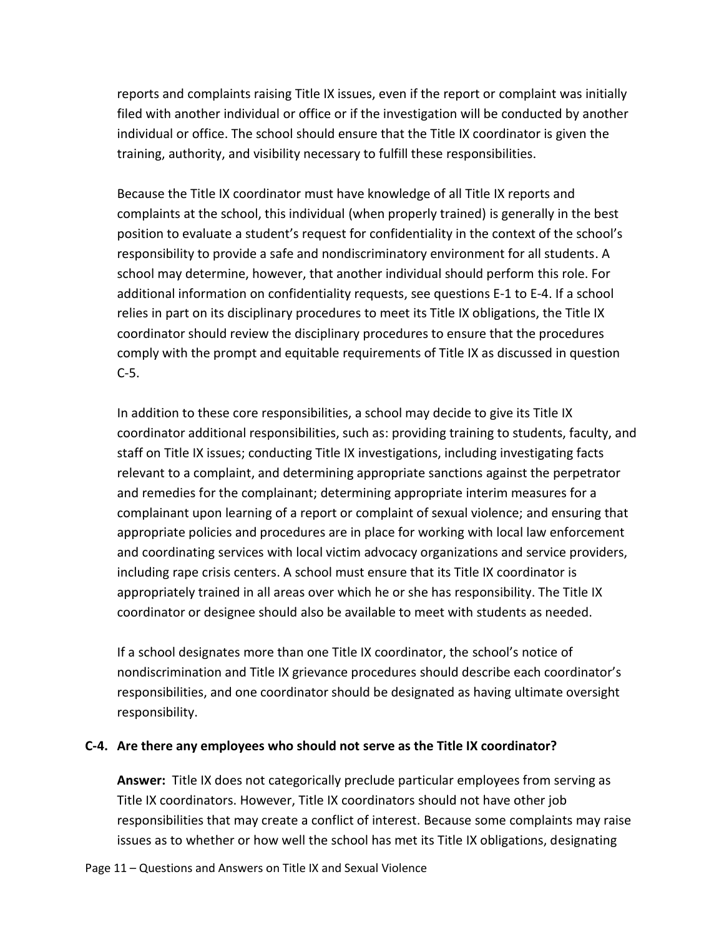reports and complaints raising Title IX issues, even if the report or complaint was initially filed with another individual or office or if the investigation will be conducted by another individual or office. The school should ensure that the Title IX coordinator is given the training, authority, and visibility necessary to fulfill these responsibilities.

Because the Title IX coordinator must have knowledge of all Title IX reports and complaints at the school, this individual (when properly trained) is generally in the best position to evaluate a student's request for confidentiality in the context of the school's responsibility to provide a safe and nondiscriminatory environment for all students. A school may determine, however, that another individual should perform this role. For additional information on confidentiality requests, see questions E-1 to E-4. If a school relies in part on its disciplinary procedures to meet its Title IX obligations, the Title IX coordinator should review the disciplinary procedures to ensure that the procedures comply with the prompt and equitable requirements of Title IX as discussed in question C-5.

In addition to these core responsibilities, a school may decide to give its Title IX coordinator additional responsibilities, such as: providing training to students, faculty, and staff on Title IX issues; conducting Title IX investigations, including investigating facts relevant to a complaint, and determining appropriate sanctions against the perpetrator and remedies for the complainant; determining appropriate interim measures for a complainant upon learning of a report or complaint of sexual violence; and ensuring that appropriate policies and procedures are in place for working with local law enforcement and coordinating services with local victim advocacy organizations and service providers, including rape crisis centers. A school must ensure that its Title IX coordinator is appropriately trained in all areas over which he or she has responsibility. The Title IX coordinator or designee should also be available to meet with students as needed.

If a school designates more than one Title IX coordinator, the school's notice of nondiscrimination and Title IX grievance procedures should describe each coordinator's responsibilities, and one coordinator should be designated as having ultimate oversight responsibility.

#### <span id="page-17-0"></span>**C-4. Are there any employees who should not serve as the Title IX coordinator?**

**Answer:** Title IX does not categorically preclude particular employees from serving as Title IX coordinators. However, Title IX coordinators should not have other job responsibilities that may create a conflict of interest. Because some complaints may raise issues as to whether or how well the school has met its Title IX obligations, designating

Page 11 – Questions and Answers on Title IX and Sexual Violence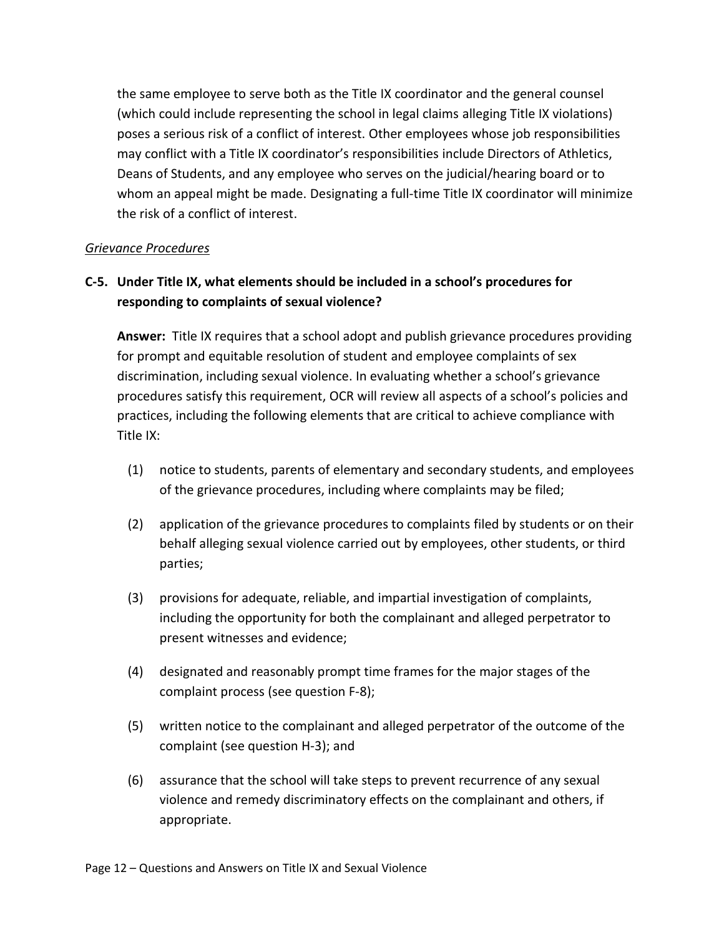the same employee to serve both as the Title IX coordinator and the general counsel (which could include representing the school in legal claims alleging Title IX violations) poses a serious risk of a conflict of interest. Other employees whose job responsibilities may conflict with a Title IX coordinator's responsibilities include Directors of Athletics, Deans of Students, and any employee who serves on the judicial/hearing board or to whom an appeal might be made. Designating a full-time Title IX coordinator will minimize the risk of a conflict of interest.

### *Grievance Procedures*

## <span id="page-18-0"></span>**C-5. Under Title IX, what elements should be included in a school's procedures for responding to complaints of sexual violence?**

**Answer:** Title IX requires that a school adopt and publish grievance procedures providing for prompt and equitable resolution of student and employee complaints of sex discrimination, including sexual violence. In evaluating whether a school's grievance procedures satisfy this requirement, OCR will review all aspects of a school's policies and practices, including the following elements that are critical to achieve compliance with Title IX:

- (1) notice to students, parents of elementary and secondary students, and employees of the grievance procedures, including where complaints may be filed;
- (2) application of the grievance procedures to complaints filed by students or on their behalf alleging sexual violence carried out by employees, other students, or third parties;
- (3) provisions for adequate, reliable, and impartial investigation of complaints, including the opportunity for both the complainant and alleged perpetrator to present witnesses and evidence;
- (4) designated and reasonably prompt time frames for the major stages of the complaint process (see question F-8);
- (5) written notice to the complainant and alleged perpetrator of the outcome of the complaint (see question H-3); and
- (6) assurance that the school will take steps to prevent recurrence of any sexual violence and remedy discriminatory effects on the complainant and others, if appropriate.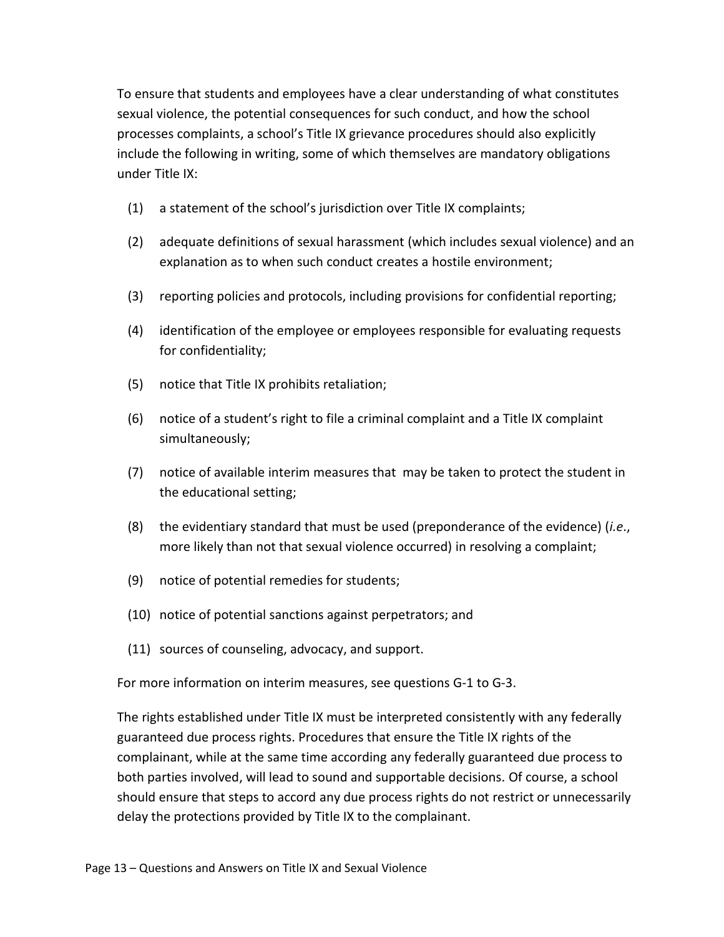To ensure that students and employees have a clear understanding of what constitutes sexual violence, the potential consequences for such conduct, and how the school processes complaints, a school's Title IX grievance procedures should also explicitly include the following in writing, some of which themselves are mandatory obligations under Title IX:

- (1) a statement of the school's jurisdiction over Title IX complaints;
- (2) adequate definitions of sexual harassment (which includes sexual violence) and an explanation as to when such conduct creates a hostile environment;
- (3) reporting policies and protocols, including provisions for confidential reporting;
- (4) identification of the employee or employees responsible for evaluating requests for confidentiality;
- (5) notice that Title IX prohibits retaliation;
- (6) notice of a student's right to file a criminal complaint and a Title IX complaint simultaneously;
- (7) notice of available interim measures that may be taken to protect the student in the educational setting;
- (8) the evidentiary standard that must be used (preponderance of the evidence) (*i.e*., more likely than not that sexual violence occurred) in resolving a complaint;
- (9) notice of potential remedies for students;
- (10) notice of potential sanctions against perpetrators; and
- (11) sources of counseling, advocacy, and support.

For more information on interim measures, see questions G-1 to G-3.

The rights established under Title IX must be interpreted consistently with any federally guaranteed due process rights. Procedures that ensure the Title IX rights of the complainant, while at the same time according any federally guaranteed due process to both parties involved, will lead to sound and supportable decisions. Of course, a school should ensure that steps to accord any due process rights do not restrict or unnecessarily delay the protections provided by Title IX to the complainant.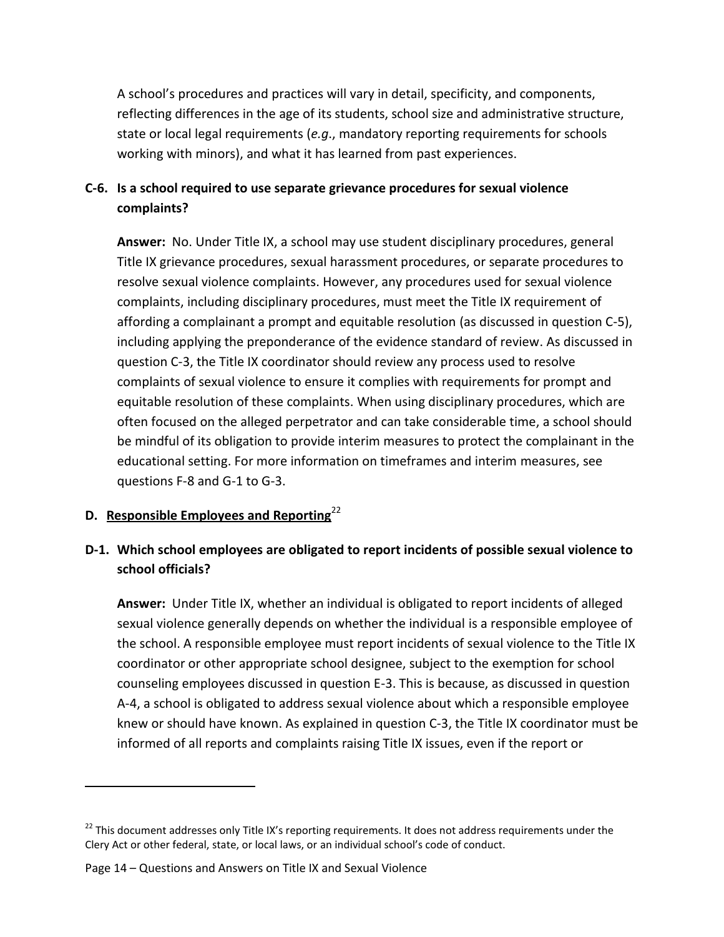A school's procedures and practices will vary in detail, specificity, and components, reflecting differences in the age of its students, school size and administrative structure, state or local legal requirements (*e.g*., mandatory reporting requirements for schools working with minors), and what it has learned from past experiences.

## <span id="page-20-0"></span>**C-6. Is a school required to use separate grievance procedures for sexual violence complaints?**

**Answer:** No. Under Title IX, a school may use student disciplinary procedures, general Title IX grievance procedures, sexual harassment procedures, or separate procedures to resolve sexual violence complaints. However, any procedures used for sexual violence complaints, including disciplinary procedures, must meet the Title IX requirement of affording a complainant a prompt and equitable resolution (as discussed in question C-5), including applying the preponderance of the evidence standard of review. As discussed in question C-3, the Title IX coordinator should review any process used to resolve complaints of sexual violence to ensure it complies with requirements for prompt and equitable resolution of these complaints. When using disciplinary procedures, which are often focused on the alleged perpetrator and can take considerable time, a school should be mindful of its obligation to provide interim measures to protect the complainant in the educational setting. For more information on timeframes and interim measures, see questions F-8 and G-1 to G-3.

### <span id="page-20-1"></span>**D. Responsible Employees and Reporting**<sup>22</sup>

 $\overline{\phantom{a}}$ 

## <span id="page-20-2"></span>**D-1. Which school employees are obligated to report incidents of possible sexual violence to school officials?**

**Answer:** Under Title IX, whether an individual is obligated to report incidents of alleged sexual violence generally depends on whether the individual is a responsible employee of the school. A responsible employee must report incidents of sexual violence to the Title IX coordinator or other appropriate school designee, subject to the exemption for school counseling employees discussed in question E-3. This is because, as discussed in question A-4, a school is obligated to address sexual violence about which a responsible employee knew or should have known. As explained in question C-3, the Title IX coordinator must be informed of all reports and complaints raising Title IX issues, even if the report or

 $22$  This document addresses only Title IX's reporting requirements. It does not address requirements under the Clery Act or other federal, state, or local laws, or an individual school's code of conduct.

Page 14 – Questions and Answers on Title IX and Sexual Violence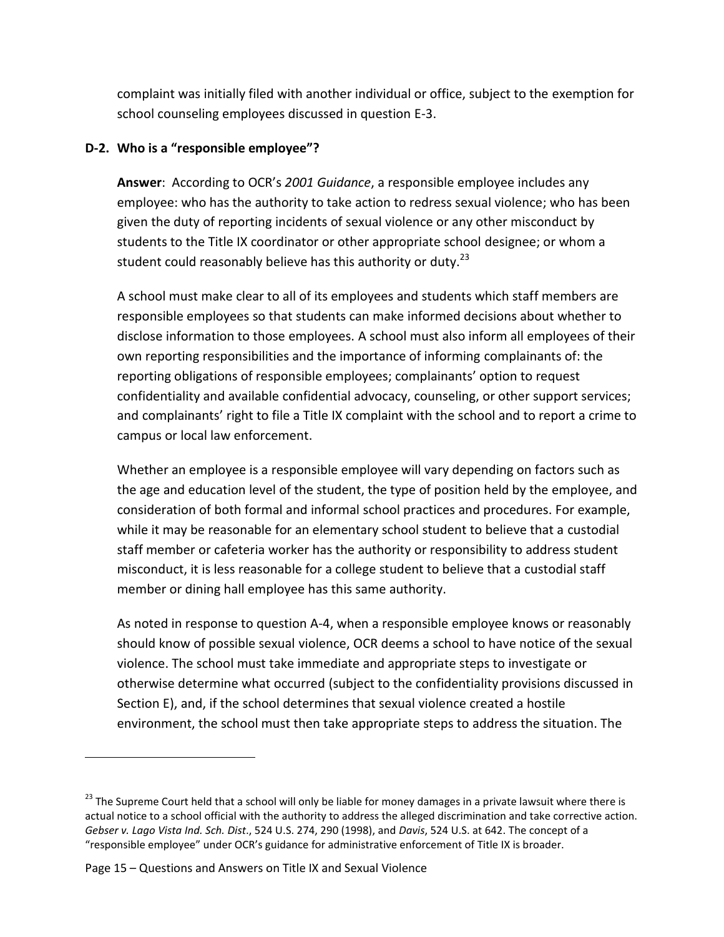complaint was initially filed with another individual or office, subject to the exemption for school counseling employees discussed in question E-3.

### <span id="page-21-0"></span>**D-2. Who is a "responsible employee"?**

**Answer**: According to OCR's *2001 Guidance*, a responsible employee includes any employee: who has the authority to take action to redress sexual violence; who has been given the duty of reporting incidents of sexual violence or any other misconduct by students to the Title IX coordinator or other appropriate school designee; or whom a student could reasonably believe has this authority or duty.<sup>23</sup>

A school must make clear to all of its employees and students which staff members are responsible employees so that students can make informed decisions about whether to disclose information to those employees. A school must also inform all employees of their own reporting responsibilities and the importance of informing complainants of: the reporting obligations of responsible employees; complainants' option to request confidentiality and available confidential advocacy, counseling, or other support services; and complainants' right to file a Title IX complaint with the school and to report a crime to campus or local law enforcement.

Whether an employee is a responsible employee will vary depending on factors such as the age and education level of the student, the type of position held by the employee, and consideration of both formal and informal school practices and procedures. For example, while it may be reasonable for an elementary school student to believe that a custodial staff member or cafeteria worker has the authority or responsibility to address student misconduct, it is less reasonable for a college student to believe that a custodial staff member or dining hall employee has this same authority.

As noted in response to question A-4, when a responsible employee knows or reasonably should know of possible sexual violence, OCR deems a school to have notice of the sexual violence. The school must take immediate and appropriate steps to investigate or otherwise determine what occurred (subject to the confidentiality provisions discussed in Section E), and, if the school determines that sexual violence created a hostile environment, the school must then take appropriate steps to address the situation. The

 $\overline{a}$ 

<sup>&</sup>lt;sup>23</sup> The Supreme Court held that a school will only be liable for money damages in a private lawsuit where there is actual notice to a school official with the authority to address the alleged discrimination and take corrective action. *Gebser v. Lago Vista Ind. Sch. Dist*., 524 U.S. 274, 290 (1998), and *Davis*, 524 U.S. at 642. The concept of a "responsible employee" under OCR's guidance for administrative enforcement of Title IX is broader.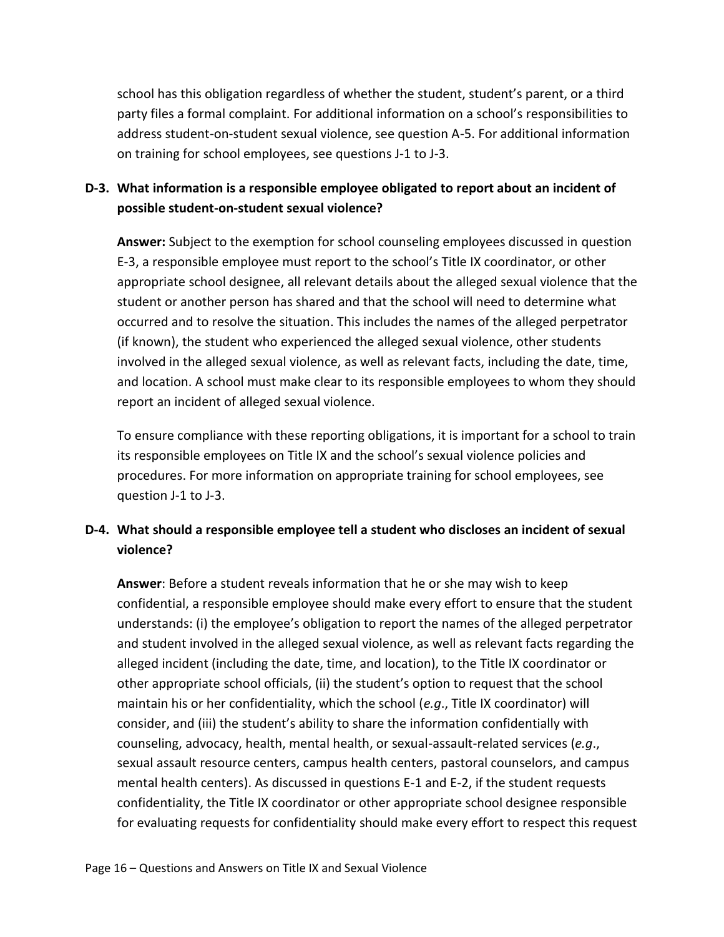school has this obligation regardless of whether the student, student's parent, or a third party files a formal complaint. For additional information on a school's responsibilities to address student-on-student sexual violence, see question A-5. For additional information on training for school employees, see questions J-1 to J-3.

## <span id="page-22-0"></span>**D-3. What information is a responsible employee obligated to report about an incident of possible student-on-student sexual violence?**

**Answer:** Subject to the exemption for school counseling employees discussed in question E-3, a responsible employee must report to the school's Title IX coordinator, or other appropriate school designee, all relevant details about the alleged sexual violence that the student or another person has shared and that the school will need to determine what occurred and to resolve the situation. This includes the names of the alleged perpetrator (if known), the student who experienced the alleged sexual violence, other students involved in the alleged sexual violence, as well as relevant facts, including the date, time, and location. A school must make clear to its responsible employees to whom they should report an incident of alleged sexual violence.

To ensure compliance with these reporting obligations, it is important for a school to train its responsible employees on Title IX and the school's sexual violence policies and procedures. For more information on appropriate training for school employees, see question J-1 to J-3.

## <span id="page-22-1"></span>**D-4. What should a responsible employee tell a student who discloses an incident of sexual violence?**

**Answer**: Before a student reveals information that he or she may wish to keep confidential, a responsible employee should make every effort to ensure that the student understands: (i) the employee's obligation to report the names of the alleged perpetrator and student involved in the alleged sexual violence, as well as relevant facts regarding the alleged incident (including the date, time, and location), to the Title IX coordinator or other appropriate school officials, (ii) the student's option to request that the school maintain his or her confidentiality, which the school (*e.g*., Title IX coordinator) will consider, and (iii) the student's ability to share the information confidentially with counseling, advocacy, health, mental health, or sexual-assault-related services (*e.g*., sexual assault resource centers, campus health centers, pastoral counselors, and campus mental health centers). As discussed in questions E-1 and E-2, if the student requests confidentiality, the Title IX coordinator or other appropriate school designee responsible for evaluating requests for confidentiality should make every effort to respect this request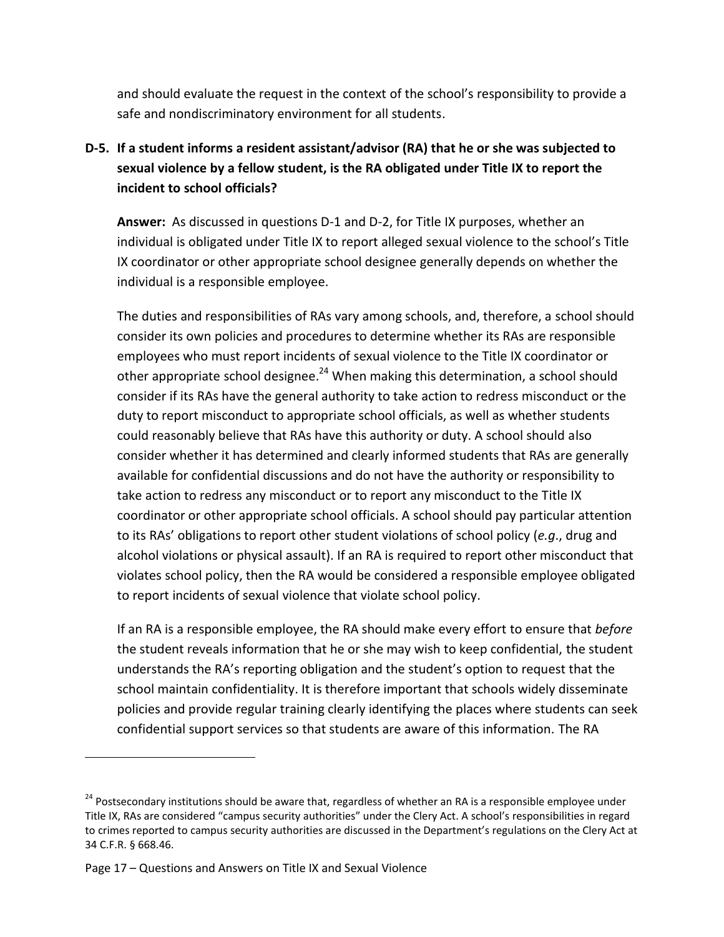and should evaluate the request in the context of the school's responsibility to provide a safe and nondiscriminatory environment for all students.

## <span id="page-23-0"></span>**D-5. If a student informs a resident assistant/advisor (RA) that he or she was subjected to sexual violence by a fellow student, is the RA obligated under Title IX to report the incident to school officials?**

**Answer:** As discussed in questions D-1 and D-2, for Title IX purposes, whether an individual is obligated under Title IX to report alleged sexual violence to the school's Title IX coordinator or other appropriate school designee generally depends on whether the individual is a responsible employee.

The duties and responsibilities of RAs vary among schools, and, therefore, a school should consider its own policies and procedures to determine whether its RAs are responsible employees who must report incidents of sexual violence to the Title IX coordinator or other appropriate school designee.<sup>24</sup> When making this determination, a school should consider if its RAs have the general authority to take action to redress misconduct or the duty to report misconduct to appropriate school officials, as well as whether students could reasonably believe that RAs have this authority or duty. A school should also consider whether it has determined and clearly informed students that RAs are generally available for confidential discussions and do not have the authority or responsibility to take action to redress any misconduct or to report any misconduct to the Title IX coordinator or other appropriate school officials. A school should pay particular attention to its RAs' obligations to report other student violations of school policy (*e.g*., drug and alcohol violations or physical assault). If an RA is required to report other misconduct that violates school policy, then the RA would be considered a responsible employee obligated to report incidents of sexual violence that violate school policy.

If an RA is a responsible employee, the RA should make every effort to ensure that *before* the student reveals information that he or she may wish to keep confidential, the student understands the RA's reporting obligation and the student's option to request that the school maintain confidentiality. It is therefore important that schools widely disseminate policies and provide regular training clearly identifying the places where students can seek confidential support services so that students are aware of this information. The RA

 $\overline{a}$ 

<sup>&</sup>lt;sup>24</sup> Postsecondary institutions should be aware that, regardless of whether an RA is a responsible employee under Title IX, RAs are considered "campus security authorities" under the Clery Act. A school's responsibilities in regard to crimes reported to campus security authorities are discussed in the Department's regulations on the Clery Act at 34 C.F.R. § 668.46.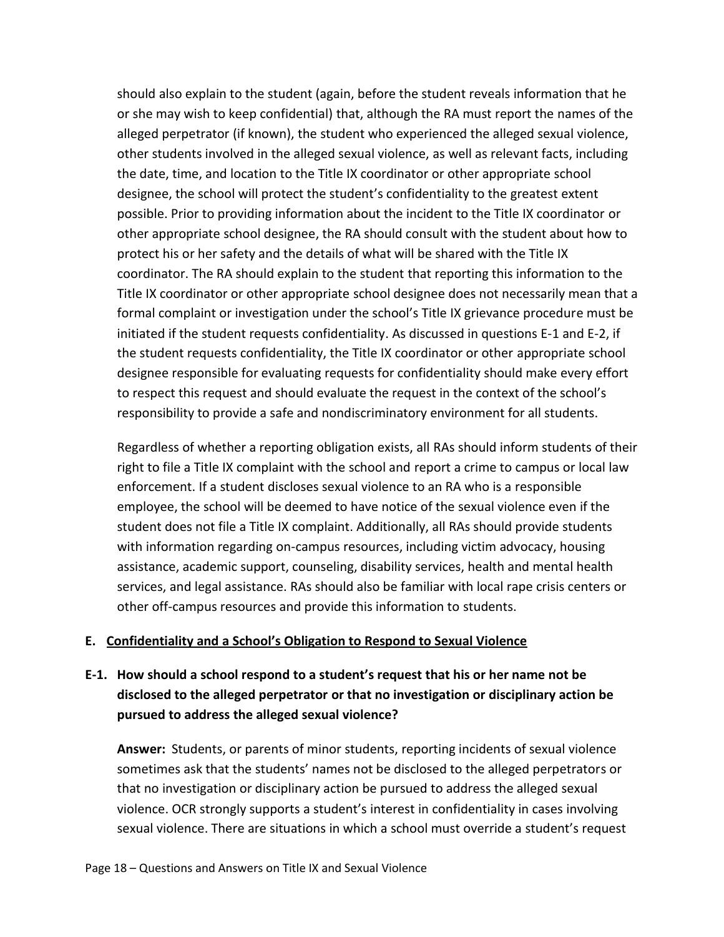should also explain to the student (again, before the student reveals information that he or she may wish to keep confidential) that, although the RA must report the names of the alleged perpetrator (if known), the student who experienced the alleged sexual violence, other students involved in the alleged sexual violence, as well as relevant facts, including the date, time, and location to the Title IX coordinator or other appropriate school designee, the school will protect the student's confidentiality to the greatest extent possible. Prior to providing information about the incident to the Title IX coordinator or other appropriate school designee, the RA should consult with the student about how to protect his or her safety and the details of what will be shared with the Title IX coordinator. The RA should explain to the student that reporting this information to the Title IX coordinator or other appropriate school designee does not necessarily mean that a formal complaint or investigation under the school's Title IX grievance procedure must be initiated if the student requests confidentiality. As discussed in questions E-1 and E-2, if the student requests confidentiality, the Title IX coordinator or other appropriate school designee responsible for evaluating requests for confidentiality should make every effort to respect this request and should evaluate the request in the context of the school's responsibility to provide a safe and nondiscriminatory environment for all students.

Regardless of whether a reporting obligation exists, all RAs should inform students of their right to file a Title IX complaint with the school and report a crime to campus or local law enforcement. If a student discloses sexual violence to an RA who is a responsible employee, the school will be deemed to have notice of the sexual violence even if the student does not file a Title IX complaint. Additionally, all RAs should provide students with information regarding on-campus resources, including victim advocacy, housing assistance, academic support, counseling, disability services, health and mental health services, and legal assistance. RAs should also be familiar with local rape crisis centers or other off-campus resources and provide this information to students.

### <span id="page-24-0"></span>**E. Confidentiality and a School's Obligation to Respond to Sexual Violence**

## <span id="page-24-1"></span>**E-1. How should a school respond to a student's request that his or her name not be disclosed to the alleged perpetrator or that no investigation or disciplinary action be pursued to address the alleged sexual violence?**

**Answer:** Students, or parents of minor students, reporting incidents of sexual violence sometimes ask that the students' names not be disclosed to the alleged perpetrators or that no investigation or disciplinary action be pursued to address the alleged sexual violence. OCR strongly supports a student's interest in confidentiality in cases involving sexual violence. There are situations in which a school must override a student's request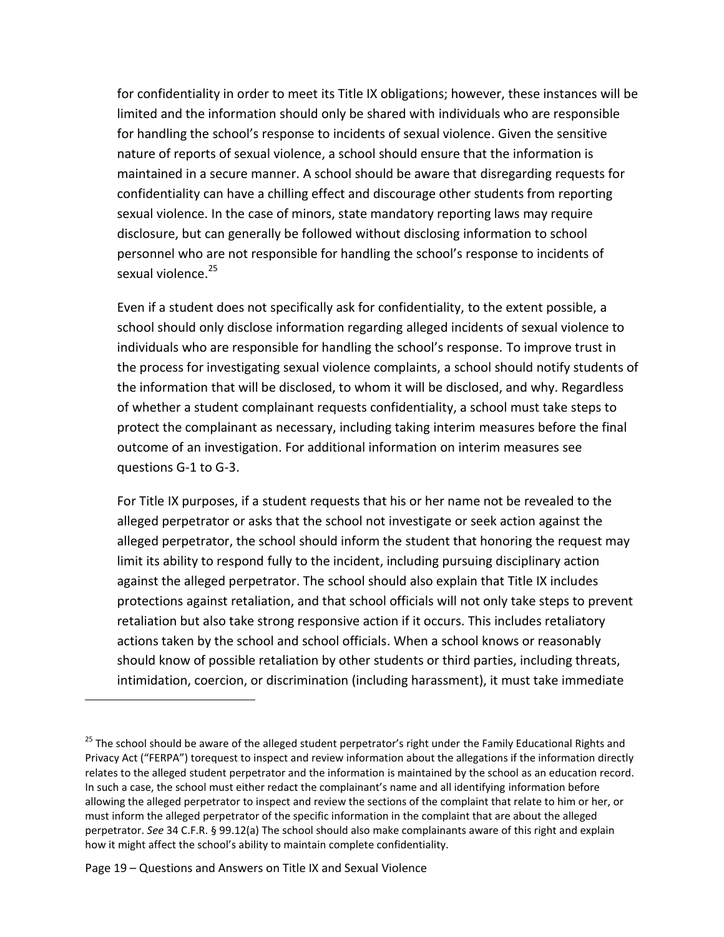for confidentiality in order to meet its Title IX obligations; however, these instances will be limited and the information should only be shared with individuals who are responsible for handling the school's response to incidents of sexual violence. Given the sensitive nature of reports of sexual violence, a school should ensure that the information is maintained in a secure manner. A school should be aware that disregarding requests for confidentiality can have a chilling effect and discourage other students from reporting sexual violence. In the case of minors, state mandatory reporting laws may require disclosure, but can generally be followed without disclosing information to school personnel who are not responsible for handling the school's response to incidents of sexual violence.<sup>25</sup>

Even if a student does not specifically ask for confidentiality, to the extent possible, a school should only disclose information regarding alleged incidents of sexual violence to individuals who are responsible for handling the school's response. To improve trust in the process for investigating sexual violence complaints, a school should notify students of the information that will be disclosed, to whom it will be disclosed, and why. Regardless of whether a student complainant requests confidentiality, a school must take steps to protect the complainant as necessary, including taking interim measures before the final outcome of an investigation. For additional information on interim measures see questions G-1 to G-3.

For Title IX purposes, if a student requests that his or her name not be revealed to the alleged perpetrator or asks that the school not investigate or seek action against the alleged perpetrator, the school should inform the student that honoring the request may limit its ability to respond fully to the incident, including pursuing disciplinary action against the alleged perpetrator. The school should also explain that Title IX includes protections against retaliation, and that school officials will not only take steps to prevent retaliation but also take strong responsive action if it occurs. This includes retaliatory actions taken by the school and school officials. When a school knows or reasonably should know of possible retaliation by other students or third parties, including threats, intimidation, coercion, or discrimination (including harassment), it must take immediate

<sup>&</sup>lt;sup>25</sup> The school should be aware of the alleged student perpetrator's right under the Family Educational Rights and Privacy Act ("FERPA") torequest to inspect and review information about the allegations if the information directly relates to the alleged student perpetrator and the information is maintained by the school as an education record. In such a case, the school must either redact the complainant's name and all identifying information before allowing the alleged perpetrator to inspect and review the sections of the complaint that relate to him or her, or must inform the alleged perpetrator of the specific information in the complaint that are about the alleged perpetrator. *See* 34 C.F.R. § 99.12(a) The school should also make complainants aware of this right and explain how it might affect the school's ability to maintain complete confidentiality.

Page 19 – Questions and Answers on Title IX and Sexual Violence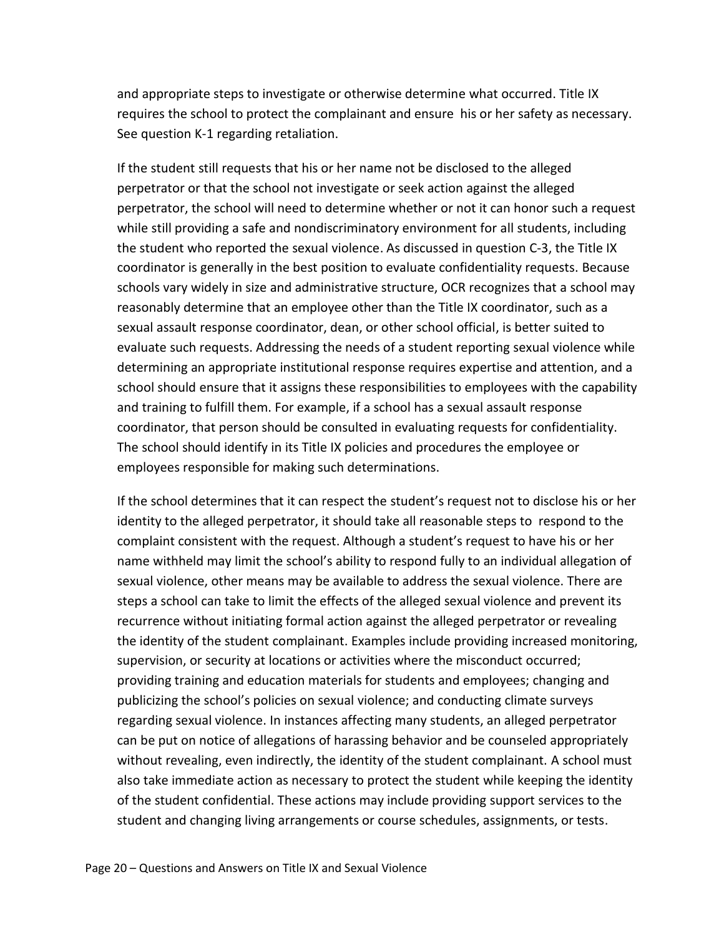and appropriate steps to investigate or otherwise determine what occurred. Title IX requires the school to protect the complainant and ensure his or her safety as necessary. See question K-1 regarding retaliation.

If the student still requests that his or her name not be disclosed to the alleged perpetrator or that the school not investigate or seek action against the alleged perpetrator, the school will need to determine whether or not it can honor such a request while still providing a safe and nondiscriminatory environment for all students, including the student who reported the sexual violence. As discussed in question C-3, the Title IX coordinator is generally in the best position to evaluate confidentiality requests. Because schools vary widely in size and administrative structure, OCR recognizes that a school may reasonably determine that an employee other than the Title IX coordinator, such as a sexual assault response coordinator, dean, or other school official, is better suited to evaluate such requests. Addressing the needs of a student reporting sexual violence while determining an appropriate institutional response requires expertise and attention, and a school should ensure that it assigns these responsibilities to employees with the capability and training to fulfill them. For example, if a school has a sexual assault response coordinator, that person should be consulted in evaluating requests for confidentiality. The school should identify in its Title IX policies and procedures the employee or employees responsible for making such determinations.

If the school determines that it can respect the student's request not to disclose his or her identity to the alleged perpetrator, it should take all reasonable steps to respond to the complaint consistent with the request. Although a student's request to have his or her name withheld may limit the school's ability to respond fully to an individual allegation of sexual violence, other means may be available to address the sexual violence. There are steps a school can take to limit the effects of the alleged sexual violence and prevent its recurrence without initiating formal action against the alleged perpetrator or revealing the identity of the student complainant. Examples include providing increased monitoring, supervision, or security at locations or activities where the misconduct occurred; providing training and education materials for students and employees; changing and publicizing the school's policies on sexual violence; and conducting climate surveys regarding sexual violence. In instances affecting many students, an alleged perpetrator can be put on notice of allegations of harassing behavior and be counseled appropriately without revealing, even indirectly, the identity of the student complainant. A school must also take immediate action as necessary to protect the student while keeping the identity of the student confidential. These actions may include providing support services to the student and changing living arrangements or course schedules, assignments, or tests.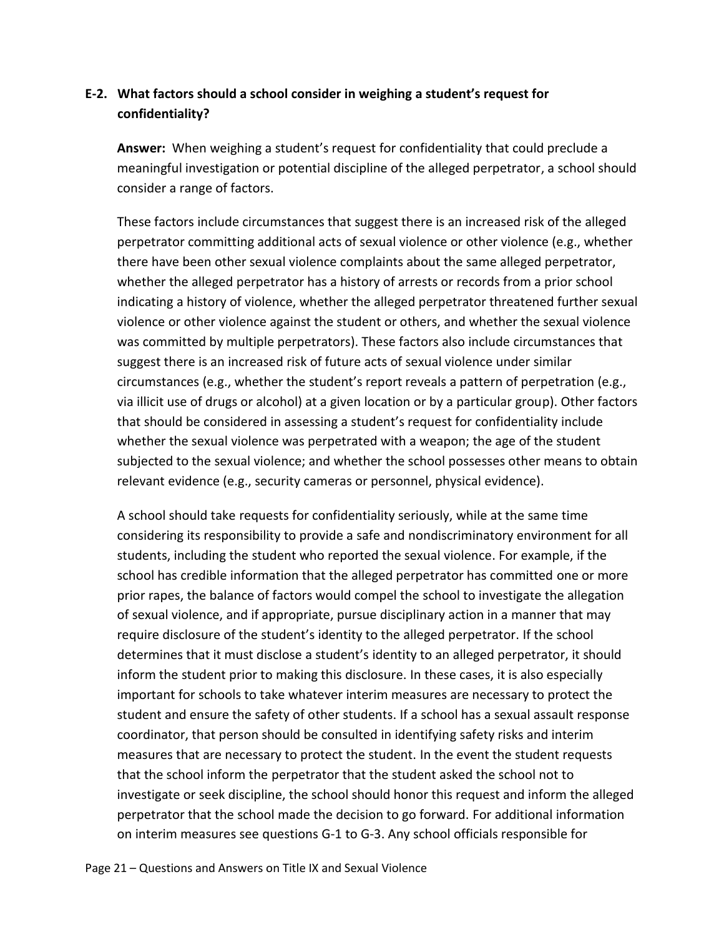## <span id="page-27-0"></span>**E-2. What factors should a school consider in weighing a student's request for confidentiality?**

**Answer:** When weighing a student's request for confidentiality that could preclude a meaningful investigation or potential discipline of the alleged perpetrator, a school should consider a range of factors.

These factors include circumstances that suggest there is an increased risk of the alleged perpetrator committing additional acts of sexual violence or other violence (e.g., whether there have been other sexual violence complaints about the same alleged perpetrator, whether the alleged perpetrator has a history of arrests or records from a prior school indicating a history of violence, whether the alleged perpetrator threatened further sexual violence or other violence against the student or others, and whether the sexual violence was committed by multiple perpetrators). These factors also include circumstances that suggest there is an increased risk of future acts of sexual violence under similar circumstances (e.g., whether the student's report reveals a pattern of perpetration (e.g., via illicit use of drugs or alcohol) at a given location or by a particular group). Other factors that should be considered in assessing a student's request for confidentiality include whether the sexual violence was perpetrated with a weapon; the age of the student subjected to the sexual violence; and whether the school possesses other means to obtain relevant evidence (e.g., security cameras or personnel, physical evidence).

A school should take requests for confidentiality seriously, while at the same time considering its responsibility to provide a safe and nondiscriminatory environment for all students, including the student who reported the sexual violence. For example, if the school has credible information that the alleged perpetrator has committed one or more prior rapes, the balance of factors would compel the school to investigate the allegation of sexual violence, and if appropriate, pursue disciplinary action in a manner that may require disclosure of the student's identity to the alleged perpetrator. If the school determines that it must disclose a student's identity to an alleged perpetrator, it should inform the student prior to making this disclosure. In these cases, it is also especially important for schools to take whatever interim measures are necessary to protect the student and ensure the safety of other students. If a school has a sexual assault response coordinator, that person should be consulted in identifying safety risks and interim measures that are necessary to protect the student. In the event the student requests that the school inform the perpetrator that the student asked the school not to investigate or seek discipline, the school should honor this request and inform the alleged perpetrator that the school made the decision to go forward. For additional information on interim measures see questions G-1 to G-3. Any school officials responsible for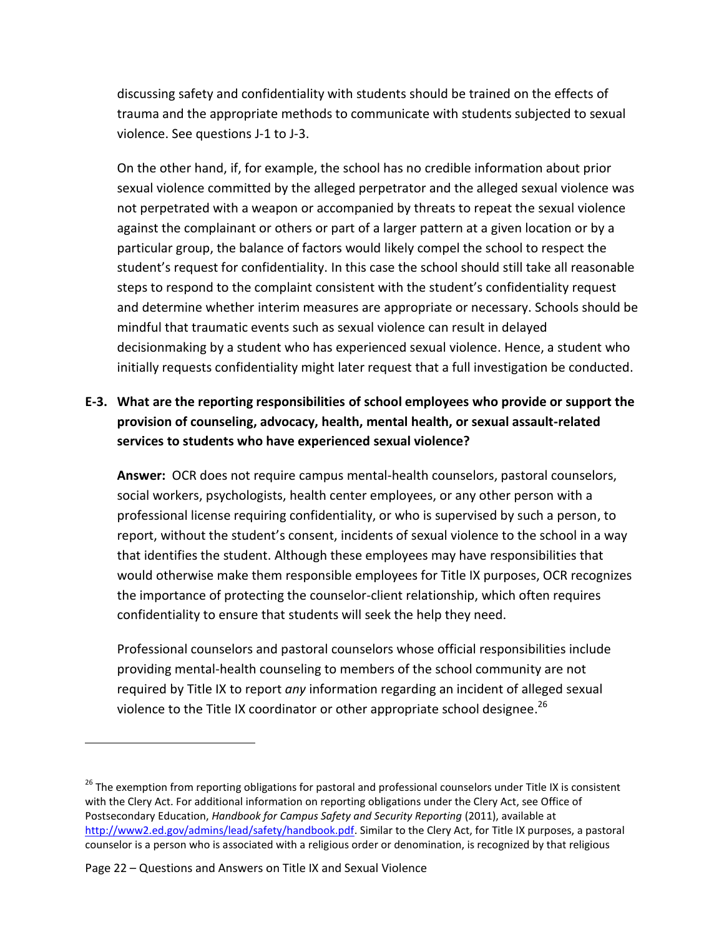discussing safety and confidentiality with students should be trained on the effects of trauma and the appropriate methods to communicate with students subjected to sexual violence. See questions J-1 to J-3.

On the other hand, if, for example, the school has no credible information about prior sexual violence committed by the alleged perpetrator and the alleged sexual violence was not perpetrated with a weapon or accompanied by threats to repeat the sexual violence against the complainant or others or part of a larger pattern at a given location or by a particular group, the balance of factors would likely compel the school to respect the student's request for confidentiality. In this case the school should still take all reasonable steps to respond to the complaint consistent with the student's confidentiality request and determine whether interim measures are appropriate or necessary. Schools should be mindful that traumatic events such as sexual violence can result in delayed decisionmaking by a student who has experienced sexual violence. Hence, a student who initially requests confidentiality might later request that a full investigation be conducted.

## <span id="page-28-0"></span>**E-3. What are the reporting responsibilities of school employees who provide or support the provision of counseling, advocacy, health, mental health, or sexual assault-related services to students who have experienced sexual violence?**

**Answer:** OCR does not require campus mental-health counselors, pastoral counselors, social workers, psychologists, health center employees, or any other person with a professional license requiring confidentiality, or who is supervised by such a person, to report, without the student's consent, incidents of sexual violence to the school in a way that identifies the student. Although these employees may have responsibilities that would otherwise make them responsible employees for Title IX purposes, OCR recognizes the importance of protecting the counselor-client relationship, which often requires confidentiality to ensure that students will seek the help they need.

Professional counselors and pastoral counselors whose official responsibilities include providing mental-health counseling to members of the school community are not required by Title IX to report *any* information regarding an incident of alleged sexual violence to the Title IX coordinator or other appropriate school designee.<sup>26</sup>

<sup>&</sup>lt;sup>26</sup> The exemption from reporting obligations for pastoral and professional counselors under Title IX is consistent with the Clery Act. For additional information on reporting obligations under the Clery Act, see Office of Postsecondary Education, *Handbook for Campus Safety and Security Reporting* (2011), available at [http://www2.ed.gov/admins/lead/safety/handbook.pdf.](http://www2.ed.gov/admins/lead/safety/handbook.pdf) Similar to the Clery Act, for Title IX purposes, a pastoral counselor is a person who is associated with a religious order or denomination, is recognized by that religious

Page 22 – Questions and Answers on Title IX and Sexual Violence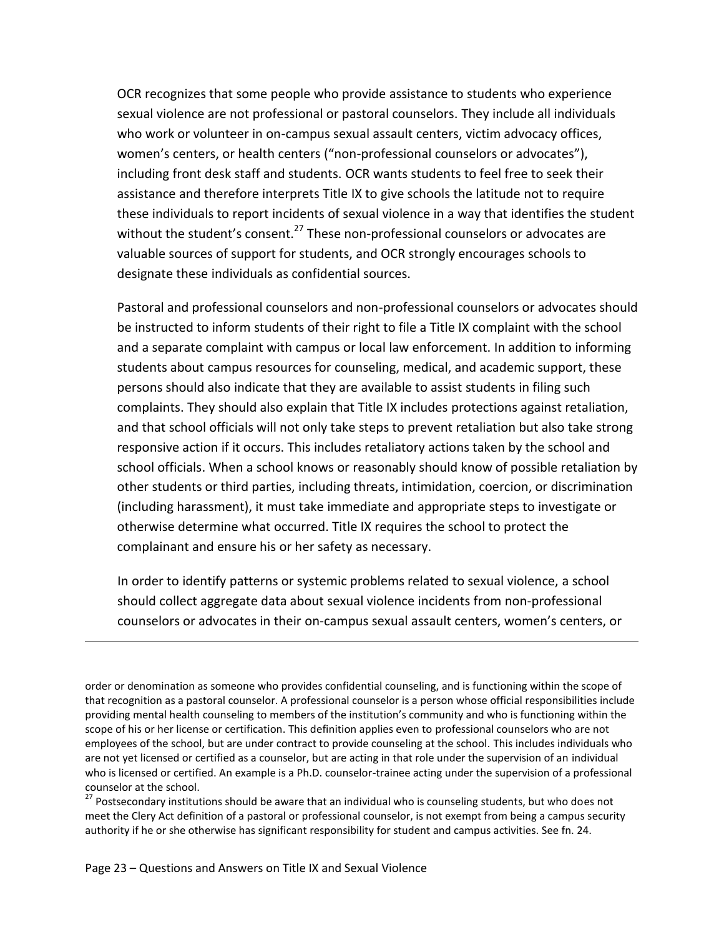OCR recognizes that some people who provide assistance to students who experience sexual violence are not professional or pastoral counselors. They include all individuals who work or volunteer in on-campus sexual assault centers, victim advocacy offices, women's centers, or health centers ("non-professional counselors or advocates"), including front desk staff and students. OCR wants students to feel free to seek their assistance and therefore interprets Title IX to give schools the latitude not to require these individuals to report incidents of sexual violence in a way that identifies the student without the student's consent.<sup>27</sup> These non-professional counselors or advocates are valuable sources of support for students, and OCR strongly encourages schools to designate these individuals as confidential sources.

Pastoral and professional counselors and non-professional counselors or advocates should be instructed to inform students of their right to file a Title IX complaint with the school and a separate complaint with campus or local law enforcement. In addition to informing students about campus resources for counseling, medical, and academic support, these persons should also indicate that they are available to assist students in filing such complaints. They should also explain that Title IX includes protections against retaliation, and that school officials will not only take steps to prevent retaliation but also take strong responsive action if it occurs. This includes retaliatory actions taken by the school and school officials. When a school knows or reasonably should know of possible retaliation by other students or third parties, including threats, intimidation, coercion, or discrimination (including harassment), it must take immediate and appropriate steps to investigate or otherwise determine what occurred. Title IX requires the school to protect the complainant and ensure his or her safety as necessary.

In order to identify patterns or systemic problems related to sexual violence, a school should collect aggregate data about sexual violence incidents from non-professional counselors or advocates in their on-campus sexual assault centers, women's centers, or

<sup>27</sup> Postsecondary institutions should be aware that an individual who is counseling students, but who does not meet the Clery Act definition of a pastoral or professional counselor, is not exempt from being a campus security authority if he or she otherwise has significant responsibility for student and campus activities. See fn. 24.

order or denomination as someone who provides confidential counseling, and is functioning within the scope of that recognition as a pastoral counselor. A professional counselor is a person whose official responsibilities include providing mental health counseling to members of the institution's community and who is functioning within the scope of his or her license or certification. This definition applies even to professional counselors who are not employees of the school, but are under contract to provide counseling at the school. This includes individuals who are not yet licensed or certified as a counselor, but are acting in that role under the supervision of an individual who is licensed or certified. An example is a Ph.D. counselor-trainee acting under the supervision of a professional counselor at the school.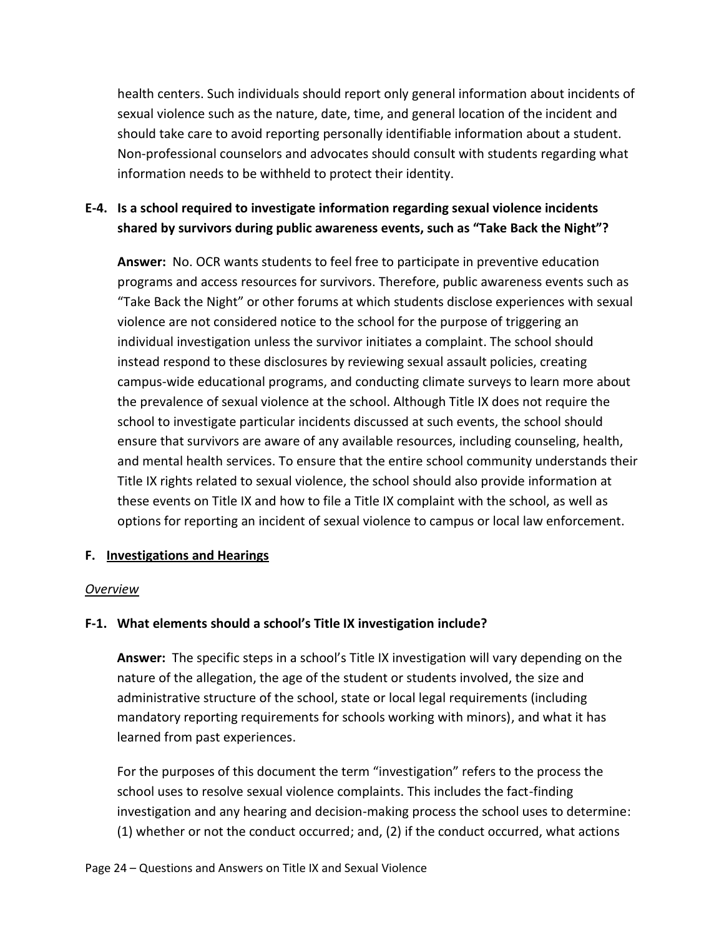health centers. Such individuals should report only general information about incidents of sexual violence such as the nature, date, time, and general location of the incident and should take care to avoid reporting personally identifiable information about a student. Non-professional counselors and advocates should consult with students regarding what information needs to be withheld to protect their identity.

### <span id="page-30-0"></span>**E-4. Is a school required to investigate information regarding sexual violence incidents shared by survivors during public awareness events, such as "Take Back the Night"?**

**Answer:** No. OCR wants students to feel free to participate in preventive education programs and access resources for survivors. Therefore, public awareness events such as "Take Back the Night" or other forums at which students disclose experiences with sexual violence are not considered notice to the school for the purpose of triggering an individual investigation unless the survivor initiates a complaint. The school should instead respond to these disclosures by reviewing sexual assault policies, creating campus-wide educational programs, and conducting climate surveys to learn more about the prevalence of sexual violence at the school. Although Title IX does not require the school to investigate particular incidents discussed at such events, the school should ensure that survivors are aware of any available resources, including counseling, health, and mental health services. To ensure that the entire school community understands their Title IX rights related to sexual violence, the school should also provide information at these events on Title IX and how to file a Title IX complaint with the school, as well as options for reporting an incident of sexual violence to campus or local law enforcement.

### <span id="page-30-1"></span>**F. Investigations and Hearings**

#### *Overview*

### <span id="page-30-2"></span>**F-1. What elements should a school's Title IX investigation include?**

**Answer:** The specific steps in a school's Title IX investigation will vary depending on the nature of the allegation, the age of the student or students involved, the size and administrative structure of the school, state or local legal requirements (including mandatory reporting requirements for schools working with minors), and what it has learned from past experiences.

For the purposes of this document the term "investigation" refers to the process the school uses to resolve sexual violence complaints. This includes the fact-finding investigation and any hearing and decision-making process the school uses to determine: (1) whether or not the conduct occurred; and, (2) if the conduct occurred, what actions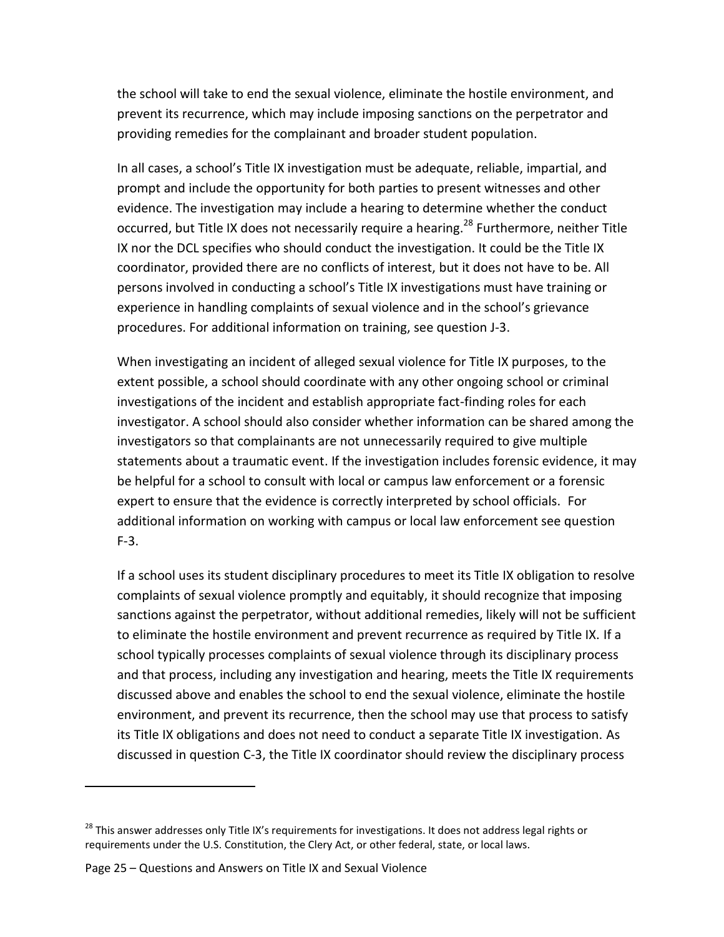the school will take to end the sexual violence, eliminate the hostile environment, and prevent its recurrence, which may include imposing sanctions on the perpetrator and providing remedies for the complainant and broader student population.

In all cases, a school's Title IX investigation must be adequate, reliable, impartial, and prompt and include the opportunity for both parties to present witnesses and other evidence. The investigation may include a hearing to determine whether the conduct occurred, but Title IX does not necessarily require a hearing.<sup>28</sup> Furthermore, neither Title IX nor the DCL specifies who should conduct the investigation. It could be the Title IX coordinator, provided there are no conflicts of interest, but it does not have to be. All persons involved in conducting a school's Title IX investigations must have training or experience in handling complaints of sexual violence and in the school's grievance procedures. For additional information on training, see question J-3.

When investigating an incident of alleged sexual violence for Title IX purposes, to the extent possible, a school should coordinate with any other ongoing school or criminal investigations of the incident and establish appropriate fact-finding roles for each investigator. A school should also consider whether information can be shared among the investigators so that complainants are not unnecessarily required to give multiple statements about a traumatic event. If the investigation includes forensic evidence, it may be helpful for a school to consult with local or campus law enforcement or a forensic expert to ensure that the evidence is correctly interpreted by school officials. For additional information on working with campus or local law enforcement see question F-3.

If a school uses its student disciplinary procedures to meet its Title IX obligation to resolve complaints of sexual violence promptly and equitably, it should recognize that imposing sanctions against the perpetrator, without additional remedies, likely will not be sufficient to eliminate the hostile environment and prevent recurrence as required by Title IX. If a school typically processes complaints of sexual violence through its disciplinary process and that process, including any investigation and hearing, meets the Title IX requirements discussed above and enables the school to end the sexual violence, eliminate the hostile environment, and prevent its recurrence, then the school may use that process to satisfy its Title IX obligations and does not need to conduct a separate Title IX investigation. As discussed in question C-3, the Title IX coordinator should review the disciplinary process

Page 25 – Questions and Answers on Title IX and Sexual Violence

<sup>&</sup>lt;sup>28</sup> This answer addresses only Title IX's requirements for investigations. It does not address legal rights or requirements under the U.S. Constitution, the Clery Act, or other federal, state, or local laws.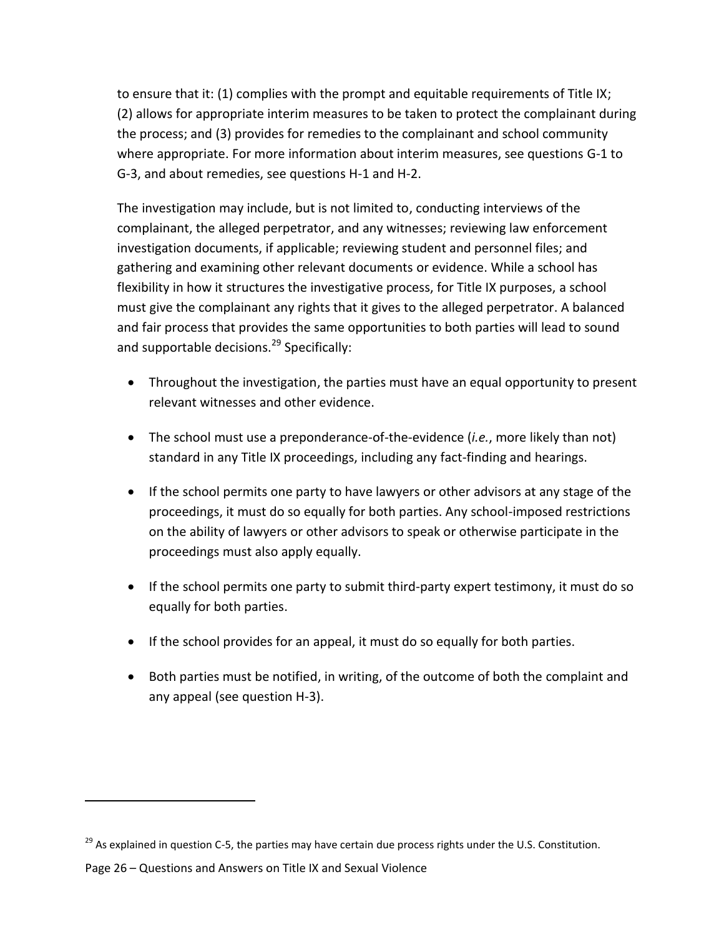to ensure that it: (1) complies with the prompt and equitable requirements of Title IX; (2) allows for appropriate interim measures to be taken to protect the complainant during the process; and (3) provides for remedies to the complainant and school community where appropriate. For more information about interim measures, see questions G-1 to G-3, and about remedies, see questions H-1 and H-2.

The investigation may include, but is not limited to, conducting interviews of the complainant, the alleged perpetrator, and any witnesses; reviewing law enforcement investigation documents, if applicable; reviewing student and personnel files; and gathering and examining other relevant documents or evidence. While a school has flexibility in how it structures the investigative process, for Title IX purposes, a school must give the complainant any rights that it gives to the alleged perpetrator. A balanced and fair process that provides the same opportunities to both parties will lead to sound and supportable decisions.<sup>29</sup> Specifically:

- Throughout the investigation, the parties must have an equal opportunity to present relevant witnesses and other evidence.
- The school must use a preponderance-of-the-evidence (*i.e.*, more likely than not) standard in any Title IX proceedings, including any fact-finding and hearings.
- If the school permits one party to have lawyers or other advisors at any stage of the proceedings, it must do so equally for both parties. Any school-imposed restrictions on the ability of lawyers or other advisors to speak or otherwise participate in the proceedings must also apply equally.
- If the school permits one party to submit third-party expert testimony, it must do so equally for both parties.
- If the school provides for an appeal, it must do so equally for both parties.
- Both parties must be notified, in writing, of the outcome of both the complaint and any appeal (see question H-3).

 $^{29}$  As explained in question C-5, the parties may have certain due process rights under the U.S. Constitution.

Page 26 – Questions and Answers on Title IX and Sexual Violence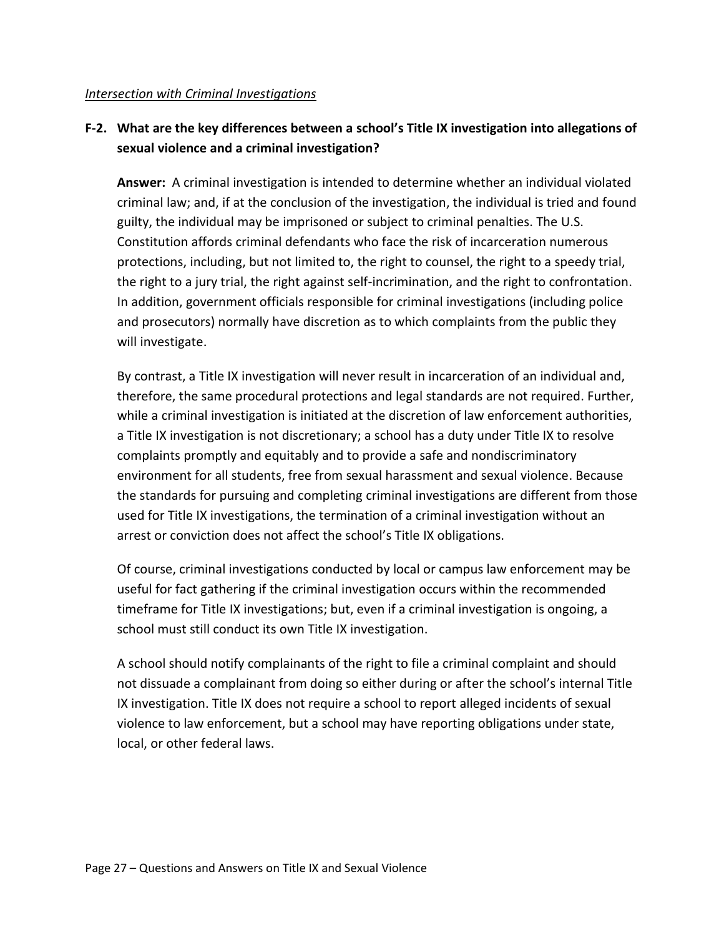#### *Intersection with Criminal Investigations*

### <span id="page-33-0"></span>**F-2. What are the key differences between a school's Title IX investigation into allegations of sexual violence and a criminal investigation?**

**Answer:** A criminal investigation is intended to determine whether an individual violated criminal law; and, if at the conclusion of the investigation, the individual is tried and found guilty, the individual may be imprisoned or subject to criminal penalties. The U.S. Constitution affords criminal defendants who face the risk of incarceration numerous protections, including, but not limited to, the right to counsel, the right to a speedy trial, the right to a jury trial, the right against self-incrimination, and the right to confrontation. In addition, government officials responsible for criminal investigations (including police and prosecutors) normally have discretion as to which complaints from the public they will investigate.

By contrast, a Title IX investigation will never result in incarceration of an individual and, therefore, the same procedural protections and legal standards are not required. Further, while a criminal investigation is initiated at the discretion of law enforcement authorities, a Title IX investigation is not discretionary; a school has a duty under Title IX to resolve complaints promptly and equitably and to provide a safe and nondiscriminatory environment for all students, free from sexual harassment and sexual violence. Because the standards for pursuing and completing criminal investigations are different from those used for Title IX investigations, the termination of a criminal investigation without an arrest or conviction does not affect the school's Title IX obligations.

Of course, criminal investigations conducted by local or campus law enforcement may be useful for fact gathering if the criminal investigation occurs within the recommended timeframe for Title IX investigations; but, even if a criminal investigation is ongoing, a school must still conduct its own Title IX investigation.

A school should notify complainants of the right to file a criminal complaint and should not dissuade a complainant from doing so either during or after the school's internal Title IX investigation. Title IX does not require a school to report alleged incidents of sexual violence to law enforcement, but a school may have reporting obligations under state, local, or other federal laws.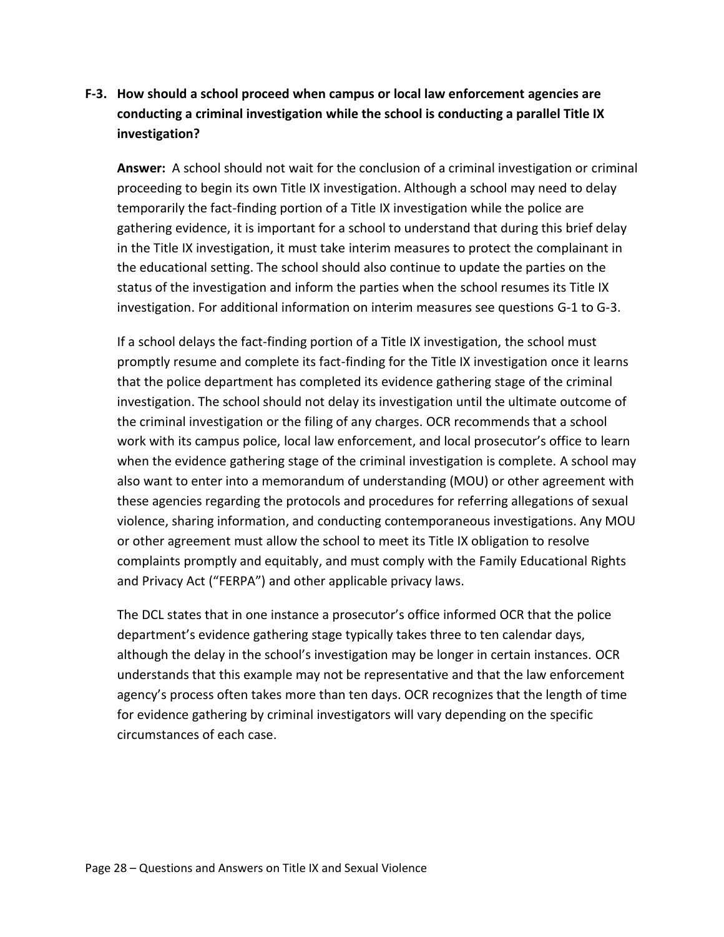## <span id="page-34-0"></span>**F-3. How should a school proceed when campus or local law enforcement agencies are conducting a criminal investigation while the school is conducting a parallel Title IX investigation?**

**Answer:** A school should not wait for the conclusion of a criminal investigation or criminal proceeding to begin its own Title IX investigation. Although a school may need to delay temporarily the fact-finding portion of a Title IX investigation while the police are gathering evidence, it is important for a school to understand that during this brief delay in the Title IX investigation, it must take interim measures to protect the complainant in the educational setting. The school should also continue to update the parties on the status of the investigation and inform the parties when the school resumes its Title IX investigation. For additional information on interim measures see questions G-1 to G-3.

If a school delays the fact-finding portion of a Title IX investigation, the school must promptly resume and complete its fact-finding for the Title IX investigation once it learns that the police department has completed its evidence gathering stage of the criminal investigation. The school should not delay its investigation until the ultimate outcome of the criminal investigation or the filing of any charges. OCR recommends that a school work with its campus police, local law enforcement, and local prosecutor's office to learn when the evidence gathering stage of the criminal investigation is complete. A school may also want to enter into a memorandum of understanding (MOU) or other agreement with these agencies regarding the protocols and procedures for referring allegations of sexual violence, sharing information, and conducting contemporaneous investigations. Any MOU or other agreement must allow the school to meet its Title IX obligation to resolve complaints promptly and equitably, and must comply with the Family Educational Rights and Privacy Act ("FERPA") and other applicable privacy laws.

The DCL states that in one instance a prosecutor's office informed OCR that the police department's evidence gathering stage typically takes three to ten calendar days, although the delay in the school's investigation may be longer in certain instances. OCR understands that this example may not be representative and that the law enforcement agency's process often takes more than ten days. OCR recognizes that the length of time for evidence gathering by criminal investigators will vary depending on the specific circumstances of each case.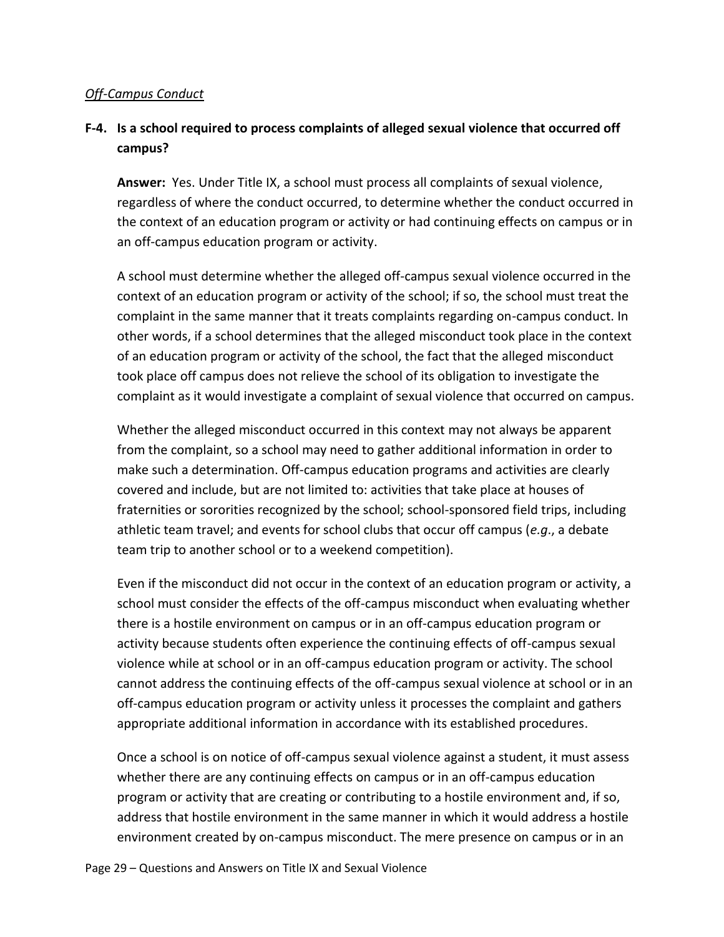#### *Off-Campus Conduct*

### <span id="page-35-0"></span>**F-4. Is a school required to process complaints of alleged sexual violence that occurred off campus?**

**Answer:** Yes. Under Title IX, a school must process all complaints of sexual violence, regardless of where the conduct occurred, to determine whether the conduct occurred in the context of an education program or activity or had continuing effects on campus or in an off-campus education program or activity.

A school must determine whether the alleged off-campus sexual violence occurred in the context of an education program or activity of the school; if so, the school must treat the complaint in the same manner that it treats complaints regarding on-campus conduct. In other words, if a school determines that the alleged misconduct took place in the context of an education program or activity of the school, the fact that the alleged misconduct took place off campus does not relieve the school of its obligation to investigate the complaint as it would investigate a complaint of sexual violence that occurred on campus.

Whether the alleged misconduct occurred in this context may not always be apparent from the complaint, so a school may need to gather additional information in order to make such a determination. Off-campus education programs and activities are clearly covered and include, but are not limited to: activities that take place at houses of fraternities or sororities recognized by the school; school-sponsored field trips, including athletic team travel; and events for school clubs that occur off campus (*e.g*., a debate team trip to another school or to a weekend competition).

Even if the misconduct did not occur in the context of an education program or activity, a school must consider the effects of the off-campus misconduct when evaluating whether there is a hostile environment on campus or in an off-campus education program or activity because students often experience the continuing effects of off-campus sexual violence while at school or in an off-campus education program or activity. The school cannot address the continuing effects of the off-campus sexual violence at school or in an off-campus education program or activity unless it processes the complaint and gathers appropriate additional information in accordance with its established procedures.

Once a school is on notice of off-campus sexual violence against a student, it must assess whether there are any continuing effects on campus or in an off-campus education program or activity that are creating or contributing to a hostile environment and, if so, address that hostile environment in the same manner in which it would address a hostile environment created by on-campus misconduct. The mere presence on campus or in an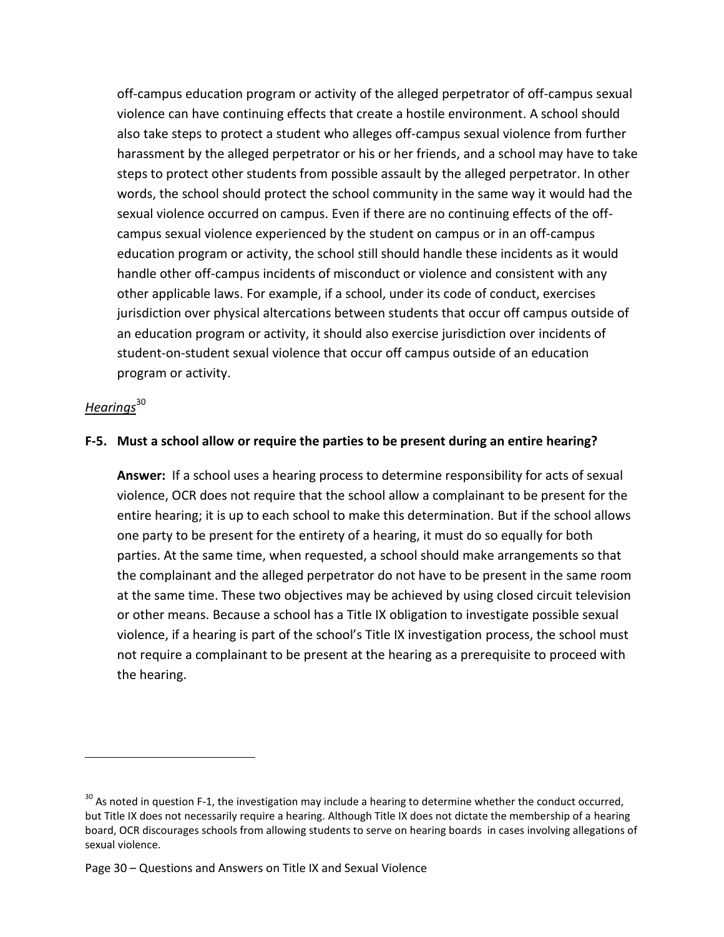off-campus education program or activity of the alleged perpetrator of off-campus sexual violence can have continuing effects that create a hostile environment. A school should also take steps to protect a student who alleges off-campus sexual violence from further harassment by the alleged perpetrator or his or her friends, and a school may have to take steps to protect other students from possible assault by the alleged perpetrator. In other words, the school should protect the school community in the same way it would had the sexual violence occurred on campus. Even if there are no continuing effects of the offcampus sexual violence experienced by the student on campus or in an off-campus education program or activity, the school still should handle these incidents as it would handle other off-campus incidents of misconduct or violence and consistent with any other applicable laws. For example, if a school, under its code of conduct, exercises jurisdiction over physical altercations between students that occur off campus outside of an education program or activity, it should also exercise jurisdiction over incidents of student-on-student sexual violence that occur off campus outside of an education program or activity.

### *Hearings*<sup>30</sup>

 $\overline{a}$ 

#### <span id="page-36-0"></span>**F-5. Must a school allow or require the parties to be present during an entire hearing?**

**Answer:** If a school uses a hearing process to determine responsibility for acts of sexual violence, OCR does not require that the school allow a complainant to be present for the entire hearing; it is up to each school to make this determination. But if the school allows one party to be present for the entirety of a hearing, it must do so equally for both parties. At the same time, when requested, a school should make arrangements so that the complainant and the alleged perpetrator do not have to be present in the same room at the same time. These two objectives may be achieved by using closed circuit television or other means. Because a school has a Title IX obligation to investigate possible sexual violence, if a hearing is part of the school's Title IX investigation process, the school must not require a complainant to be present at the hearing as a prerequisite to proceed with the hearing.

 $30$  As noted in question F-1, the investigation may include a hearing to determine whether the conduct occurred, but Title IX does not necessarily require a hearing. Although Title IX does not dictate the membership of a hearing board, OCR discourages schools from allowing students to serve on hearing boards in cases involving allegations of sexual violence.

Page 30 – Questions and Answers on Title IX and Sexual Violence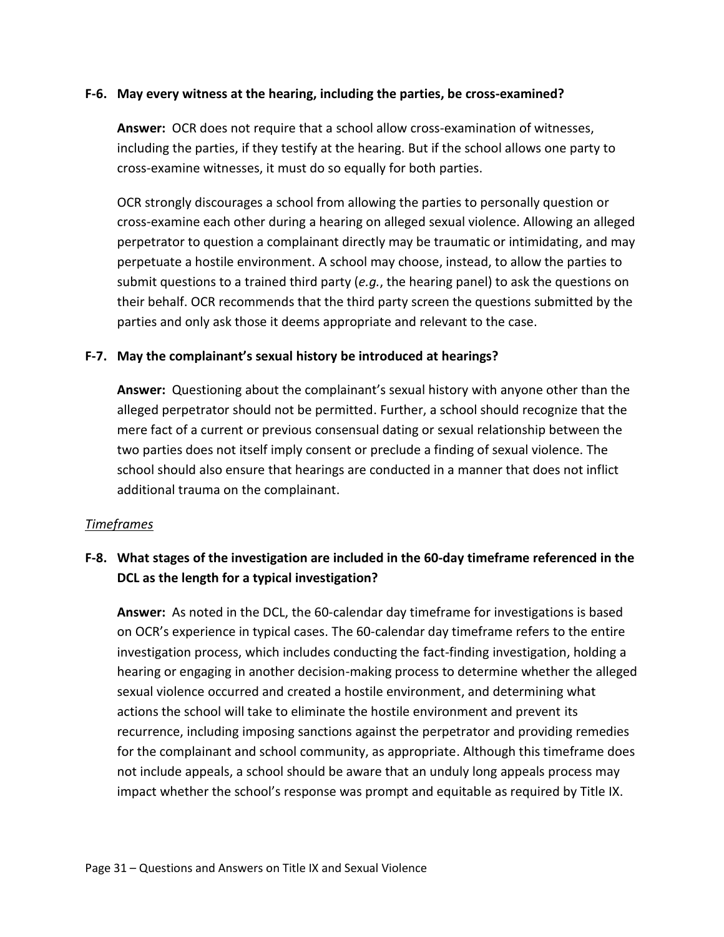#### <span id="page-37-0"></span>**F-6. May every witness at the hearing, including the parties, be cross-examined?**

**Answer:** OCR does not require that a school allow cross-examination of witnesses, including the parties, if they testify at the hearing. But if the school allows one party to cross-examine witnesses, it must do so equally for both parties.

OCR strongly discourages a school from allowing the parties to personally question or cross-examine each other during a hearing on alleged sexual violence. Allowing an alleged perpetrator to question a complainant directly may be traumatic or intimidating, and may perpetuate a hostile environment. A school may choose, instead, to allow the parties to submit questions to a trained third party (*e.g.*, the hearing panel) to ask the questions on their behalf. OCR recommends that the third party screen the questions submitted by the parties and only ask those it deems appropriate and relevant to the case.

#### <span id="page-37-1"></span>**F-7. May the complainant's sexual history be introduced at hearings?**

**Answer:** Questioning about the complainant's sexual history with anyone other than the alleged perpetrator should not be permitted. Further, a school should recognize that the mere fact of a current or previous consensual dating or sexual relationship between the two parties does not itself imply consent or preclude a finding of sexual violence. The school should also ensure that hearings are conducted in a manner that does not inflict additional trauma on the complainant.

#### *Timeframes*

## <span id="page-37-2"></span>**F-8. What stages of the investigation are included in the 60-day timeframe referenced in the DCL as the length for a typical investigation?**

**Answer:** As noted in the DCL, the 60-calendar day timeframe for investigations is based on OCR's experience in typical cases. The 60-calendar day timeframe refers to the entire investigation process, which includes conducting the fact-finding investigation, holding a hearing or engaging in another decision-making process to determine whether the alleged sexual violence occurred and created a hostile environment, and determining what actions the school will take to eliminate the hostile environment and prevent its recurrence, including imposing sanctions against the perpetrator and providing remedies for the complainant and school community, as appropriate. Although this timeframe does not include appeals, a school should be aware that an unduly long appeals process may impact whether the school's response was prompt and equitable as required by Title IX.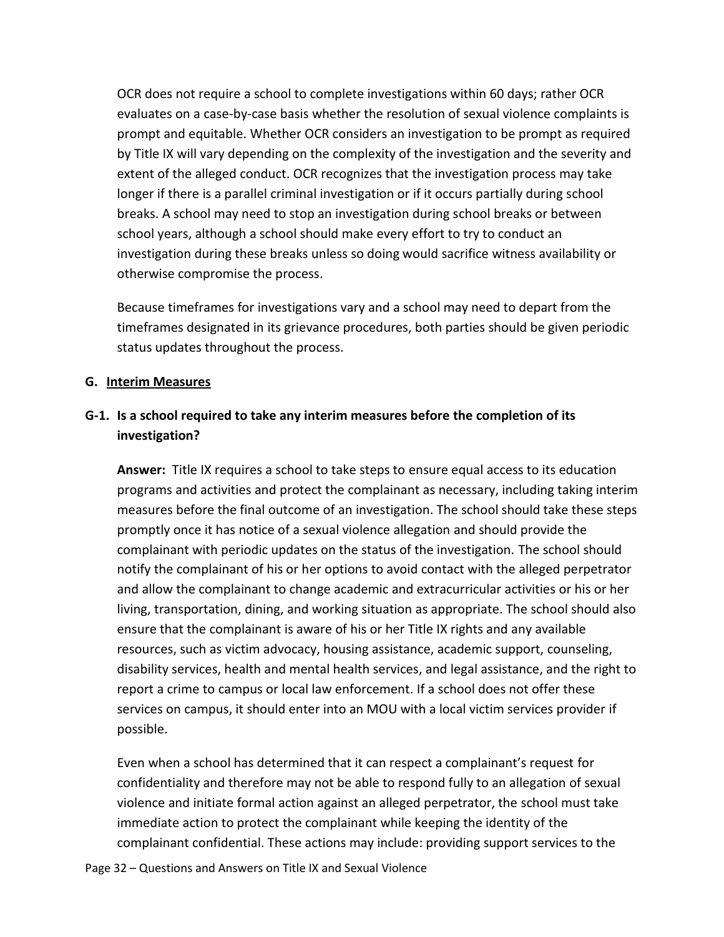OCR does not require a school to complete investigations within 60 days; rather OCR evaluates on a case-by-case basis whether the resolution of sexual violence complaints is prompt and equitable. Whether OCR considers an investigation to be prompt as required by Title IX will vary depending on the complexity of the investigation and the severity and extent of the alleged conduct. OCR recognizes that the investigation process may take longer if there is a parallel criminal investigation or if it occurs partially during school breaks. A school may need to stop an investigation during school breaks or between school years, although a school should make every effort to try to conduct an investigation during these breaks unless so doing would sacrifice witness availability or otherwise compromise the process.

Because timeframes for investigations vary and a school may need to depart from the timeframes designated in its grievance procedures, both parties should be given periodic status updates throughout the process.

#### <span id="page-38-0"></span>**G. Interim Measures**

### <span id="page-38-1"></span>**G-1. Is a school required to take any interim measures before the completion of its investigation?**

**Answer:** Title IX requires a school to take steps to ensure equal access to its education programs and activities and protect the complainant as necessary, including taking interim measures before the final outcome of an investigation. The school should take these steps promptly once it has notice of a sexual violence allegation and should provide the complainant with periodic updates on the status of the investigation. The school should notify the complainant of his or her options to avoid contact with the alleged perpetrator and allow the complainant to change academic and extracurricular activities or his or her living, transportation, dining, and working situation as appropriate. The school should also ensure that the complainant is aware of his or her Title IX rights and any available resources, such as victim advocacy, housing assistance, academic support, counseling, disability services, health and mental health services, and legal assistance, and the right to report a crime to campus or local law enforcement. If a school does not offer these services on campus, it should enter into an MOU with a local victim services provider if possible.

Even when a school has determined that it can respect a complainant's request for confidentiality and therefore may not be able to respond fully to an allegation of sexual violence and initiate formal action against an alleged perpetrator, the school must take immediate action to protect the complainant while keeping the identity of the complainant confidential. These actions may include: providing support services to the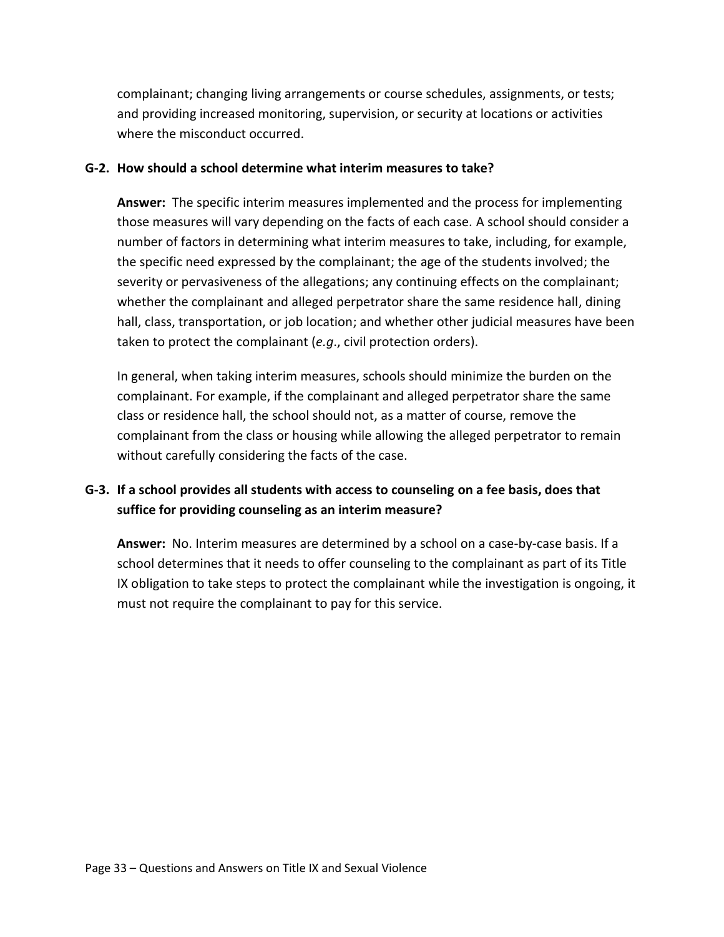complainant; changing living arrangements or course schedules, assignments, or tests; and providing increased monitoring, supervision, or security at locations or activities where the misconduct occurred.

#### <span id="page-39-0"></span>**G-2. How should a school determine what interim measures to take?**

**Answer:** The specific interim measures implemented and the process for implementing those measures will vary depending on the facts of each case. A school should consider a number of factors in determining what interim measures to take, including, for example, the specific need expressed by the complainant; the age of the students involved; the severity or pervasiveness of the allegations; any continuing effects on the complainant; whether the complainant and alleged perpetrator share the same residence hall, dining hall, class, transportation, or job location; and whether other judicial measures have been taken to protect the complainant (*e.g*., civil protection orders).

In general, when taking interim measures, schools should minimize the burden on the complainant. For example, if the complainant and alleged perpetrator share the same class or residence hall, the school should not, as a matter of course, remove the complainant from the class or housing while allowing the alleged perpetrator to remain without carefully considering the facts of the case.

## <span id="page-39-1"></span>**G-3. If a school provides all students with access to counseling on a fee basis, does that suffice for providing counseling as an interim measure?**

**Answer:** No. Interim measures are determined by a school on a case-by-case basis. If a school determines that it needs to offer counseling to the complainant as part of its Title IX obligation to take steps to protect the complainant while the investigation is ongoing, it must not require the complainant to pay for this service.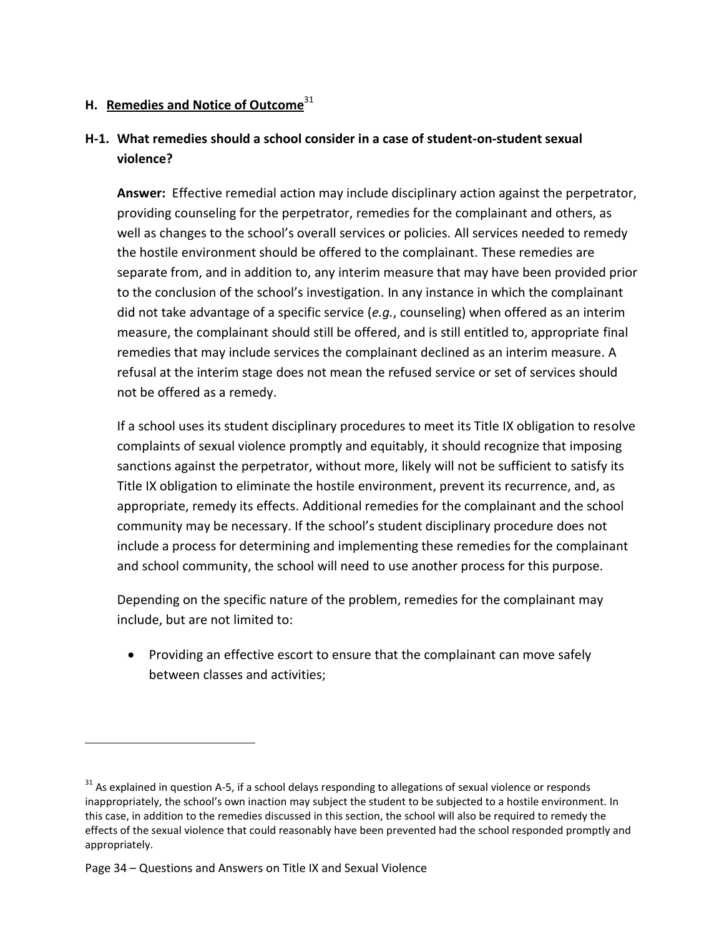### <span id="page-40-0"></span>**H. Remedies and Notice of Outcome**<sup>31</sup>

## <span id="page-40-1"></span>**H-1. What remedies should a school consider in a case of student-on-student sexual violence?**

**Answer:** Effective remedial action may include disciplinary action against the perpetrator, providing counseling for the perpetrator, remedies for the complainant and others, as well as changes to the school's overall services or policies. All services needed to remedy the hostile environment should be offered to the complainant. These remedies are separate from, and in addition to, any interim measure that may have been provided prior to the conclusion of the school's investigation. In any instance in which the complainant did not take advantage of a specific service (*e.g.*, counseling) when offered as an interim measure, the complainant should still be offered, and is still entitled to, appropriate final remedies that may include services the complainant declined as an interim measure. A refusal at the interim stage does not mean the refused service or set of services should not be offered as a remedy.

If a school uses its student disciplinary procedures to meet its Title IX obligation to resolve complaints of sexual violence promptly and equitably, it should recognize that imposing sanctions against the perpetrator, without more, likely will not be sufficient to satisfy its Title IX obligation to eliminate the hostile environment, prevent its recurrence, and, as appropriate, remedy its effects. Additional remedies for the complainant and the school community may be necessary. If the school's student disciplinary procedure does not include a process for determining and implementing these remedies for the complainant and school community, the school will need to use another process for this purpose.

Depending on the specific nature of the problem, remedies for the complainant may include, but are not limited to:

• Providing an effective escort to ensure that the complainant can move safely between classes and activities;

 $31$  As explained in question A-5, if a school delays responding to allegations of sexual violence or responds inappropriately, the school's own inaction may subject the student to be subjected to a hostile environment. In this case, in addition to the remedies discussed in this section, the school will also be required to remedy the effects of the sexual violence that could reasonably have been prevented had the school responded promptly and appropriately.

Page 34 – Questions and Answers on Title IX and Sexual Violence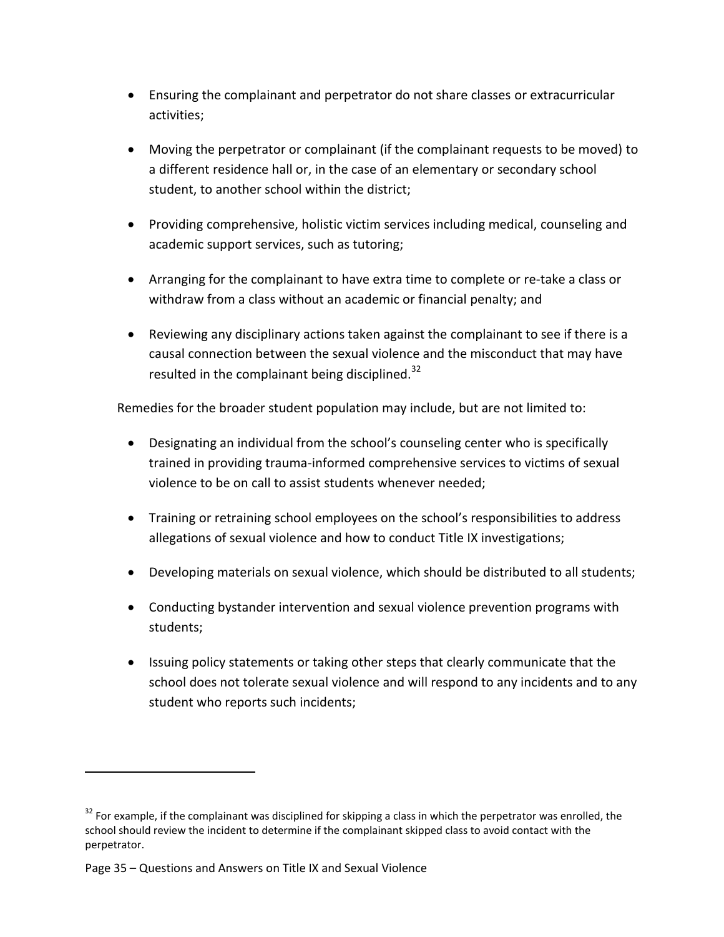- Ensuring the complainant and perpetrator do not share classes or extracurricular activities;
- Moving the perpetrator or complainant (if the complainant requests to be moved) to a different residence hall or, in the case of an elementary or secondary school student, to another school within the district;
- Providing comprehensive, holistic victim services including medical, counseling and academic support services, such as tutoring;
- Arranging for the complainant to have extra time to complete or re-take a class or withdraw from a class without an academic or financial penalty; and
- Reviewing any disciplinary actions taken against the complainant to see if there is a causal connection between the sexual violence and the misconduct that may have resulted in the complainant being disciplined.<sup>32</sup>

Remedies for the broader student population may include, but are not limited to:

- Designating an individual from the school's counseling center who is specifically trained in providing trauma-informed comprehensive services to victims of sexual violence to be on call to assist students whenever needed;
- Training or retraining school employees on the school's responsibilities to address allegations of sexual violence and how to conduct Title IX investigations;
- Developing materials on sexual violence, which should be distributed to all students;
- Conducting bystander intervention and sexual violence prevention programs with students;
- Issuing policy statements or taking other steps that clearly communicate that the school does not tolerate sexual violence and will respond to any incidents and to any student who reports such incidents;

 $32$  For example, if the complainant was disciplined for skipping a class in which the perpetrator was enrolled, the school should review the incident to determine if the complainant skipped class to avoid contact with the perpetrator.

Page 35 – Questions and Answers on Title IX and Sexual Violence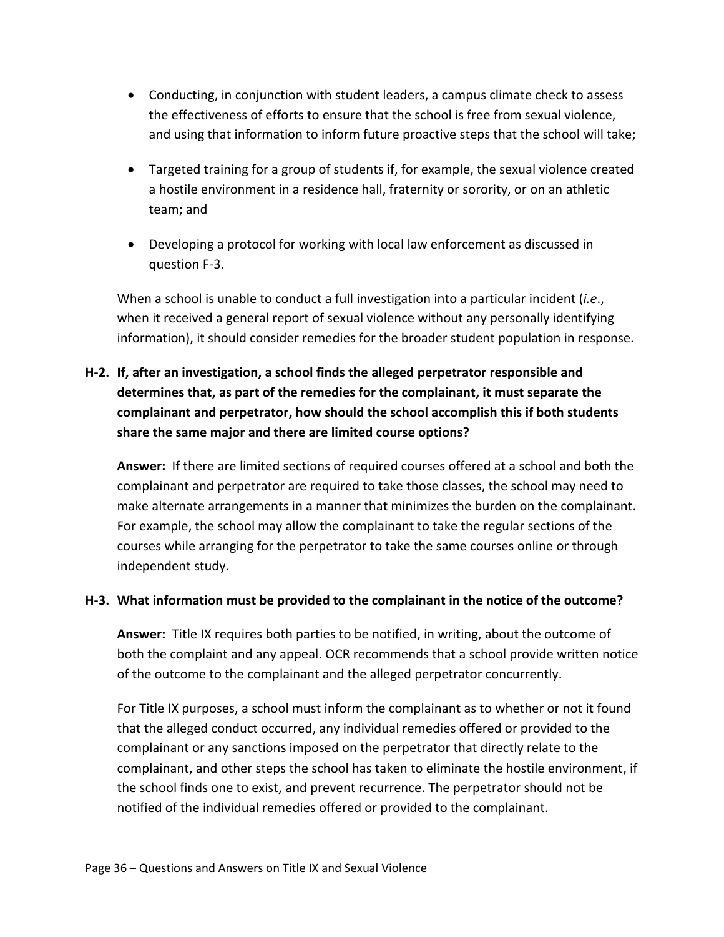- Conducting, in conjunction with student leaders, a campus climate check to assess the effectiveness of efforts to ensure that the school is free from sexual violence, and using that information to inform future proactive steps that the school will take;
- Targeted training for a group of students if, for example, the sexual violence created a hostile environment in a residence hall, fraternity or sorority, or on an athletic team; and
- Developing a protocol for working with local law enforcement as discussed in question F-3.

When a school is unable to conduct a full investigation into a particular incident (*i.e*., when it received a general report of sexual violence without any personally identifying information), it should consider remedies for the broader student population in response.

## <span id="page-42-0"></span>**H-2. If, after an investigation, a school finds the alleged perpetrator responsible and determines that, as part of the remedies for the complainant, it must separate the complainant and perpetrator, how should the school accomplish this if both students share the same major and there are limited course options?**

**Answer:** If there are limited sections of required courses offered at a school and both the complainant and perpetrator are required to take those classes, the school may need to make alternate arrangements in a manner that minimizes the burden on the complainant. For example, the school may allow the complainant to take the regular sections of the courses while arranging for the perpetrator to take the same courses online or through independent study.

#### <span id="page-42-1"></span>**H-3. What information must be provided to the complainant in the notice of the outcome?**

**Answer:** Title IX requires both parties to be notified, in writing, about the outcome of both the complaint and any appeal. OCR recommends that a school provide written notice of the outcome to the complainant and the alleged perpetrator concurrently.

For Title IX purposes, a school must inform the complainant as to whether or not it found that the alleged conduct occurred, any individual remedies offered or provided to the complainant or any sanctions imposed on the perpetrator that directly relate to the complainant, and other steps the school has taken to eliminate the hostile environment, if the school finds one to exist, and prevent recurrence. The perpetrator should not be notified of the individual remedies offered or provided to the complainant.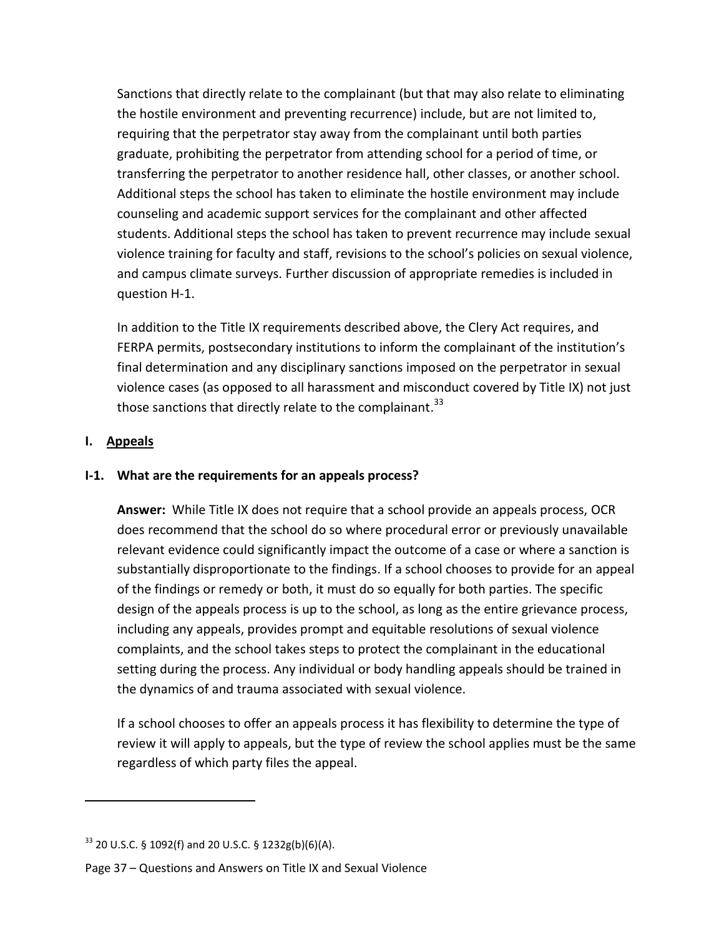Sanctions that directly relate to the complainant (but that may also relate to eliminating the hostile environment and preventing recurrence) include, but are not limited to, requiring that the perpetrator stay away from the complainant until both parties graduate, prohibiting the perpetrator from attending school for a period of time, or transferring the perpetrator to another residence hall, other classes, or another school. Additional steps the school has taken to eliminate the hostile environment may include counseling and academic support services for the complainant and other affected students. Additional steps the school has taken to prevent recurrence may include sexual violence training for faculty and staff, revisions to the school's policies on sexual violence, and campus climate surveys. Further discussion of appropriate remedies is included in question H-1.

In addition to the Title IX requirements described above, the Clery Act requires, and FERPA permits, postsecondary institutions to inform the complainant of the institution's final determination and any disciplinary sanctions imposed on the perpetrator in sexual violence cases (as opposed to all harassment and misconduct covered by Title IX) not just those sanctions that directly relate to the complainant.<sup>33</sup>

### <span id="page-43-0"></span>**I. Appeals**

 $\overline{\phantom{a}}$ 

### <span id="page-43-1"></span>**I-1. What are the requirements for an appeals process?**

**Answer:** While Title IX does not require that a school provide an appeals process, OCR does recommend that the school do so where procedural error or previously unavailable relevant evidence could significantly impact the outcome of a case or where a sanction is substantially disproportionate to the findings. If a school chooses to provide for an appeal of the findings or remedy or both, it must do so equally for both parties. The specific design of the appeals process is up to the school, as long as the entire grievance process, including any appeals, provides prompt and equitable resolutions of sexual violence complaints, and the school takes steps to protect the complainant in the educational setting during the process. Any individual or body handling appeals should be trained in the dynamics of and trauma associated with sexual violence.

If a school chooses to offer an appeals process it has flexibility to determine the type of review it will apply to appeals, but the type of review the school applies must be the same regardless of which party files the appeal.

 $33$  20 U.S.C. § 1092(f) and 20 U.S.C. § 1232g(b)(6)(A).

Page 37 – Questions and Answers on Title IX and Sexual Violence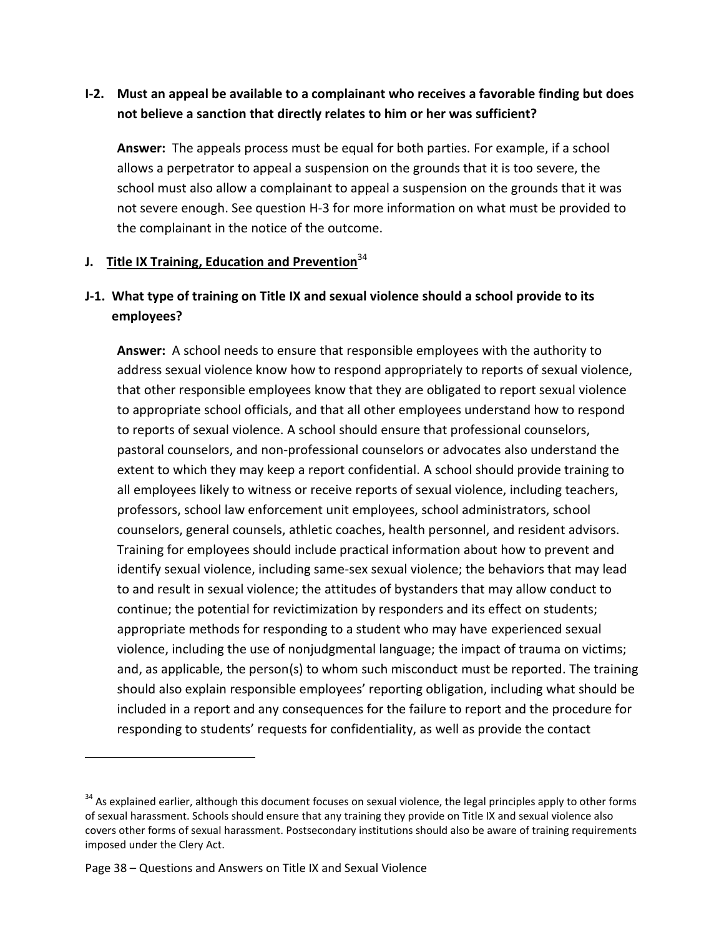## <span id="page-44-0"></span>**I-2. Must an appeal be available to a complainant who receives a favorable finding but does not believe a sanction that directly relates to him or her was sufficient?**

**Answer:** The appeals process must be equal for both parties. For example, if a school allows a perpetrator to appeal a suspension on the grounds that it is too severe, the school must also allow a complainant to appeal a suspension on the grounds that it was not severe enough. See question H-3 for more information on what must be provided to the complainant in the notice of the outcome.

### <span id="page-44-1"></span>**J.** Title IX Training, Education and Prevention<sup>34</sup>

## <span id="page-44-2"></span>**J-1. What type of training on Title IX and sexual violence should a school provide to its employees?**

**Answer:** A school needs to ensure that responsible employees with the authority to address sexual violence know how to respond appropriately to reports of sexual violence, that other responsible employees know that they are obligated to report sexual violence to appropriate school officials, and that all other employees understand how to respond to reports of sexual violence. A school should ensure that professional counselors, pastoral counselors, and non-professional counselors or advocates also understand the extent to which they may keep a report confidential. A school should provide training to all employees likely to witness or receive reports of sexual violence, including teachers, professors, school law enforcement unit employees, school administrators, school counselors, general counsels, athletic coaches, health personnel, and resident advisors. Training for employees should include practical information about how to prevent and identify sexual violence, including same-sex sexual violence; the behaviors that may lead to and result in sexual violence; the attitudes of bystanders that may allow conduct to continue; the potential for revictimization by responders and its effect on students; appropriate methods for responding to a student who may have experienced sexual violence, including the use of nonjudgmental language; the impact of trauma on victims; and, as applicable, the person(s) to whom such misconduct must be reported. The training should also explain responsible employees' reporting obligation, including what should be included in a report and any consequences for the failure to report and the procedure for responding to students' requests for confidentiality, as well as provide the contact

 $\overline{a}$ 

 $34$  As explained earlier, although this document focuses on sexual violence, the legal principles apply to other forms of sexual harassment. Schools should ensure that any training they provide on Title IX and sexual violence also covers other forms of sexual harassment. Postsecondary institutions should also be aware of training requirements imposed under the Clery Act.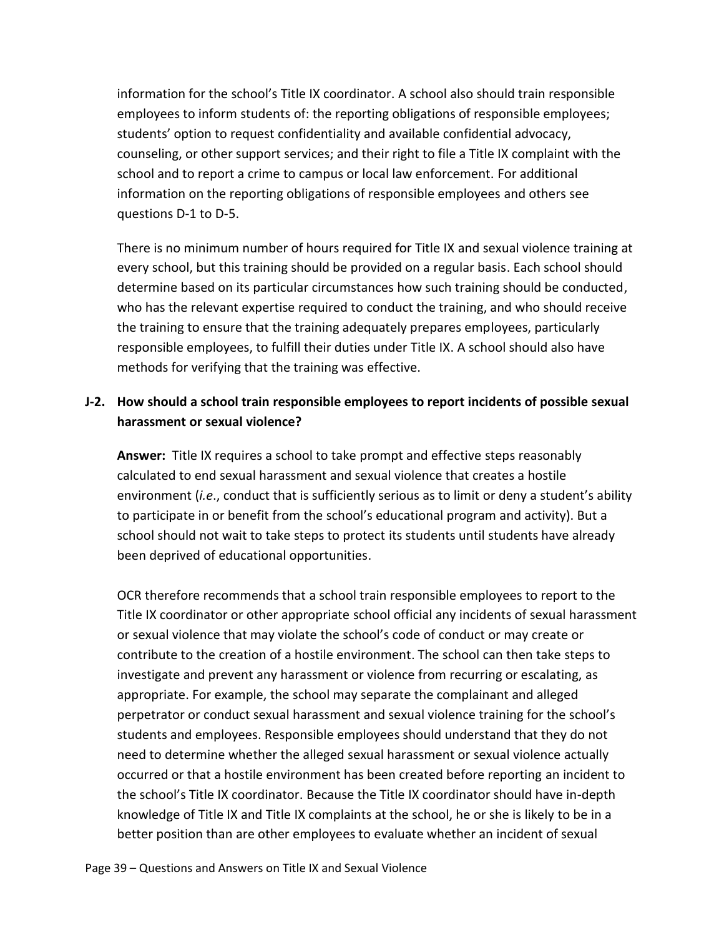information for the school's Title IX coordinator. A school also should train responsible employees to inform students of: the reporting obligations of responsible employees; students' option to request confidentiality and available confidential advocacy, counseling, or other support services; and their right to file a Title IX complaint with the school and to report a crime to campus or local law enforcement. For additional information on the reporting obligations of responsible employees and others see questions D-1 to D-5.

There is no minimum number of hours required for Title IX and sexual violence training at every school, but this training should be provided on a regular basis. Each school should determine based on its particular circumstances how such training should be conducted, who has the relevant expertise required to conduct the training, and who should receive the training to ensure that the training adequately prepares employees, particularly responsible employees, to fulfill their duties under Title IX. A school should also have methods for verifying that the training was effective.

### <span id="page-45-0"></span>**J-2. How should a school train responsible employees to report incidents of possible sexual harassment or sexual violence?**

**Answer:** Title IX requires a school to take prompt and effective steps reasonably calculated to end sexual harassment and sexual violence that creates a hostile environment (*i.e*., conduct that is sufficiently serious as to limit or deny a student's ability to participate in or benefit from the school's educational program and activity). But a school should not wait to take steps to protect its students until students have already been deprived of educational opportunities.

OCR therefore recommends that a school train responsible employees to report to the Title IX coordinator or other appropriate school official any incidents of sexual harassment or sexual violence that may violate the school's code of conduct or may create or contribute to the creation of a hostile environment. The school can then take steps to investigate and prevent any harassment or violence from recurring or escalating, as appropriate. For example, the school may separate the complainant and alleged perpetrator or conduct sexual harassment and sexual violence training for the school's students and employees. Responsible employees should understand that they do not need to determine whether the alleged sexual harassment or sexual violence actually occurred or that a hostile environment has been created before reporting an incident to the school's Title IX coordinator. Because the Title IX coordinator should have in-depth knowledge of Title IX and Title IX complaints at the school, he or she is likely to be in a better position than are other employees to evaluate whether an incident of sexual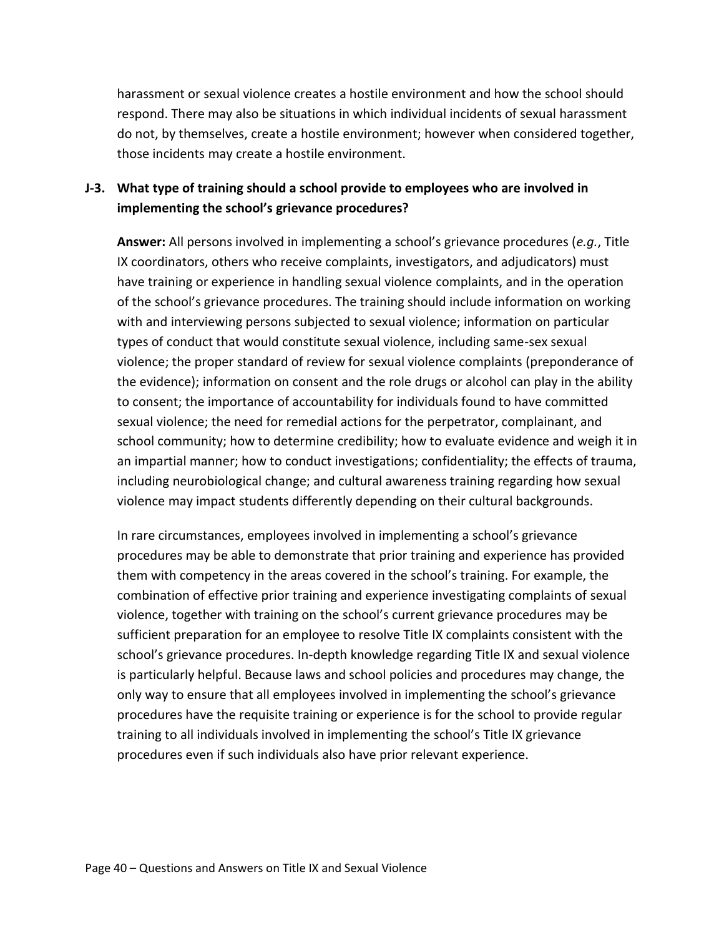harassment or sexual violence creates a hostile environment and how the school should respond. There may also be situations in which individual incidents of sexual harassment do not, by themselves, create a hostile environment; however when considered together, those incidents may create a hostile environment.

### <span id="page-46-0"></span>**J-3. What type of training should a school provide to employees who are involved in implementing the school's grievance procedures?**

**Answer:** All persons involved in implementing a school's grievance procedures (*e.g.*, Title IX coordinators, others who receive complaints, investigators, and adjudicators) must have training or experience in handling sexual violence complaints, and in the operation of the school's grievance procedures. The training should include information on working with and interviewing persons subjected to sexual violence; information on particular types of conduct that would constitute sexual violence, including same-sex sexual violence; the proper standard of review for sexual violence complaints (preponderance of the evidence); information on consent and the role drugs or alcohol can play in the ability to consent; the importance of accountability for individuals found to have committed sexual violence; the need for remedial actions for the perpetrator, complainant, and school community; how to determine credibility; how to evaluate evidence and weigh it in an impartial manner; how to conduct investigations; confidentiality; the effects of trauma, including neurobiological change; and cultural awareness training regarding how sexual violence may impact students differently depending on their cultural backgrounds.

In rare circumstances, employees involved in implementing a school's grievance procedures may be able to demonstrate that prior training and experience has provided them with competency in the areas covered in the school's training. For example, the combination of effective prior training and experience investigating complaints of sexual violence, together with training on the school's current grievance procedures may be sufficient preparation for an employee to resolve Title IX complaints consistent with the school's grievance procedures. In-depth knowledge regarding Title IX and sexual violence is particularly helpful. Because laws and school policies and procedures may change, the only way to ensure that all employees involved in implementing the school's grievance procedures have the requisite training or experience is for the school to provide regular training to all individuals involved in implementing the school's Title IX grievance procedures even if such individuals also have prior relevant experience.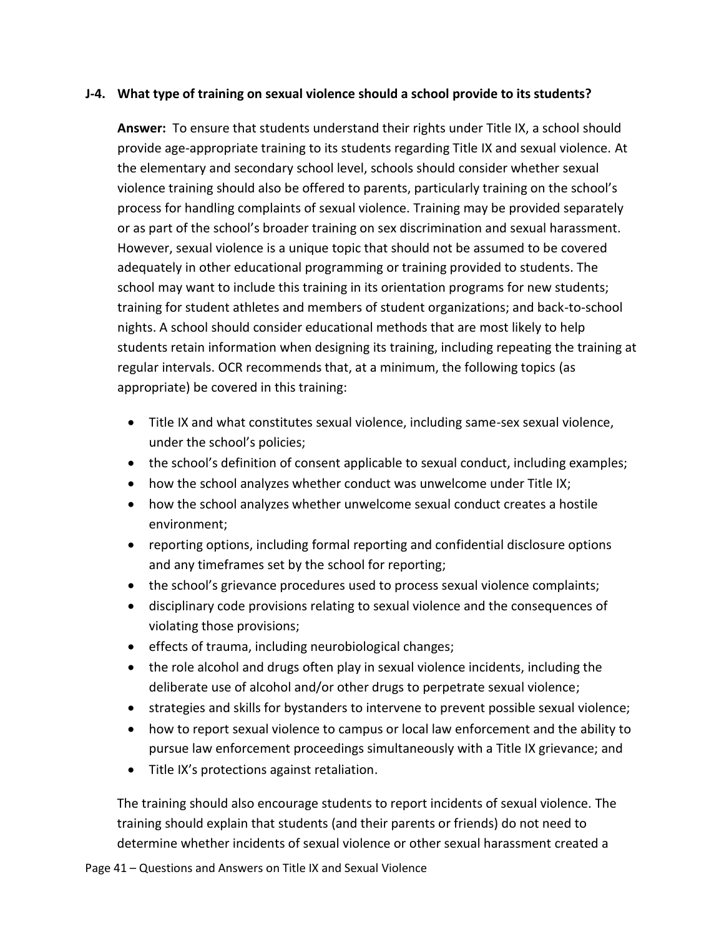#### <span id="page-47-0"></span>**J-4. What type of training on sexual violence should a school provide to its students?**

**Answer:** To ensure that students understand their rights under Title IX, a school should provide age-appropriate training to its students regarding Title IX and sexual violence. At the elementary and secondary school level, schools should consider whether sexual violence training should also be offered to parents, particularly training on the school's process for handling complaints of sexual violence. Training may be provided separately or as part of the school's broader training on sex discrimination and sexual harassment. However, sexual violence is a unique topic that should not be assumed to be covered adequately in other educational programming or training provided to students. The school may want to include this training in its orientation programs for new students; training for student athletes and members of student organizations; and back-to-school nights. A school should consider educational methods that are most likely to help students retain information when designing its training, including repeating the training at regular intervals. OCR recommends that, at a minimum, the following topics (as appropriate) be covered in this training:

- Title IX and what constitutes sexual violence, including same-sex sexual violence, under the school's policies;
- the school's definition of consent applicable to sexual conduct, including examples;
- how the school analyzes whether conduct was unwelcome under Title IX;
- how the school analyzes whether unwelcome sexual conduct creates a hostile environment;
- reporting options, including formal reporting and confidential disclosure options and any timeframes set by the school for reporting;
- the school's grievance procedures used to process sexual violence complaints;
- disciplinary code provisions relating to sexual violence and the consequences of violating those provisions;
- effects of trauma, including neurobiological changes;
- the role alcohol and drugs often play in sexual violence incidents, including the deliberate use of alcohol and/or other drugs to perpetrate sexual violence;
- strategies and skills for bystanders to intervene to prevent possible sexual violence;
- how to report sexual violence to campus or local law enforcement and the ability to pursue law enforcement proceedings simultaneously with a Title IX grievance; and
- Title IX's protections against retaliation.

The training should also encourage students to report incidents of sexual violence. The training should explain that students (and their parents or friends) do not need to determine whether incidents of sexual violence or other sexual harassment created a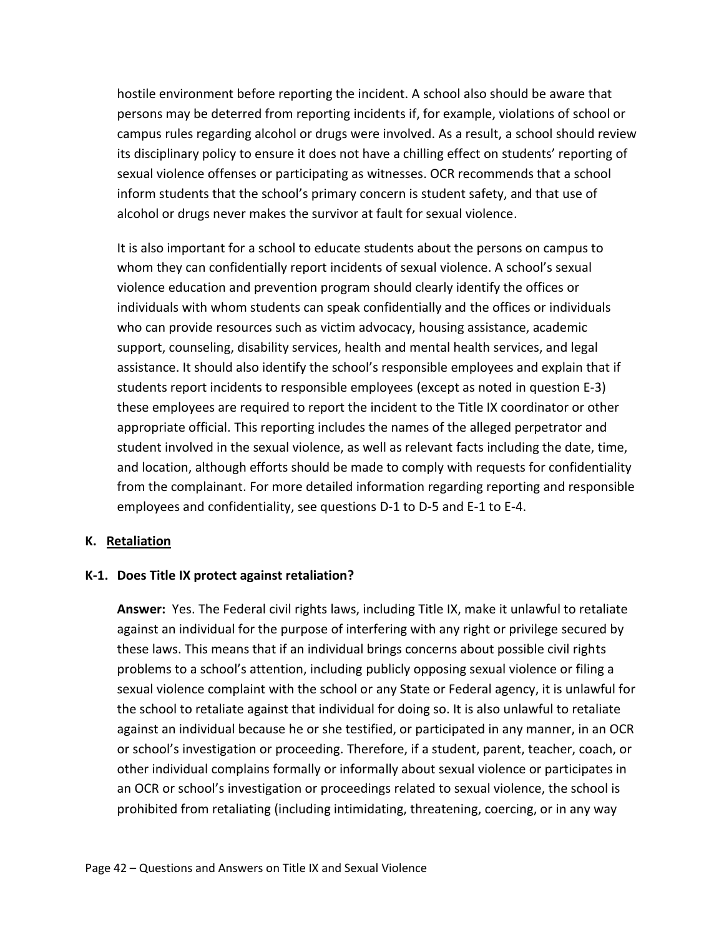hostile environment before reporting the incident. A school also should be aware that persons may be deterred from reporting incidents if, for example, violations of school or campus rules regarding alcohol or drugs were involved. As a result, a school should review its disciplinary policy to ensure it does not have a chilling effect on students' reporting of sexual violence offenses or participating as witnesses. OCR recommends that a school inform students that the school's primary concern is student safety, and that use of alcohol or drugs never makes the survivor at fault for sexual violence.

It is also important for a school to educate students about the persons on campus to whom they can confidentially report incidents of sexual violence. A school's sexual violence education and prevention program should clearly identify the offices or individuals with whom students can speak confidentially and the offices or individuals who can provide resources such as victim advocacy, housing assistance, academic support, counseling, disability services, health and mental health services, and legal assistance. It should also identify the school's responsible employees and explain that if students report incidents to responsible employees (except as noted in question E-3) these employees are required to report the incident to the Title IX coordinator or other appropriate official. This reporting includes the names of the alleged perpetrator and student involved in the sexual violence, as well as relevant facts including the date, time, and location, although efforts should be made to comply with requests for confidentiality from the complainant. For more detailed information regarding reporting and responsible employees and confidentiality, see questions D-1 to D-5 and E-1 to E-4.

#### <span id="page-48-0"></span>**K. Retaliation**

#### <span id="page-48-1"></span>**K-1. Does Title IX protect against retaliation?**

**Answer:** Yes. The Federal civil rights laws, including Title IX, make it unlawful to retaliate against an individual for the purpose of interfering with any right or privilege secured by these laws. This means that if an individual brings concerns about possible civil rights problems to a school's attention, including publicly opposing sexual violence or filing a sexual violence complaint with the school or any State or Federal agency, it is unlawful for the school to retaliate against that individual for doing so. It is also unlawful to retaliate against an individual because he or she testified, or participated in any manner, in an OCR or school's investigation or proceeding. Therefore, if a student, parent, teacher, coach, or other individual complains formally or informally about sexual violence or participates in an OCR or school's investigation or proceedings related to sexual violence, the school is prohibited from retaliating (including intimidating, threatening, coercing, or in any way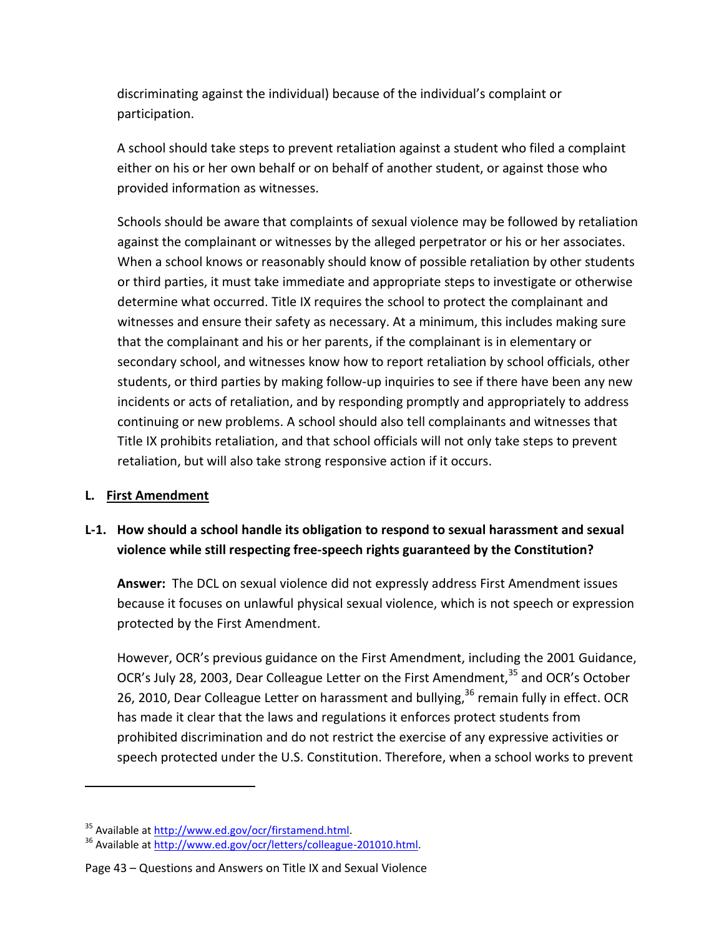discriminating against the individual) because of the individual's complaint or participation.

A school should take steps to prevent retaliation against a student who filed a complaint either on his or her own behalf or on behalf of another student, or against those who provided information as witnesses.

Schools should be aware that complaints of sexual violence may be followed by retaliation against the complainant or witnesses by the alleged perpetrator or his or her associates. When a school knows or reasonably should know of possible retaliation by other students or third parties, it must take immediate and appropriate steps to investigate or otherwise determine what occurred. Title IX requires the school to protect the complainant and witnesses and ensure their safety as necessary. At a minimum, this includes making sure that the complainant and his or her parents, if the complainant is in elementary or secondary school, and witnesses know how to report retaliation by school officials, other students, or third parties by making follow-up inquiries to see if there have been any new incidents or acts of retaliation, and by responding promptly and appropriately to address continuing or new problems. A school should also tell complainants and witnesses that Title IX prohibits retaliation, and that school officials will not only take steps to prevent retaliation, but will also take strong responsive action if it occurs.

#### <span id="page-49-0"></span>**L. First Amendment**

 $\overline{\phantom{a}}$ 

## <span id="page-49-1"></span>**L-1. How should a school handle its obligation to respond to sexual harassment and sexual violence while still respecting free-speech rights guaranteed by the Constitution?**

**Answer:** The DCL on sexual violence did not expressly address First Amendment issues because it focuses on unlawful physical sexual violence, which is not speech or expression protected by the First Amendment.

However, OCR's previous guidance on the First Amendment, including the 2001 Guidance, OCR's July 28, 2003, Dear Colleague Letter on the First Amendment,<sup>35</sup> and OCR's October 26, 2010, Dear Colleague Letter on harassment and bullying,<sup>36</sup> remain fully in effect. OCR has made it clear that the laws and regulations it enforces protect students from prohibited discrimination and do not restrict the exercise of any expressive activities or speech protected under the U.S. Constitution. Therefore, when a school works to prevent

<sup>&</sup>lt;sup>35</sup> Available a[t http://www.ed.gov/ocr/firstamend.html.](http://www.ed.gov/ocr/firstamend.html)

<sup>36</sup> Available a[t http://www.ed.gov/ocr/letters/colleague-201010.html.](http://www.ed.gov/ocr/letters/colleague-201010.html)

Page 43 – Questions and Answers on Title IX and Sexual Violence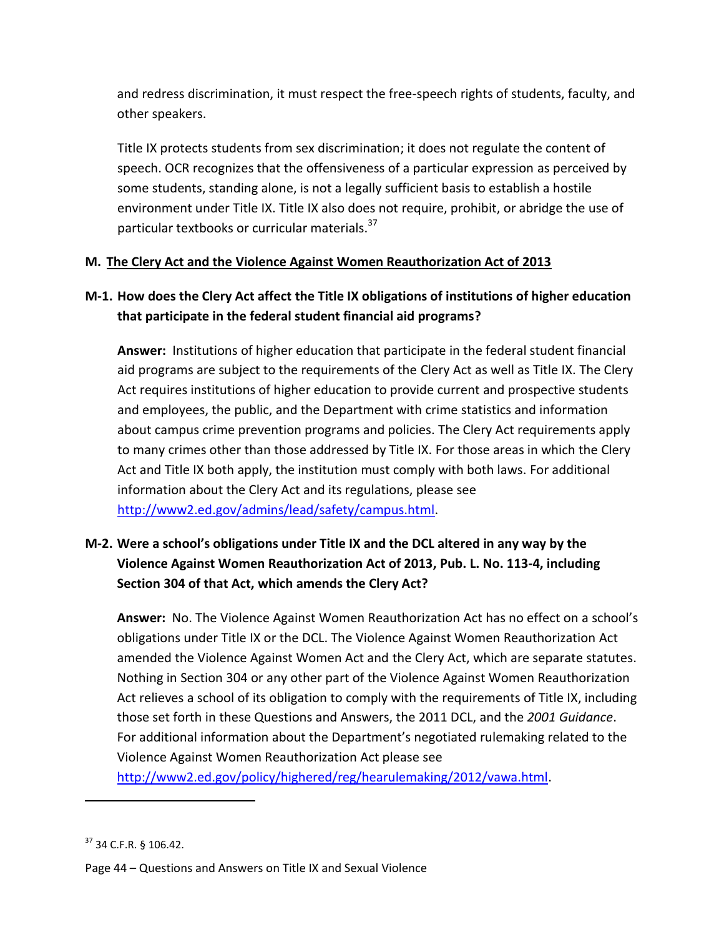and redress discrimination, it must respect the free-speech rights of students, faculty, and other speakers.

Title IX protects students from sex discrimination; it does not regulate the content of speech. OCR recognizes that the offensiveness of a particular expression as perceived by some students, standing alone, is not a legally sufficient basis to establish a hostile environment under Title IX. Title IX also does not require, prohibit, or abridge the use of particular textbooks or curricular materials.<sup>37</sup>

### <span id="page-50-0"></span>**M. The Clery Act and the Violence Against Women Reauthorization Act of 2013**

## <span id="page-50-1"></span>**M-1. How does the Clery Act affect the Title IX obligations of institutions of higher education that participate in the federal student financial aid programs?**

**Answer:** Institutions of higher education that participate in the federal student financial aid programs are subject to the requirements of the Clery Act as well as Title IX. The Clery Act requires institutions of higher education to provide current and prospective students and employees, the public, and the Department with crime statistics and information about campus crime prevention programs and policies. The Clery Act requirements apply to many crimes other than those addressed by Title IX. For those areas in which the Clery Act and Title IX both apply, the institution must comply with both laws. For additional information about the Clery Act and its regulations, please see [http://www2.ed.gov/admins/lead/safety/campus.html.](http://www2.ed.gov/admins/lead/safety/campus.html)

## <span id="page-50-2"></span>**M-2. Were a school's obligations under Title IX and the DCL altered in any way by the Violence Against Women Reauthorization Act of 2013, Pub. L. No. 113-4, including Section 304 of that Act, which amends the Clery Act?**

**Answer:** No. The Violence Against Women Reauthorization Act has no effect on a school's obligations under Title IX or the DCL. The Violence Against Women Reauthorization Act amended the Violence Against Women Act and the Clery Act, which are separate statutes. Nothing in Section 304 or any other part of the Violence Against Women Reauthorization Act relieves a school of its obligation to comply with the requirements of Title IX, including those set forth in these Questions and Answers, the 2011 DCL, and the *2001 Guidance*. For additional information about the Department's negotiated rulemaking related to the Violence Against Women Reauthorization Act please see

[http://www2.ed.gov/policy/highered/reg/hearulemaking/2012/vawa.html.](http://www2.ed.gov/policy/highered/reg/hearulemaking/2012/vawa.html)

 $37$  34 C.F.R. § 106.42.

Page 44 – Questions and Answers on Title IX and Sexual Violence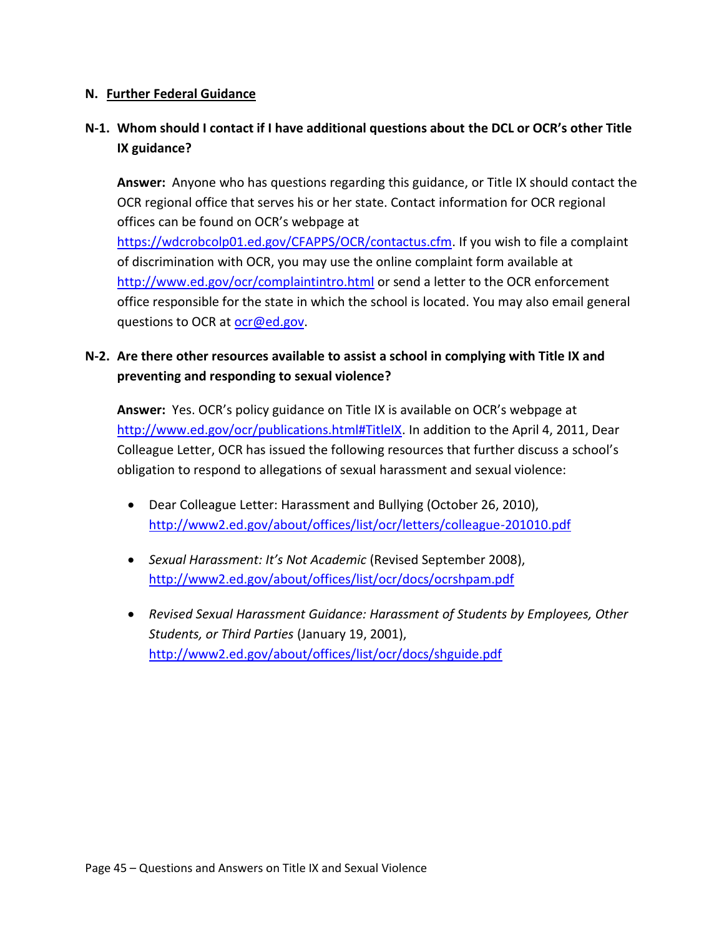#### <span id="page-51-0"></span>**N. Further Federal Guidance**

## <span id="page-51-1"></span>**N-1. Whom should I contact if I have additional questions about the DCL or OCR's other Title IX guidance?**

**Answer:** Anyone who has questions regarding this guidance, or Title IX should contact the OCR regional office that serves his or her state. Contact information for OCR regional offices can be found on OCR's webpage at

[https://wdcrobcolp01.ed.gov/CFAPPS/OCR/contactus.cfm.](https://wdcrobcolp01.ed.gov/CFAPPS/OCR/contactus.cfm) If you wish to file a complaint of discrimination with OCR, you may use the online complaint form available at <http://www.ed.gov/ocr/complaintintro.html> or send a letter to the OCR enforcement office responsible for the state in which the school is located. You may also email general questions to OCR at [ocr@ed.gov.](mailto:ocr@ed.gov)

## <span id="page-51-2"></span>**N-2. Are there other resources available to assist a school in complying with Title IX and preventing and responding to sexual violence?**

**Answer:** Yes. OCR's policy guidance on Title IX is available on OCR's webpage at [http://www.ed.gov/ocr/publications.html#TitleIX.](http://www.ed.gov/ocr/publications.html#TitleIX) In addition to the April 4, 2011, Dear Colleague Letter, OCR has issued the following resources that further discuss a school's obligation to respond to allegations of sexual harassment and sexual violence:

- Dear Colleague Letter: Harassment and Bullying (October 26, 2010), <http://www2.ed.gov/about/offices/list/ocr/letters/colleague-201010.pdf>
- *Sexual Harassment: It's Not Academic* (Revised September 2008), <http://www2.ed.gov/about/offices/list/ocr/docs/ocrshpam.pdf>
- *Revised Sexual Harassment Guidance: Harassment of Students by Employees, Other Students, or Third Parties* (January 19, 2001), <http://www2.ed.gov/about/offices/list/ocr/docs/shguide.pdf>